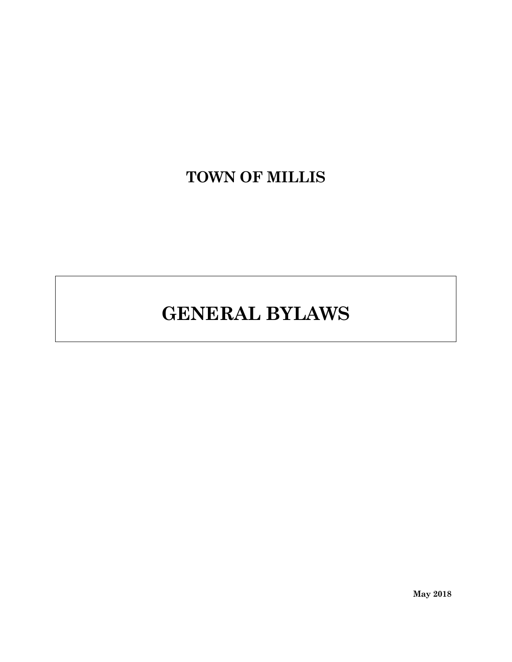# **TOWN OF MILLIS**

# **GENERAL BYLAWS**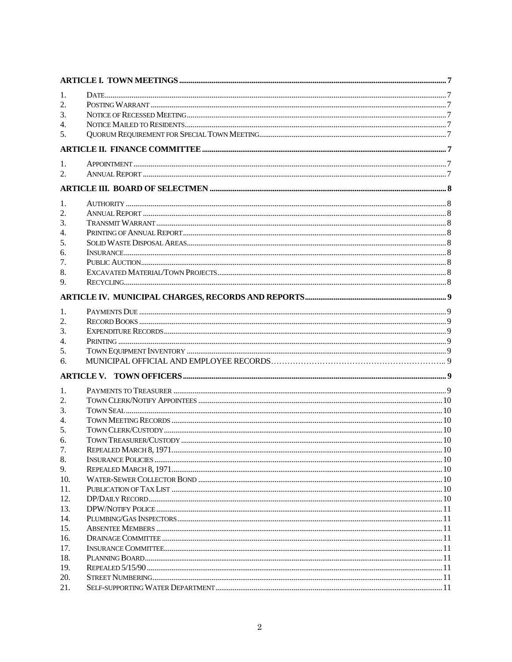| 1.       |  |
|----------|--|
| 2.       |  |
| 3.       |  |
| 4.       |  |
| 5.       |  |
|          |  |
|          |  |
| 1.<br>2. |  |
|          |  |
|          |  |
| 1.       |  |
| 2.       |  |
| 3.       |  |
| 4.       |  |
| 5.       |  |
| 6.       |  |
| 7.       |  |
| 8.       |  |
| 9.       |  |
|          |  |
| 1.       |  |
| 2.       |  |
| 3.       |  |
| 4.       |  |
| 5.       |  |
| 6.       |  |
|          |  |
| 1.       |  |
| 2.       |  |
| 3.       |  |
| 4.       |  |
| 5.       |  |
| 6.       |  |
| 7.       |  |
| 8.       |  |
| 9.       |  |
| 10.      |  |
| 11.      |  |
| 12.      |  |
| 13.      |  |
| 14.      |  |
| 15.      |  |
| 16.      |  |
| 17.      |  |
| 18.      |  |
| 19.      |  |
| 20.      |  |
| 21.      |  |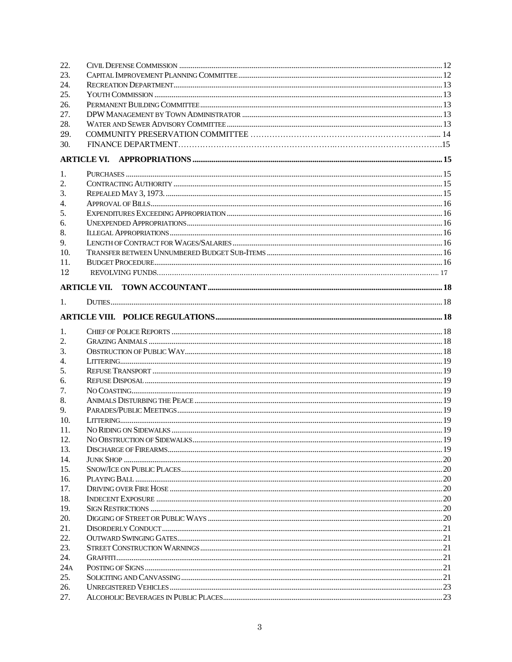| 22.     |  |
|---------|--|
| 23.     |  |
| 24.     |  |
| 25.     |  |
| 26.     |  |
| 27.     |  |
| 28.     |  |
| 29.     |  |
| 30.     |  |
|         |  |
| 1.      |  |
| 2.      |  |
| 3.      |  |
| 4.      |  |
| 5.      |  |
| 6.      |  |
| 8.      |  |
| 9.      |  |
| 10.     |  |
| 11.     |  |
| 12      |  |
|         |  |
|         |  |
| $1_{-}$ |  |
|         |  |
| 1.      |  |
| 2.      |  |
| 3.      |  |
| 4.      |  |
| 5.      |  |
| 6.      |  |
| 7.      |  |
| 8.      |  |
| 9.      |  |
| 10.     |  |
| 11.     |  |
| 12.     |  |
| 13.     |  |
| 14.     |  |
| 15.     |  |
| 16.     |  |
| 17.     |  |
| 18.     |  |
| 19.     |  |
| 20.     |  |
| 21.     |  |
| 22.     |  |
| 23.     |  |
| 24.     |  |
| 24A     |  |
| 25.     |  |
| 26.     |  |
| 27.     |  |
|         |  |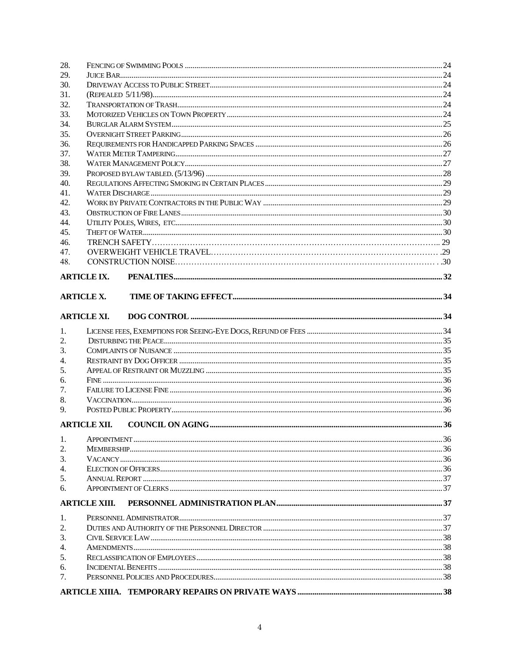| 28.              |                      |  |
|------------------|----------------------|--|
| 29.              |                      |  |
| 30.              |                      |  |
| 31.              |                      |  |
| 32.              |                      |  |
| 33.              |                      |  |
| 34.              |                      |  |
| 35.              |                      |  |
| 36.              |                      |  |
| 37.              |                      |  |
| 38.              |                      |  |
| 39.              |                      |  |
| 40.              |                      |  |
| 41.              |                      |  |
| 42.              |                      |  |
| 43.              |                      |  |
| 44.              |                      |  |
| 45.              |                      |  |
| 46.              |                      |  |
| 47.              |                      |  |
| 48.              |                      |  |
|                  | <b>ARTICLE IX.</b>   |  |
|                  | <b>ARTICLE X.</b>    |  |
|                  |                      |  |
|                  | <b>ARTICLE XI.</b>   |  |
| 1.               |                      |  |
| 2.               |                      |  |
| 3.               |                      |  |
| $\overline{4}$ . |                      |  |
| 5.               |                      |  |
| 6.               |                      |  |
| 7.               |                      |  |
| 8.               |                      |  |
| 9.               |                      |  |
|                  | <b>ARTICLE XII.</b>  |  |
| 1.               |                      |  |
| 2.               |                      |  |
| 3.               |                      |  |
| 4.               |                      |  |
| 5.               |                      |  |
| 6.               |                      |  |
|                  | <b>ARTICLE XIII.</b> |  |
| 1.               |                      |  |
| 2.               |                      |  |
| 3.               |                      |  |
| 4.               |                      |  |
| 5.               |                      |  |
| 6.               |                      |  |
| 7.               |                      |  |
|                  |                      |  |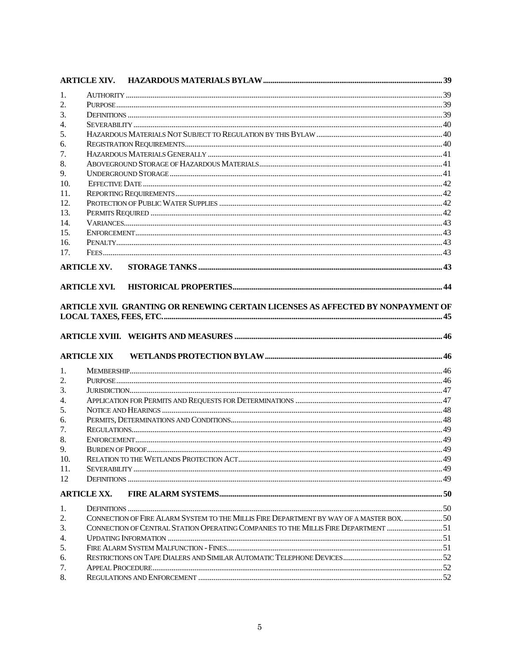| 1.<br>2. |                                                                                           |  |
|----------|-------------------------------------------------------------------------------------------|--|
|          |                                                                                           |  |
|          |                                                                                           |  |
| 3.       |                                                                                           |  |
| 4.       |                                                                                           |  |
| 5.       |                                                                                           |  |
| 6.       |                                                                                           |  |
| 7.       |                                                                                           |  |
| 8.       |                                                                                           |  |
| 9.       |                                                                                           |  |
| 10.      |                                                                                           |  |
| 11.      |                                                                                           |  |
| 12.      |                                                                                           |  |
| 13.      |                                                                                           |  |
| 14.      |                                                                                           |  |
| 15.      |                                                                                           |  |
| 16.      |                                                                                           |  |
| 17.      |                                                                                           |  |
|          | <b>ARTICLE XV.</b>                                                                        |  |
|          |                                                                                           |  |
|          | <b>ARTICLE XVI.</b>                                                                       |  |
|          | ARTICLE XVII. GRANTING OR RENEWING CERTAIN LICENSES AS AFFECTED BY NONPAYMENT OF          |  |
|          |                                                                                           |  |
|          |                                                                                           |  |
|          |                                                                                           |  |
|          |                                                                                           |  |
|          |                                                                                           |  |
|          | <b>ARTICLE XIX</b>                                                                        |  |
| 1.       |                                                                                           |  |
| 2.       |                                                                                           |  |
| 3.       |                                                                                           |  |
| 4.       |                                                                                           |  |
| 5.       |                                                                                           |  |
| 6.       |                                                                                           |  |
| 7.       |                                                                                           |  |
| 8.       |                                                                                           |  |
| 9.       | BLIRDEN OF PROOF                                                                          |  |
| 10.      |                                                                                           |  |
| 11.      |                                                                                           |  |
| 12       |                                                                                           |  |
|          | <b>ARTICLE XX.</b>                                                                        |  |
|          |                                                                                           |  |
| 1.       |                                                                                           |  |
| 2.       | CONNECTION OF FIRE ALARM SYSTEM TO THE MILLIS FIRE DEPARTMENT BY WAY OF A MASTER BOX.  50 |  |
| 3.       | CONNECTION OF CENTRAL STATION OPERATING COMPANIES TO THE MILLIS FIRE DEPARTMENT 51        |  |
| 4.       |                                                                                           |  |
| 5.       |                                                                                           |  |
| 6.       |                                                                                           |  |
| 7.<br>8. |                                                                                           |  |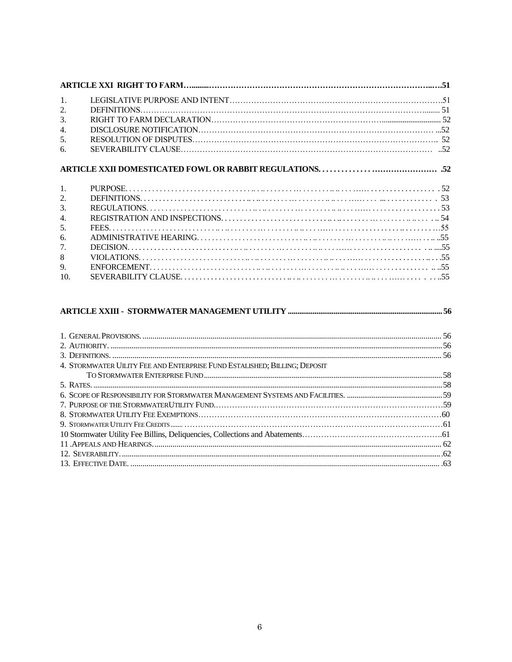| $\mathbf{1}$ . |  |
|----------------|--|
| 2.             |  |
| 3.             |  |
| 4.             |  |
| 5.             |  |
| 6.             |  |
|                |  |
|                |  |
|                |  |
| 2.             |  |
| 3.             |  |
| 4.             |  |
| .5.            |  |
| 6.             |  |
| 7.             |  |
| 8              |  |
| 9.             |  |

#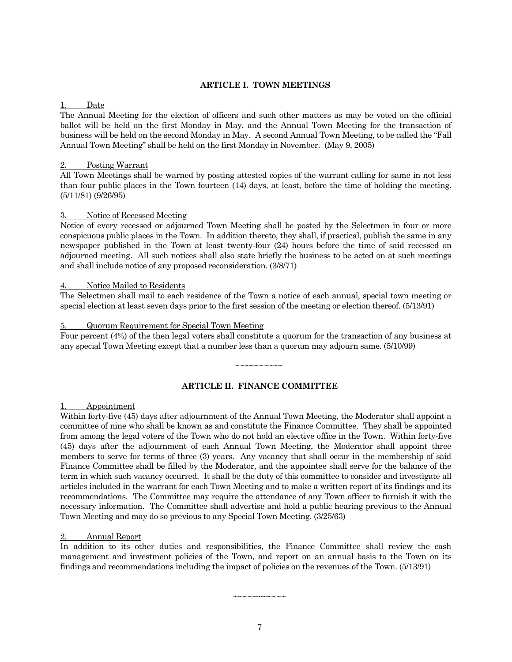#### **ARTICLE I. TOWN MEETINGS**

#### 1. Date

The Annual Meeting for the election of officers and such other matters as may be voted on the official ballot will be held on the first Monday in May, and the Annual Town Meeting for the transaction of business will be held on the second Monday in May. A second Annual Town Meeting, to be called the "Fall Annual Town Meeting" shall be held on the first Monday in November. (May 9, 2005)

#### 2. Posting Warrant

All Town Meetings shall be warned by posting attested copies of the warrant calling for same in not less than four public places in the Town fourteen (14) days, at least, before the time of holding the meeting. (5/11/81) (9/26/95)

#### 3. Notice of Recessed Meeting

Notice of every recessed or adjourned Town Meeting shall be posted by the Selectmen in four or more conspicuous public places in the Town. In addition thereto, they shall, if practical, publish the same in any newspaper published in the Town at least twenty-four (24) hours before the time of said recessed on adjourned meeting. All such notices shall also state briefly the business to be acted on at such meetings and shall include notice of any proposed reconsideration. (3/8/71)

#### Notice Mailed to Residents

The Selectmen shall mail to each residence of the Town a notice of each annual, special town meeting or special election at least seven days prior to the first session of the meeting or election thereof. (5/13/91)

#### 5. Quorum Requirement for Special Town Meeting

Four percent (4%) of the then legal voters shall constitute a quorum for the transaction of any business at any special Town Meeting except that a number less than a quorum may adjourn same. (5/10/99)

#### **ARTICLE II. FINANCE COMMITTEE**

~~~~~~~~~~

#### 1. Appointment

Within forty-five (45) days after adjournment of the Annual Town Meeting, the Moderator shall appoint a committee of nine who shall be known as and constitute the Finance Committee. They shall be appointed from among the legal voters of the Town who do not hold an elective office in the Town. Within forty-five (45) days after the adjournment of each Annual Town Meeting, the Moderator shall appoint three members to serve for terms of three (3) years. Any vacancy that shall occur in the membership of said Finance Committee shall be filled by the Moderator, and the appointee shall serve for the balance of the term in which such vacancy occurred. It shall be the duty of this committee to consider and investigate all articles included in the warrant for each Town Meeting and to make a written report of its findings and its recommendations. The Committee may require the attendance of any Town officer to furnish it with the necessary information. The Committee shall advertise and hold a public hearing previous to the Annual Town Meeting and may do so previous to any Special Town Meeting. (3/25/63)

#### 2. Annual Report

In addition to its other duties and responsibilities, the Finance Committee shall review the cash management and investment policies of the Town, and report on an annual basis to the Town on its findings and recommendations including the impact of policies on the revenues of the Town. (5/13/91)

~~~~~~~~~~~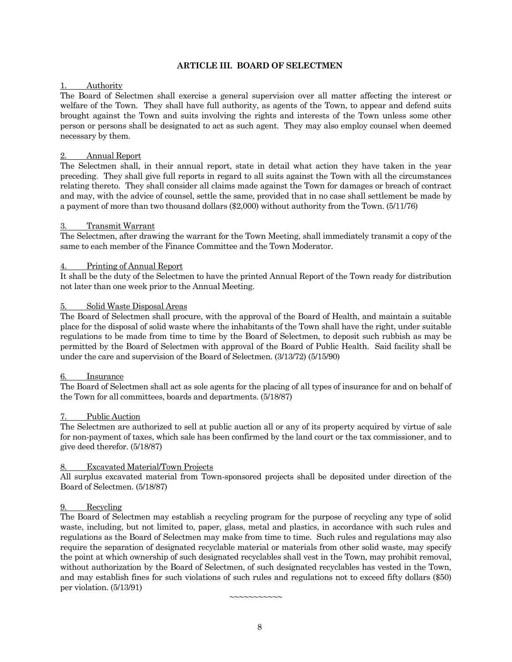#### **ARTICLE III. BOARD OF SELECTMEN**

#### 1. Authority

The Board of Selectmen shall exercise a general supervision over all matter affecting the interest or welfare of the Town. They shall have full authority, as agents of the Town, to appear and defend suits brought against the Town and suits involving the rights and interests of the Town unless some other person or persons shall be designated to act as such agent. They may also employ counsel when deemed necessary by them.

#### 2. Annual Report

The Selectmen shall, in their annual report, state in detail what action they have taken in the year preceding. They shall give full reports in regard to all suits against the Town with all the circumstances relating thereto. They shall consider all claims made against the Town for damages or breach of contract and may, with the advice of counsel, settle the same, provided that in no case shall settlement be made by a payment of more than two thousand dollars (\$2,000) without authority from the Town. (5/11/76)

#### 3. Transmit Warrant

The Selectmen, after drawing the warrant for the Town Meeting, shall immediately transmit a copy of the same to each member of the Finance Committee and the Town Moderator.

#### Printing of Annual Report

It shall be the duty of the Selectmen to have the printed Annual Report of the Town ready for distribution not later than one week prior to the Annual Meeting.

#### 5. Solid Waste Disposal Areas

The Board of Selectmen shall procure, with the approval of the Board of Health, and maintain a suitable place for the disposal of solid waste where the inhabitants of the Town shall have the right, under suitable regulations to be made from time to time by the Board of Selectmen, to deposit such rubbish as may be permitted by the Board of Selectmen with approval of the Board of Public Health. Said facility shall be under the care and supervision of the Board of Selectmen. (3/13/72) (5/15/90)

#### 6. Insurance

The Board of Selectmen shall act as sole agents for the placing of all types of insurance for and on behalf of the Town for all committees, boards and departments. (5/18/87)

#### Public Auction

The Selectmen are authorized to sell at public auction all or any of its property acquired by virtue of sale for non-payment of taxes, which sale has been confirmed by the land court or the tax commissioner, and to give deed therefor. (5/18/87)

#### 8. Excavated Material/Town Projects

All surplus excavated material from Town-sponsored projects shall be deposited under direction of the Board of Selectmen. (5/18/87)

#### 9. Recycling

The Board of Selectmen may establish a recycling program for the purpose of recycling any type of solid waste, including, but not limited to, paper, glass, metal and plastics, in accordance with such rules and regulations as the Board of Selectmen may make from time to time. Such rules and regulations may also require the separation of designated recyclable material or materials from other solid waste, may specify the point at which ownership of such designated recyclables shall vest in the Town, may prohibit removal, without authorization by the Board of Selectmen, of such designated recyclables has vested in the Town, and may establish fines for such violations of such rules and regulations not to exceed fifty dollars (\$50) per violation. (5/13/91)

 $\sim$  $\sim$  $\sim$  $\sim$  $\sim$  $\sim$  $\sim$  $\sim$  $\sim$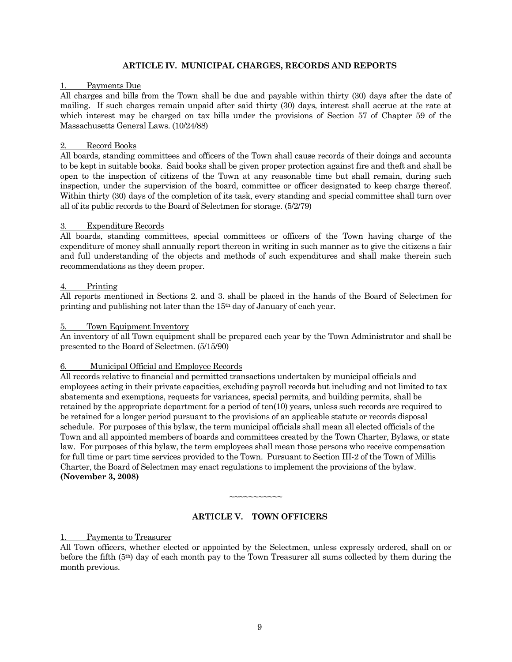#### **ARTICLE IV. MUNICIPAL CHARGES, RECORDS AND REPORTS**

#### Payments Due

All charges and bills from the Town shall be due and payable within thirty (30) days after the date of mailing. If such charges remain unpaid after said thirty (30) days, interest shall accrue at the rate at which interest may be charged on tax bills under the provisions of Section 57 of Chapter 59 of the Massachusetts General Laws. (10/24/88)

#### 2. Record Books

All boards, standing committees and officers of the Town shall cause records of their doings and accounts to be kept in suitable books. Said books shall be given proper protection against fire and theft and shall be open to the inspection of citizens of the Town at any reasonable time but shall remain, during such inspection, under the supervision of the board, committee or officer designated to keep charge thereof. Within thirty (30) days of the completion of its task, every standing and special committee shall turn over all of its public records to the Board of Selectmen for storage. (5/2/79)

#### 3. Expenditure Records

All boards, standing committees, special committees or officers of the Town having charge of the expenditure of money shall annually report thereon in writing in such manner as to give the citizens a fair and full understanding of the objects and methods of such expenditures and shall make therein such recommendations as they deem proper.

#### 4. Printing

All reports mentioned in Sections 2. and 3. shall be placed in the hands of the Board of Selectmen for printing and publishing not later than the 15th day of January of each year.

#### 5. Town Equipment Inventory

An inventory of all Town equipment shall be prepared each year by the Town Administrator and shall be presented to the Board of Selectmen. (5/15/90)

#### 6. Municipal Official and Employee Records

All records relative to financial and permitted transactions undertaken by municipal officials and employees acting in their private capacities, excluding payroll records but including and not limited to tax abatements and exemptions, requests for variances, special permits, and building permits, shall be retained by the appropriate department for a period of ten(10) years, unless such records are required to be retained for a longer period pursuant to the provisions of an applicable statute or records disposal schedule. For purposes of this bylaw, the term municipal officials shall mean all elected officials of the Town and all appointed members of boards and committees created by the Town Charter, Bylaws, or state law. For purposes of this bylaw, the term employees shall mean those persons who receive compensation for full time or part time services provided to the Town. Pursuant to Section III-2 of the Town of Millis Charter, the Board of Selectmen may enact regulations to implement the provisions of the bylaw. **(November 3, 2008)**

# $\sim$  $\sim$  $\sim$  $\sim$  $\sim$  $\sim$  $\sim$  $\sim$  $\sim$

#### **ARTICLE V. TOWN OFFICERS**

#### 1. Payments to Treasurer

All Town officers, whether elected or appointed by the Selectmen, unless expressly ordered, shall on or before the fifth (5th) day of each month pay to the Town Treasurer all sums collected by them during the month previous.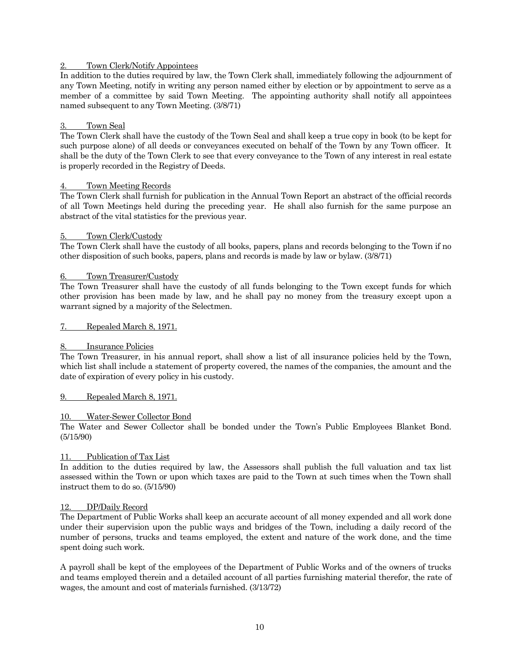#### 2. Town Clerk/Notify Appointees

In addition to the duties required by law, the Town Clerk shall, immediately following the adjournment of any Town Meeting, notify in writing any person named either by election or by appointment to serve as a member of a committee by said Town Meeting. The appointing authority shall notify all appointees named subsequent to any Town Meeting. (3/8/71)

#### Town Seal

The Town Clerk shall have the custody of the Town Seal and shall keep a true copy in book (to be kept for such purpose alone) of all deeds or conveyances executed on behalf of the Town by any Town officer. It shall be the duty of the Town Clerk to see that every conveyance to the Town of any interest in real estate is properly recorded in the Registry of Deeds.

#### Town Meeting Records

The Town Clerk shall furnish for publication in the Annual Town Report an abstract of the official records of all Town Meetings held during the preceding year. He shall also furnish for the same purpose an abstract of the vital statistics for the previous year.

#### 5. Town Clerk/Custody

The Town Clerk shall have the custody of all books, papers, plans and records belonging to the Town if no other disposition of such books, papers, plans and records is made by law or bylaw. (3/8/71)

#### 6. Town Treasurer/Custody

The Town Treasurer shall have the custody of all funds belonging to the Town except funds for which other provision has been made by law, and he shall pay no money from the treasury except upon a warrant signed by a majority of the Selectmen.

7. Repealed March 8, 1971.

#### Insurance Policies

The Town Treasurer, in his annual report, shall show a list of all insurance policies held by the Town, which list shall include a statement of property covered, the names of the companies, the amount and the date of expiration of every policy in his custody.

#### 9. Repealed March 8, 1971.

#### 10. Water-Sewer Collector Bond

The Water and Sewer Collector shall be bonded under the Town's Public Employees Blanket Bond. (5/15/90)

#### 11. Publication of Tax List

In addition to the duties required by law, the Assessors shall publish the full valuation and tax list assessed within the Town or upon which taxes are paid to the Town at such times when the Town shall instruct them to do so. (5/15/90)

#### 12. DP/Daily Record

The Department of Public Works shall keep an accurate account of all money expended and all work done under their supervision upon the public ways and bridges of the Town, including a daily record of the number of persons, trucks and teams employed, the extent and nature of the work done, and the time spent doing such work.

A payroll shall be kept of the employees of the Department of Public Works and of the owners of trucks and teams employed therein and a detailed account of all parties furnishing material therefor, the rate of wages, the amount and cost of materials furnished. (3/13/72)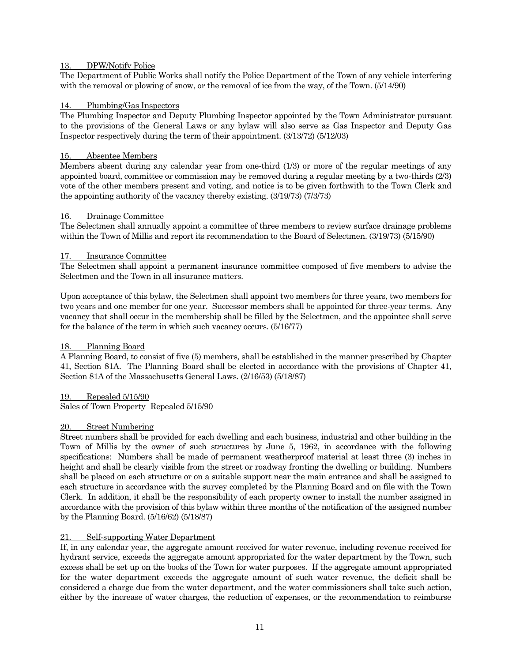#### 13. DPW/Notify Police

The Department of Public Works shall notify the Police Department of the Town of any vehicle interfering with the removal or plowing of snow, or the removal of ice from the way, of the Town. (5/14/90)

#### 14. Plumbing/Gas Inspectors

The Plumbing Inspector and Deputy Plumbing Inspector appointed by the Town Administrator pursuant to the provisions of the General Laws or any bylaw will also serve as Gas Inspector and Deputy Gas Inspector respectively during the term of their appointment. (3/13/72) (5/12/03)

#### 15. Absentee Members

Members absent during any calendar year from one-third (1/3) or more of the regular meetings of any appointed board, committee or commission may be removed during a regular meeting by a two-thirds (2/3) vote of the other members present and voting, and notice is to be given forthwith to the Town Clerk and the appointing authority of the vacancy thereby existing. (3/19/73) (7/3/73)

#### 16. Drainage Committee

The Selectmen shall annually appoint a committee of three members to review surface drainage problems within the Town of Millis and report its recommendation to the Board of Selectmen. (3/19/73) (5/15/90)

#### 17. Insurance Committee

The Selectmen shall appoint a permanent insurance committee composed of five members to advise the Selectmen and the Town in all insurance matters.

Upon acceptance of this bylaw, the Selectmen shall appoint two members for three years, two members for two years and one member for one year. Successor members shall be appointed for three-year terms. Any vacancy that shall occur in the membership shall be filled by the Selectmen, and the appointee shall serve for the balance of the term in which such vacancy occurs. (5/16/77)

#### 18. Planning Board

A Planning Board, to consist of five (5) members, shall be established in the manner prescribed by Chapter 41, Section 81A. The Planning Board shall be elected in accordance with the provisions of Chapter 41, Section 81A of the Massachusetts General Laws. (2/16/53) (5/18/87)

#### 19. Repealed 5/15/90

Sales of Town Property Repealed 5/15/90

#### 20. Street Numbering

Street numbers shall be provided for each dwelling and each business, industrial and other building in the Town of Millis by the owner of such structures by June 5, 1962, in accordance with the following specifications: Numbers shall be made of permanent weatherproof material at least three (3) inches in height and shall be clearly visible from the street or roadway fronting the dwelling or building. Numbers shall be placed on each structure or on a suitable support near the main entrance and shall be assigned to each structure in accordance with the survey completed by the Planning Board and on file with the Town Clerk. In addition, it shall be the responsibility of each property owner to install the number assigned in accordance with the provision of this bylaw within three months of the notification of the assigned number by the Planning Board. (5/16/62) (5/18/87)

#### 21. Self-supporting Water Department

If, in any calendar year, the aggregate amount received for water revenue, including revenue received for hydrant service, exceeds the aggregate amount appropriated for the water department by the Town, such excess shall be set up on the books of the Town for water purposes. If the aggregate amount appropriated for the water department exceeds the aggregate amount of such water revenue, the deficit shall be considered a charge due from the water department, and the water commissioners shall take such action, either by the increase of water charges, the reduction of expenses, or the recommendation to reimburse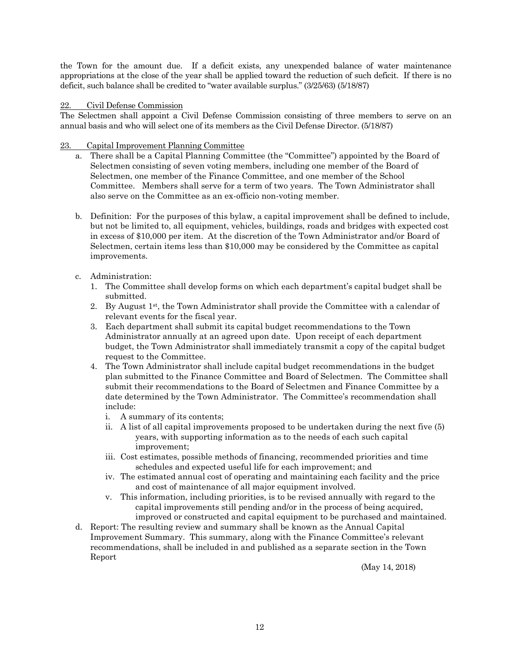the Town for the amount due. If a deficit exists, any unexpended balance of water maintenance appropriations at the close of the year shall be applied toward the reduction of such deficit. If there is no deficit, such balance shall be credited to "water available surplus." (3/25/63) (5/18/87)

#### Civil Defense Commission

The Selectmen shall appoint a Civil Defense Commission consisting of three members to serve on an annual basis and who will select one of its members as the Civil Defense Director. (5/18/87)

#### 23. Capital Improvement Planning Committee

- a. There shall be a Capital Planning Committee (the "Committee") appointed by the Board of Selectmen consisting of seven voting members, including one member of the Board of Selectmen, one member of the Finance Committee, and one member of the School Committee. Members shall serve for a term of two years. The Town Administrator shall also serve on the Committee as an ex-officio non-voting member.
- b. Definition: For the purposes of this bylaw, a capital improvement shall be defined to include, but not be limited to, all equipment, vehicles, buildings, roads and bridges with expected cost in excess of \$10,000 per item. At the discretion of the Town Administrator and/or Board of Selectmen, certain items less than \$10,000 may be considered by the Committee as capital improvements.

#### c. Administration:

- 1. The Committee shall develop forms on which each department's capital budget shall be submitted.
- 2. By August  $1<sup>st</sup>$ , the Town Administrator shall provide the Committee with a calendar of relevant events for the fiscal year.
- 3. Each department shall submit its capital budget recommendations to the Town Administrator annually at an agreed upon date. Upon receipt of each department budget, the Town Administrator shall immediately transmit a copy of the capital budget request to the Committee.
- 4. The Town Administrator shall include capital budget recommendations in the budget plan submitted to the Finance Committee and Board of Selectmen. The Committee shall submit their recommendations to the Board of Selectmen and Finance Committee by a date determined by the Town Administrator. The Committee's recommendation shall include:
	- i. A summary of its contents;
	- ii. A list of all capital improvements proposed to be undertaken during the next five (5) years, with supporting information as to the needs of each such capital improvement;
	- iii. Cost estimates, possible methods of financing, recommended priorities and time schedules and expected useful life for each improvement; and
	- iv. The estimated annual cost of operating and maintaining each facility and the price and cost of maintenance of all major equipment involved.
	- v. This information, including priorities, is to be revised annually with regard to the capital improvements still pending and/or in the process of being acquired, improved or constructed and capital equipment to be purchased and maintained.
- d. Report: The resulting review and summary shall be known as the Annual Capital Improvement Summary. This summary, along with the Finance Committee's relevant recommendations, shall be included in and published as a separate section in the Town Report

(May 14, 2018)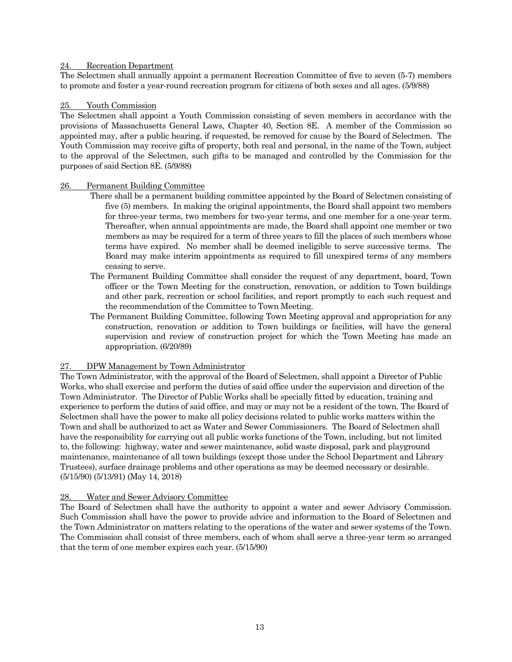#### 24. Recreation Department

The Selectmen shall annually appoint a permanent Recreation Committee of five to seven (5-7) members to promote and foster a year-round recreation program for citizens of both sexes and all ages. (5/9/88)

#### 25. Youth Commission

The Selectmen shall appoint a Youth Commission consisting of seven members in accordance with the provisions of Massachusetts General Laws, Chapter 40, Section 8E. A member of the Commission so appointed may, after a public hearing, if requested, be removed for cause by the Board of Selectmen. The Youth Commission may receive gifts of property, both real and personal, in the name of the Town, subject to the approval of the Selectmen, such gifts to be managed and controlled by the Commission for the purposes of said Section 8E. (5/9/88)

#### 26. Permanent Building Committee

- There shall be a permanent building committee appointed by the Board of Selectmen consisting of five (5) members. In making the original appointments, the Board shall appoint two members for three-year terms, two members for two-year terms, and one member for a one-year term. Thereafter, when annual appointments are made, the Board shall appoint one member or two members as may be required for a term of three years to fill the places of such members whose terms have expired. No member shall be deemed ineligible to serve successive terms. The Board may make interim appointments as required to fill unexpired terms of any members ceasing to serve.
- The Permanent Building Committee shall consider the request of any department, board, Town officer or the Town Meeting for the construction, renovation, or addition to Town buildings and other park, recreation or school facilities, and report promptly to each such request and the recommendation of the Committee to Town Meeting.
- The Permanent Building Committee, following Town Meeting approval and appropriation for any construction, renovation or addition to Town buildings or facilities, will have the general supervision and review of construction project for which the Town Meeting has made an appropriation. (6/20/89)

#### 27. DPW Management by Town Administrator

The Town Administrator, with the approval of the Board of Selectmen, shall appoint a Director of Public Works, who shall exercise and perform the duties of said office under the supervision and direction of the Town Administrator. The Director of Public Works shall be specially fitted by education, training and experience to perform the duties of said office, and may or may not be a resident of the town*.* The Board of Selectmen shall have the power to make all policy decisions related to public works matters within the Town and shall be authorized to act as Water and Sewer Commissioners. The Board of Selectmen shall have the responsibility for carrying out all public works functions of the Town, including, but not limited to, the following: highway, water and sewer maintenance, solid waste disposal, park and playground maintenance, maintenance of all town buildings (except those under the School Department and Library Trustees), surface drainage problems and other operations as may be deemed necessary or desirable. (5/15/90) (5/13/91) (May 14, 2018)

#### 28. Water and Sewer Advisory Committee

The Board of Selectmen shall have the authority to appoint a water and sewer Advisory Commission. Such Commission shall have the power to provide advice and information to the Board of Selectmen and the Town Administrator on matters relating to the operations of the water and sewer systems of the Town. The Commission shall consist of three members, each of whom shall serve a three-year term so arranged that the term of one member expires each year. (5/15/90)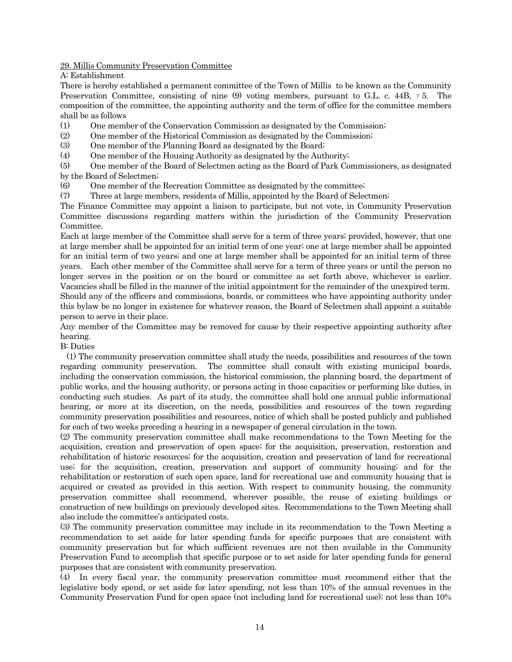29. Millis Community Preservation Committee

A: Establishment

There is hereby established a permanent committee of the Town of Millis to be known as the Community Preservation Committee, consisting of nine (9) voting members, pursuant to G.L. c. 44B, ァ 5. The composition of the committee, the appointing authority and the term of office for the committee members shall be as follows

(1) One member of the Conservation Commission as designated by the Commission;

(2) One member of the Historical Commission as designated by the Commission;

(3) One member of the Planning Board as designated by the Board;

(4) One member of the Housing Authority as designated by the Authority;

(5) One member of the Board of Selectmen acting as the Board of Park Commissioners, as designated by the Board of Selectmen;

(6) One member of the Recreation Committee as designated by the committee;

(7) Three at large members, residents of Millis, appointed by the Board of Selectmen;

The Finance Committee may appoint a liaison to participate, but not vote, in Community Preservation Committee discussions regarding matters within the jurisdiction of the Community Preservation Committee.

Each at large member of the Committee shall serve for a term of three years; provided, however, that one at large member shall be appointed for an initial term of one year; one at large member shall be appointed for an initial term of two years; and one at large member shall be appointed for an initial term of three years. Each other member of the Committee shall serve for a term of three years or until the person no longer serves in the position or on the board or committee as set forth above, whichever is earlier. Vacancies shall be filled in the manner of the initial appointment for the remainder of the unexpired term. Should any of the officers and commissions, boards, or committees who have appointing authority under this bylaw be no longer in existence for whatever reason, the Board of Selectmen shall appoint a suitable person to serve in their place.

Any member of the Committee may be removed for cause by their respective appointing authority after hearing.

B: Duties

 (1) The community preservation committee shall study the needs, possibilities and resources of the town regarding community preservation. The committee shall consult with existing municipal boards, including the conservation commission, the historical commission, the planning board, the department of public works, and the housing authority, or persons acting in those capacities or performing like duties, in conducting such studies. As part of its study, the committee shall hold one annual public informational hearing, or more at its discretion, on the needs, possibilities and resources of the town regarding community preservation possibilities and resources, notice of which shall be posted publicly and published for each of two weeks preceding a hearing in a newspaper of general circulation in the town.

(2) The community preservation committee shall make recommendations to the Town Meeting for the acquisition, creation and preservation of open space; for the acquisition, preservation, restoration and rehabilitation of historic resources; for the acquisition, creation and preservation of land for recreational use; for the acquisition, creation, preservation and support of community housing; and for the rehabilitation or restoration of such open space, land for recreational use and community housing that is acquired or created as provided in this section. With respect to community housing, the community preservation committee shall recommend, wherever possible, the reuse of existing buildings or construction of new buildings on previously developed sites. Recommendations to the Town Meeting shall also include the committee's anticipated costs.

(3) The community preservation committee may include in its recommendation to the Town Meeting a recommendation to set aside for later spending funds for specific purposes that are consistent with community preservation but for which sufficient revenues are not then available in the Community Preservation Fund to accomplish that specific purpose or to set aside for later spending funds for general purposes that are consistent with community preservation.

(4) In every fiscal year, the community preservation committee must recommend either that the legislative body spend, or set aside for later spending, not less than 10% of the annual revenues in the Community Preservation Fund for open space (not including land for recreational use); not less than 10%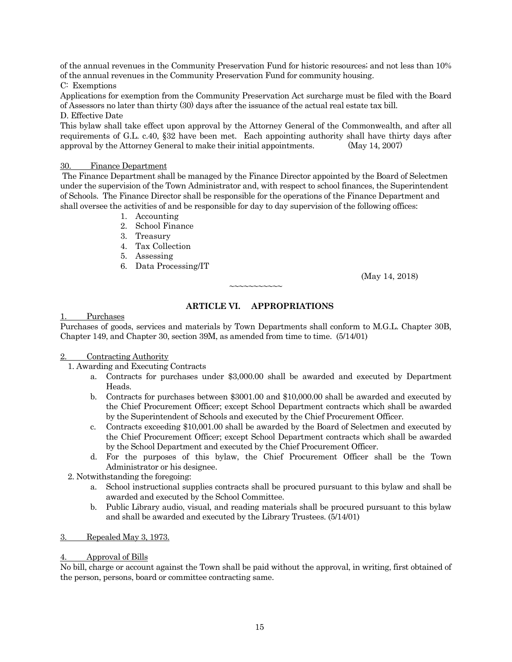of the annual revenues in the Community Preservation Fund for historic resources; and not less than 10% of the annual revenues in the Community Preservation Fund for community housing.

C: Exemptions

Applications for exemption from the Community Preservation Act surcharge must be filed with the Board of Assessors no later than thirty (30) days after the issuance of the actual real estate tax bill.

D. Effective Date

This bylaw shall take effect upon approval by the Attorney General of the Commonwealth, and after all requirements of G.L. c.40, §32 have been met. Each appointing authority shall have thirty days after approval by the Attorney General to make their initial appointments. (May 14, 2007)

#### 30. Finance Department

The Finance Department shall be managed by the Finance Director appointed by the Board of Selectmen under the supervision of the Town Administrator and, with respect to school finances, the Superintendent of Schools. The Finance Director shall be responsible for the operations of the Finance Department and shall oversee the activities of and be responsible for day to day supervision of the following offices:

- 1. Accounting
- 2. School Finance
- 3. Treasury
- 4. Tax Collection
- 5. Assessing
- 6. Data Processing/IT

(May 14, 2018)

# **ARTICLE VI. APPROPRIATIONS**

 $\sim$  $\sim$  $\sim$  $\sim$  $\sim$  $\sim$  $\sim$  $\sim$  $\sim$ 

# Purchases

Purchases of goods, services and materials by Town Departments shall conform to M.G.L. Chapter 30B, Chapter 149, and Chapter 30, section 39M, as amended from time to time. (5/14/01)

#### 2. Contracting Authority

1. Awarding and Executing Contracts

- a. Contracts for purchases under \$3,000.00 shall be awarded and executed by Department Heads.
- b. Contracts for purchases between \$3001.00 and \$10,000.00 shall be awarded and executed by the Chief Procurement Officer; except School Department contracts which shall be awarded by the Superintendent of Schools and executed by the Chief Procurement Officer.
- c. Contracts exceeding \$10,001.00 shall be awarded by the Board of Selectmen and executed by the Chief Procurement Officer; except School Department contracts which shall be awarded by the School Department and executed by the Chief Procurement Officer.
- d. For the purposes of this bylaw, the Chief Procurement Officer shall be the Town Administrator or his designee.
- 2. Notwithstanding the foregoing:
	- a. School instructional supplies contracts shall be procured pursuant to this bylaw and shall be awarded and executed by the School Committee.
	- b. Public Library audio, visual, and reading materials shall be procured pursuant to this bylaw and shall be awarded and executed by the Library Trustees. (5/14/01)
- 3. Repealed May 3, 1973.

#### 4. Approval of Bills

No bill, charge or account against the Town shall be paid without the approval, in writing, first obtained of the person, persons, board or committee contracting same.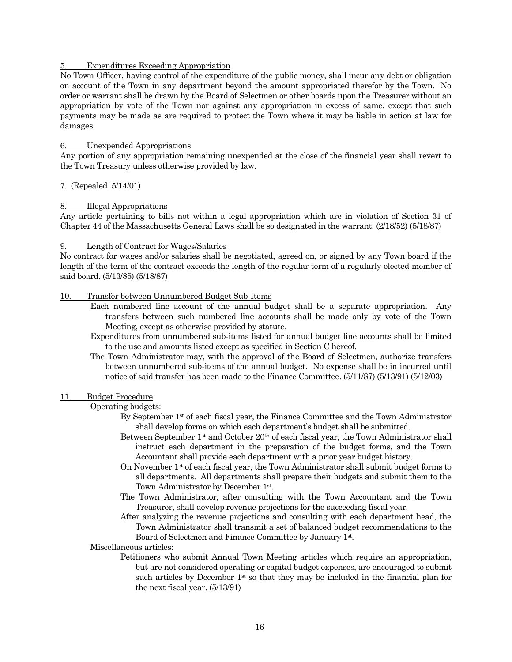#### 5. Expenditures Exceeding Appropriation

No Town Officer, having control of the expenditure of the public money, shall incur any debt or obligation on account of the Town in any department beyond the amount appropriated therefor by the Town. No order or warrant shall be drawn by the Board of Selectmen or other boards upon the Treasurer without an appropriation by vote of the Town nor against any appropriation in excess of same, except that such payments may be made as are required to protect the Town where it may be liable in action at law for damages.

#### 6. Unexpended Appropriations

Any portion of any appropriation remaining unexpended at the close of the financial year shall revert to the Town Treasury unless otherwise provided by law.

#### 7. (Repealed 5/14/01)

#### 8. Illegal Appropriations

Any article pertaining to bills not within a legal appropriation which are in violation of Section 31 of Chapter 44 of the Massachusetts General Laws shall be so designated in the warrant. (2/18/52) (5/18/87)

#### 9. Length of Contract for Wages/Salaries

No contract for wages and/or salaries shall be negotiated, agreed on, or signed by any Town board if the length of the term of the contract exceeds the length of the regular term of a regularly elected member of said board. (5/13/85) (5/18/87)

#### 10. Transfer between Unnumbered Budget Sub-Items

- Each numbered line account of the annual budget shall be a separate appropriation. Any transfers between such numbered line accounts shall be made only by vote of the Town Meeting, except as otherwise provided by statute.
- Expenditures from unnumbered sub-items listed for annual budget line accounts shall be limited to the use and amounts listed except as specified in Section C hereof.
- The Town Administrator may, with the approval of the Board of Selectmen, authorize transfers between unnumbered sub-items of the annual budget. No expense shall be in incurred until notice of said transfer has been made to the Finance Committee. (5/11/87) (5/13/91) (5/12/03)

#### 11. Budget Procedure

#### Operating budgets:

- By September 1<sup>st</sup> of each fiscal year, the Finance Committee and the Town Administrator shall develop forms on which each department's budget shall be submitted.
- Between September 1st and October 20th of each fiscal year, the Town Administrator shall instruct each department in the preparation of the budget forms, and the Town Accountant shall provide each department with a prior year budget history.
- On November 1st of each fiscal year, the Town Administrator shall submit budget forms to all departments. All departments shall prepare their budgets and submit them to the Town Administrator by December 1st.
- The Town Administrator, after consulting with the Town Accountant and the Town Treasurer, shall develop revenue projections for the succeeding fiscal year.
- After analyzing the revenue projections and consulting with each department head, the Town Administrator shall transmit a set of balanced budget recommendations to the Board of Selectmen and Finance Committee by January 1st.

#### Miscellaneous articles:

Petitioners who submit Annual Town Meeting articles which require an appropriation, but are not considered operating or capital budget expenses, are encouraged to submit such articles by December 1st so that they may be included in the financial plan for the next fiscal year. (5/13/91)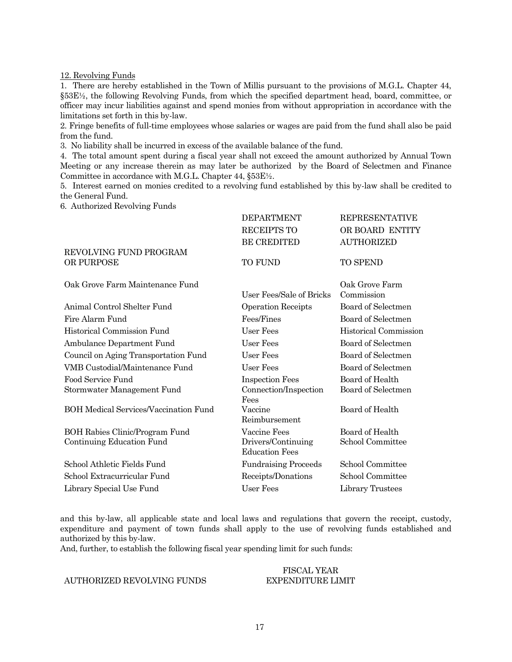12. Revolving Funds

1. There are hereby established in the Town of Millis pursuant to the provisions of M.G.L. Chapter 44, §53E½, the following Revolving Funds, from which the specified department head, board, committee, or officer may incur liabilities against and spend monies from without appropriation in accordance with the limitations set forth in this by-law.

2. Fringe benefits of full-time employees whose salaries or wages are paid from the fund shall also be paid from the fund.

3. No liability shall be incurred in excess of the available balance of the fund.

4. The total amount spent during a fiscal year shall not exceed the amount authorized by Annual Town Meeting or any increase therein as may later be authorized by the Board of Selectmen and Finance Committee in accordance with M.G.L. Chapter 44, §53E½.

5. Interest earned on monies credited to a revolving fund established by this by-law shall be credited to the General Fund.

6. Authorized Revolving Funds

|                                              | <b>DEPARTMENT</b>                           | <b>REPRESENTATIVE</b>        |
|----------------------------------------------|---------------------------------------------|------------------------------|
|                                              | <b>RECEIPTS TO</b>                          | OR BOARD ENTITY              |
|                                              | <b>BE CREDITED</b>                          | <b>AUTHORIZED</b>            |
| REVOLVING FUND PROGRAM<br>OR PURPOSE         | <b>TO FUND</b>                              | <b>TO SPEND</b>              |
| Oak Grove Farm Maintenance Fund              | User Fees/Sale of Bricks                    | Oak Grove Farm<br>Commission |
| Animal Control Shelter Fund                  | <b>Operation Receipts</b>                   | Board of Selectmen           |
| Fire Alarm Fund                              | Fees/Fines                                  | Board of Selectmen           |
| Historical Commission Fund                   | User Fees                                   | <b>Historical Commission</b> |
| Ambulance Department Fund                    | User Fees                                   | Board of Selectmen           |
| Council on Aging Transportation Fund         | User Fees                                   | Board of Selectmen           |
| VMB Custodial/Maintenance Fund               | User Fees                                   | Board of Selectmen           |
| Food Service Fund                            | <b>Inspection Fees</b>                      | Board of Health              |
| Stormwater Management Fund                   | Connection/Inspection<br>Fees               | Board of Selectmen           |
| <b>BOH Medical Services/Vaccination Fund</b> | Vaccine<br>Reimbursement                    | Board of Health              |
| BOH Rabies Clinic/Program Fund               | Vaccine Fees                                | Board of Health              |
| Continuing Education Fund                    | Drivers/Continuing<br><b>Education Fees</b> | School Committee             |
| School Athletic Fields Fund                  | <b>Fundraising Proceeds</b>                 | School Committee             |
| School Extracurricular Fund                  | Receipts/Donations                          | School Committee             |
| Library Special Use Fund                     | User Fees                                   | Library Trustees             |
|                                              |                                             |                              |

and this by-law, all applicable state and local laws and regulations that govern the receipt, custody, expenditure and payment of town funds shall apply to the use of revolving funds established and authorized by this by-law.

And, further, to establish the following fiscal year spending limit for such funds:

#### FISCAL YEAR EXPENDITURE LIMIT

#### AUTHORIZED REVOLVING FUNDS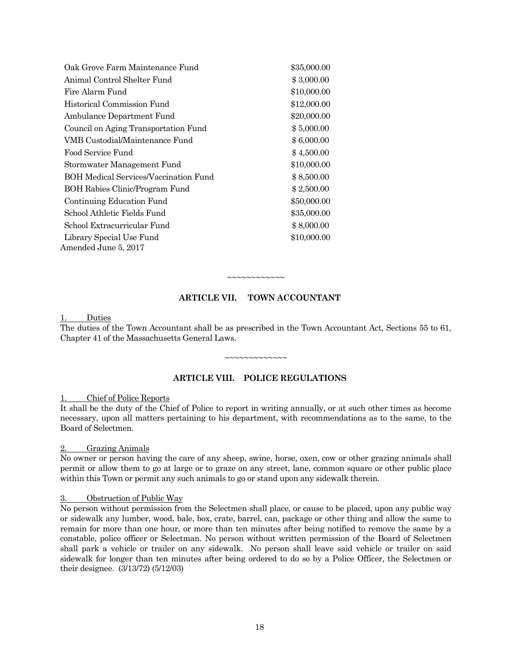| Oak Grove Farm Maintenance Fund       | \$35,000.00 |
|---------------------------------------|-------------|
| Animal Control Shelter Fund           | \$3,000.00  |
| Fire Alarm Fund                       | \$10,000.00 |
| Historical Commission Fund            | \$12,000.00 |
| Ambulance Department Fund             | \$20,000.00 |
| Council on Aging Transportation Fund  | \$5,000.00  |
| VMB Custodial/Maintenance Fund        | \$6,000.00  |
| Food Service Fund                     | \$4,500.00  |
| Stormwater Management Fund            | \$10,000.00 |
| BOH Medical Services/Vaccination Fund | \$8,500.00  |
| BOH Rabies Clinic/Program Fund        | \$2,500.00  |
| Continuing Education Fund             | \$50,000.00 |
| School Athletic Fields Fund           | \$35,000.00 |
| School Extracurricular Fund           | \$8,000.00  |
| Library Special Use Fund              | \$10,000.00 |
| Amended June 5, 2017                  |             |

#### **ARTICLE VII. TOWN ACCOUNTANT**

~~~~~~~~~~

#### 1. Duties

The duties of the Town Accountant shall be as prescribed in the Town Accountant Act, Sections 55 to 61, Chapter 41 of the Massachusetts General Laws.

~~~~~~~~~~~~~

#### **ARTICLE VIII. POLICE REGULATIONS**

#### 1. Chief of Police Reports

It shall be the duty of the Chief of Police to report in writing annually, or at such other times as become necessary, upon all matters pertaining to his department, with recommendations as to the same, to the Board of Selectmen.

#### 2. Grazing Animals

No owner or person having the care of any sheep, swine, horse, oxen, cow or other grazing animals shall permit or allow them to go at large or to graze on any street, lane, common square or other public place within this Town or permit any such animals to go or stand upon any sidewalk therein.

#### 3. Obstruction of Public Way

No person without permission from the Selectmen shall place, or cause to be placed, upon any public way or sidewalk any lumber, wood, bale, box, crate, barrel, can, package or other thing and allow the same to remain for more than one hour, or more than ten minutes after being notified to remove the same by a constable, police officer or Selectman. No person without written permission of the Board of Selectmen shall park a vehicle or trailer on any sidewalk. No person shall leave said vehicle or trailer on said sidewalk for longer than ten minutes after being ordered to do so by a Police Officer, the Selectmen or their designee. (3/13/72) (5/12/03)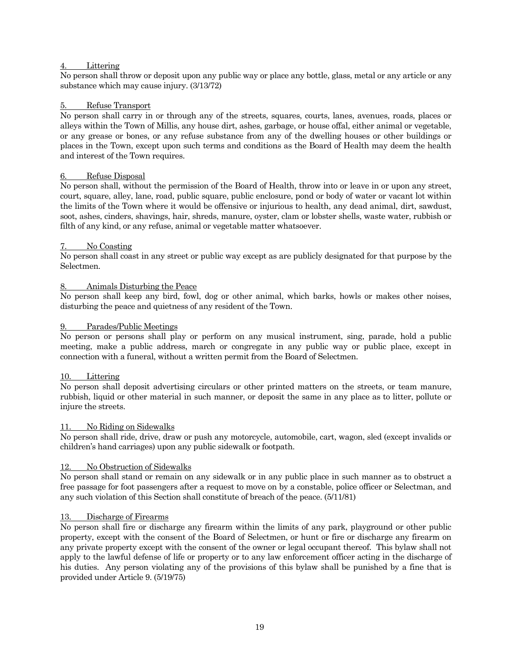#### Littering

No person shall throw or deposit upon any public way or place any bottle, glass, metal or any article or any substance which may cause injury. (3/13/72)

#### 5. Refuse Transport

No person shall carry in or through any of the streets, squares, courts, lanes, avenues, roads, places or alleys within the Town of Millis, any house dirt, ashes, garbage, or house offal, either animal or vegetable, or any grease or bones, or any refuse substance from any of the dwelling houses or other buildings or places in the Town, except upon such terms and conditions as the Board of Health may deem the health and interest of the Town requires.

#### 6. Refuse Disposal

No person shall, without the permission of the Board of Health, throw into or leave in or upon any street, court, square, alley, lane, road, public square, public enclosure, pond or body of water or vacant lot within the limits of the Town where it would be offensive or injurious to health, any dead animal, dirt, sawdust, soot, ashes, cinders, shavings, hair, shreds, manure, oyster, clam or lobster shells, waste water, rubbish or filth of any kind, or any refuse, animal or vegetable matter whatsoever.

#### No Coasting

No person shall coast in any street or public way except as are publicly designated for that purpose by the Selectmen.

#### 8. Animals Disturbing the Peace

No person shall keep any bird, fowl, dog or other animal, which barks, howls or makes other noises, disturbing the peace and quietness of any resident of the Town.

#### 9. Parades/Public Meetings

No person or persons shall play or perform on any musical instrument, sing, parade, hold a public meeting, make a public address, march or congregate in any public way or public place, except in connection with a funeral, without a written permit from the Board of Selectmen.

#### 10. Littering

No person shall deposit advertising circulars or other printed matters on the streets, or team manure, rubbish, liquid or other material in such manner, or deposit the same in any place as to litter, pollute or injure the streets.

#### 11. No Riding on Sidewalks

No person shall ride, drive, draw or push any motorcycle, automobile, cart, wagon, sled (except invalids or children's hand carriages) upon any public sidewalk or footpath.

#### 12. No Obstruction of Sidewalks

No person shall stand or remain on any sidewalk or in any public place in such manner as to obstruct a free passage for foot passengers after a request to move on by a constable, police officer or Selectman, and any such violation of this Section shall constitute of breach of the peace. (5/11/81)

#### 13. Discharge of Firearms

No person shall fire or discharge any firearm within the limits of any park, playground or other public property, except with the consent of the Board of Selectmen, or hunt or fire or discharge any firearm on any private property except with the consent of the owner or legal occupant thereof. This bylaw shall not apply to the lawful defense of life or property or to any law enforcement officer acting in the discharge of his duties. Any person violating any of the provisions of this bylaw shall be punished by a fine that is provided under Article 9. (5/19/75)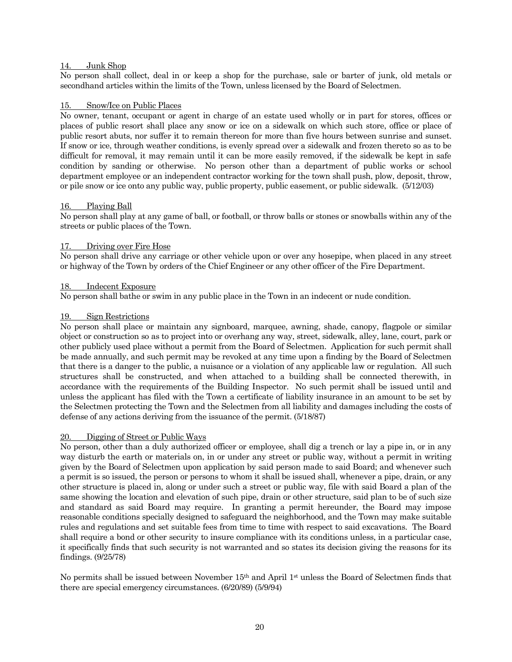#### 14. Junk Shop

No person shall collect, deal in or keep a shop for the purchase, sale or barter of junk, old metals or secondhand articles within the limits of the Town, unless licensed by the Board of Selectmen.

#### 15. Snow/Ice on Public Places

No owner, tenant, occupant or agent in charge of an estate used wholly or in part for stores, offices or places of public resort shall place any snow or ice on a sidewalk on which such store, office or place of public resort abuts, nor suffer it to remain thereon for more than five hours between sunrise and sunset. If snow or ice, through weather conditions, is evenly spread over a sidewalk and frozen thereto so as to be difficult for removal, it may remain until it can be more easily removed, if the sidewalk be kept in safe condition by sanding or otherwise. No person other than a department of public works or school department employee or an independent contractor working for the town shall push, plow, deposit, throw, or pile snow or ice onto any public way, public property, public easement, or public sidewalk. (5/12/03)

#### 16. Playing Ball

No person shall play at any game of ball, or football, or throw balls or stones or snowballs within any of the streets or public places of the Town.

#### 17. Driving over Fire Hose

No person shall drive any carriage or other vehicle upon or over any hosepipe, when placed in any street or highway of the Town by orders of the Chief Engineer or any other officer of the Fire Department.

#### 18. Indecent Exposure

No person shall bathe or swim in any public place in the Town in an indecent or nude condition.

#### Sign Restrictions

No person shall place or maintain any signboard, marquee, awning, shade, canopy, flagpole or similar object or construction so as to project into or overhang any way, street, sidewalk, alley, lane, court, park or other publicly used place without a permit from the Board of Selectmen. Application for such permit shall be made annually, and such permit may be revoked at any time upon a finding by the Board of Selectmen that there is a danger to the public, a nuisance or a violation of any applicable law or regulation. All such structures shall be constructed, and when attached to a building shall be connected therewith, in accordance with the requirements of the Building Inspector. No such permit shall be issued until and unless the applicant has filed with the Town a certificate of liability insurance in an amount to be set by the Selectmen protecting the Town and the Selectmen from all liability and damages including the costs of defense of any actions deriving from the issuance of the permit. (5/18/87)

#### 20. Digging of Street or Public Ways

No person, other than a duly authorized officer or employee, shall dig a trench or lay a pipe in, or in any way disturb the earth or materials on, in or under any street or public way, without a permit in writing given by the Board of Selectmen upon application by said person made to said Board; and whenever such a permit is so issued, the person or persons to whom it shall be issued shall, whenever a pipe, drain, or any other structure is placed in, along or under such a street or public way, file with said Board a plan of the same showing the location and elevation of such pipe, drain or other structure, said plan to be of such size and standard as said Board may require. In granting a permit hereunder, the Board may impose reasonable conditions specially designed to safeguard the neighborhood, and the Town may make suitable rules and regulations and set suitable fees from time to time with respect to said excavations. The Board shall require a bond or other security to insure compliance with its conditions unless, in a particular case, it specifically finds that such security is not warranted and so states its decision giving the reasons for its findings. (9/25/78)

No permits shall be issued between November 15th and April 1st unless the Board of Selectmen finds that there are special emergency circumstances. (6/20/89) (5/9/94)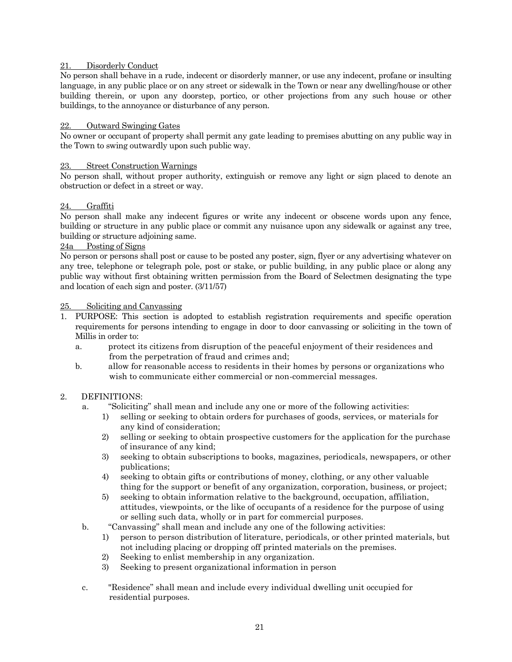#### 21. Disorderly Conduct

No person shall behave in a rude, indecent or disorderly manner, or use any indecent, profane or insulting language, in any public place or on any street or sidewalk in the Town or near any dwelling/house or other building therein, or upon any doorstep, portico, or other projections from any such house or other buildings, to the annoyance or disturbance of any person.

#### 22. Outward Swinging Gates

No owner or occupant of property shall permit any gate leading to premises abutting on any public way in the Town to swing outwardly upon such public way.

#### 23. Street Construction Warnings

No person shall, without proper authority, extinguish or remove any light or sign placed to denote an obstruction or defect in a street or way.

#### 24. Graffiti

No person shall make any indecent figures or write any indecent or obscene words upon any fence, building or structure in any public place or commit any nuisance upon any sidewalk or against any tree, building or structure adjoining same.

#### 24a Posting of Signs

No person or persons shall post or cause to be posted any poster, sign, flyer or any advertising whatever on any tree, telephone or telegraph pole, post or stake, or public building, in any public place or along any public way without first obtaining written permission from the Board of Selectmen designating the type and location of each sign and poster. (3/11/57)

#### 25. Soliciting and Canvassing

- 1. PURPOSE: This section is adopted to establish registration requirements and specific operation requirements for persons intending to engage in door to door canvassing or soliciting in the town of Millis in order to:
	- a. protect its citizens from disruption of the peaceful enjoyment of their residences and from the perpetration of fraud and crimes and;
	- b. allow for reasonable access to residents in their homes by persons or organizations who wish to communicate either commercial or non-commercial messages.

#### 2. DEFINITIONS:

- a. "Soliciting" shall mean and include any one or more of the following activities:
	- 1) selling or seeking to obtain orders for purchases of goods, services, or materials for any kind of consideration;
	- 2) selling or seeking to obtain prospective customers for the application for the purchase of insurance of any kind;
	- 3) seeking to obtain subscriptions to books, magazines, periodicals, newspapers, or other publications;
	- 4) seeking to obtain gifts or contributions of money, clothing, or any other valuable thing for the support or benefit of any organization, corporation, business, or project;
	- 5) seeking to obtain information relative to the background, occupation, affiliation, attitudes, viewpoints, or the like of occupants of a residence for the purpose of using or selling such data, wholly or in part for commercial purposes.
- b. "Canvassing" shall mean and include any one of the following activities:
	- 1) person to person distribution of literature, periodicals, or other printed materials, but not including placing or dropping off printed materials on the premises.
	- 2) Seeking to enlist membership in any organization.
	- 3) Seeking to present organizational information in person
- c. "Residence" shall mean and include every individual dwelling unit occupied for residential purposes.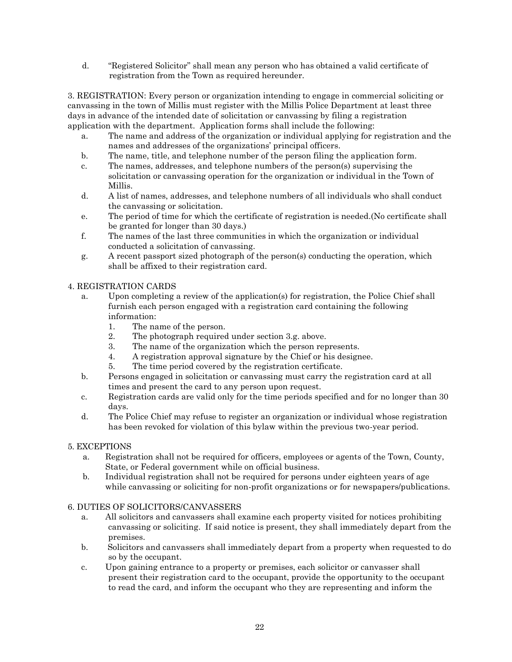d. "Registered Solicitor" shall mean any person who has obtained a valid certificate of registration from the Town as required hereunder.

3. REGISTRATION: Every person or organization intending to engage in commercial soliciting or canvassing in the town of Millis must register with the Millis Police Department at least three days in advance of the intended date of solicitation or canvassing by filing a registration application with the department. Application forms shall include the following:

- a. The name and address of the organization or individual applying for registration and the names and addresses of the organizations' principal officers.
- b. The name, title, and telephone number of the person filing the application form.
- c. The names, addresses, and telephone numbers of the person(s) supervising the solicitation or canvassing operation for the organization or individual in the Town of Millis.
- d. A list of names, addresses, and telephone numbers of all individuals who shall conduct the canvassing or solicitation.
- e. The period of time for which the certificate of registration is needed.(No certificate shall be granted for longer than 30 days.)
- f. The names of the last three communities in which the organization or individual conducted a solicitation of canvassing.
- g. A recent passport sized photograph of the person(s) conducting the operation, which shall be affixed to their registration card.

# 4. REGISTRATION CARDS

- a. Upon completing a review of the application(s) for registration, the Police Chief shall furnish each person engaged with a registration card containing the following information:
	- 1. The name of the person.
	- 2. The photograph required under section 3.g. above.
	- 3. The name of the organization which the person represents.
	- 4. A registration approval signature by the Chief or his designee.
	- 5. The time period covered by the registration certificate.
- b. Persons engaged in solicitation or canvassing must carry the registration card at all times and present the card to any person upon request.
- c. Registration cards are valid only for the time periods specified and for no longer than 30 days.
- d. The Police Chief may refuse to register an organization or individual whose registration has been revoked for violation of this bylaw within the previous two-year period.

#### 5. EXCEPTIONS

- a. Registration shall not be required for officers, employees or agents of the Town, County, State, or Federal government while on official business.
- b. Individual registration shall not be required for persons under eighteen years of age while canvassing or soliciting for non-profit organizations or for newspapers/publications.

#### 6. DUTIES OF SOLICITORS/CANVASSERS

- a. All solicitors and canvassers shall examine each property visited for notices prohibiting canvassing or soliciting. If said notice is present, they shall immediately depart from the premises.
- b. Solicitors and canvassers shall immediately depart from a property when requested to do so by the occupant.
- c. Upon gaining entrance to a property or premises, each solicitor or canvasser shall present their registration card to the occupant, provide the opportunity to the occupant to read the card, and inform the occupant who they are representing and inform the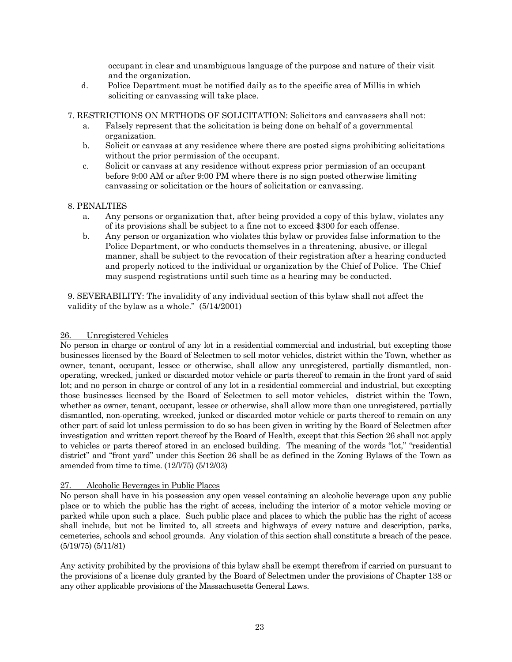occupant in clear and unambiguous language of the purpose and nature of their visit and the organization.

d. Police Department must be notified daily as to the specific area of Millis in which soliciting or canvassing will take place.

7. RESTRICTIONS ON METHODS OF SOLICITATION: Solicitors and canvassers shall not:

- a. Falsely represent that the solicitation is being done on behalf of a governmental organization.
- b. Solicit or canvass at any residence where there are posted signs prohibiting solicitations without the prior permission of the occupant.
- c. Solicit or canvass at any residence without express prior permission of an occupant before 9:00 AM or after 9:00 PM where there is no sign posted otherwise limiting canvassing or solicitation or the hours of solicitation or canvassing.

#### 8. PENALTIES

- a. Any persons or organization that, after being provided a copy of this bylaw, violates any of its provisions shall be subject to a fine not to exceed \$300 for each offense.
- b. Any person or organization who violates this bylaw or provides false information to the Police Department, or who conducts themselves in a threatening, abusive, or illegal manner, shall be subject to the revocation of their registration after a hearing conducted and properly noticed to the individual or organization by the Chief of Police. The Chief may suspend registrations until such time as a hearing may be conducted.

9. SEVERABILITY: The invalidity of any individual section of this bylaw shall not affect the validity of the bylaw as a whole." (5/14/2001)

#### 26. Unregistered Vehicles

No person in charge or control of any lot in a residential commercial and industrial, but excepting those businesses licensed by the Board of Selectmen to sell motor vehicles, district within the Town, whether as owner, tenant, occupant, lessee or otherwise, shall allow any unregistered, partially dismantled, nonoperating, wrecked, junked or discarded motor vehicle or parts thereof to remain in the front yard of said lot; and no person in charge or control of any lot in a residential commercial and industrial, but excepting those businesses licensed by the Board of Selectmen to sell motor vehicles, district within the Town, whether as owner, tenant, occupant, lessee or otherwise, shall allow more than one unregistered, partially dismantled, non-operating, wrecked, junked or discarded motor vehicle or parts thereof to remain on any other part of said lot unless permission to do so has been given in writing by the Board of Selectmen after investigation and written report thereof by the Board of Health, except that this Section 26 shall not apply to vehicles or parts thereof stored in an enclosed building. The meaning of the words "lot," "residential district" and "front yard" under this Section 26 shall be as defined in the Zoning Bylaws of the Town as amended from time to time. (12/l/75) (5/12/03)

#### 27. Alcoholic Beverages in Public Places

No person shall have in his possession any open vessel containing an alcoholic beverage upon any public place or to which the public has the right of access, including the interior of a motor vehicle moving or parked while upon such a place. Such public place and places to which the public has the right of access shall include, but not be limited to, all streets and highways of every nature and description, parks, cemeteries, schools and school grounds. Any violation of this section shall constitute a breach of the peace. (5/19/75) (5/11/81)

Any activity prohibited by the provisions of this bylaw shall be exempt therefrom if carried on pursuant to the provisions of a license duly granted by the Board of Selectmen under the provisions of Chapter 138 or any other applicable provisions of the Massachusetts General Laws.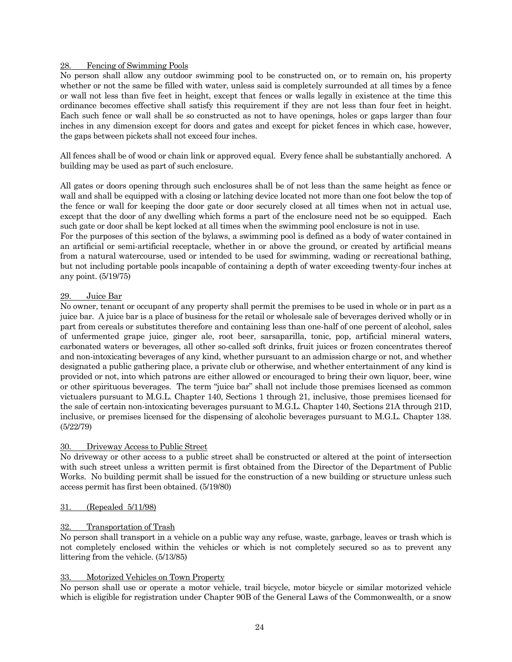#### 28. Fencing of Swimming Pools

No person shall allow any outdoor swimming pool to be constructed on, or to remain on, his property whether or not the same be filled with water, unless said is completely surrounded at all times by a fence or wall not less than five feet in height, except that fences or walls legally in existence at the time this ordinance becomes effective shall satisfy this requirement if they are not less than four feet in height. Each such fence or wall shall be so constructed as not to have openings, holes or gaps larger than four inches in any dimension except for doors and gates and except for picket fences in which case, however, the gaps between pickets shall not exceed four inches.

All fences shall be of wood or chain link or approved equal. Every fence shall be substantially anchored. A building may be used as part of such enclosure.

All gates or doors opening through such enclosures shall be of not less than the same height as fence or wall and shall be equipped with a closing or latching device located not more than one foot below the top of the fence or wall for keeping the door gate or door securely closed at all times when not in actual use, except that the door of any dwelling which forms a part of the enclosure need not be so equipped. Each such gate or door shall be kept locked at all times when the swimming pool enclosure is not in use.

For the purposes of this section of the bylaws, a swimming pool is defined as a body of water contained in an artificial or semi-artificial receptacle, whether in or above the ground, or created by artificial means from a natural watercourse, used or intended to be used for swimming, wading or recreational bathing, but not including portable pools incapable of containing a depth of water exceeding twenty-four inches at any point. (5/19/75)

#### 29. Juice Bar

No owner, tenant or occupant of any property shall permit the premises to be used in whole or in part as a juice bar. A juice bar is a place of business for the retail or wholesale sale of beverages derived wholly or in part from cereals or substitutes therefore and containing less than one-half of one percent of alcohol, sales of unfermented grape juice, ginger ale, root beer, sarsaparilla, tonic, pop, artificial mineral waters, carbonated waters or beverages, all other so-called soft drinks, fruit juices or frozen concentrates thereof and non-intoxicating beverages of any kind, whether pursuant to an admission charge or not, and whether designated a public gathering place, a private club or otherwise, and whether entertainment of any kind is provided or not, into which patrons are either allowed or encouraged to bring their own liquor, beer, wine or other spirituous beverages. The term "juice bar" shall not include those premises licensed as common victualers pursuant to M.G.L. Chapter 140, Sections 1 through 21, inclusive, those premises licensed for the sale of certain non-intoxicating beverages pursuant to M.G.L. Chapter 140, Sections 21A through 21D, inclusive, or premises licensed for the dispensing of alcoholic beverages pursuant to M.G.L. Chapter 138. (5/22/79)

#### 30. Driveway Access to Public Street

No driveway or other access to a public street shall be constructed or altered at the point of intersection with such street unless a written permit is first obtained from the Director of the Department of Public Works. No building permit shall be issued for the construction of a new building or structure unless such access permit has first been obtained. (5/19/80)

#### 31. (Repealed 5/11/98)

#### 32. Transportation of Trash

No person shall transport in a vehicle on a public way any refuse, waste, garbage, leaves or trash which is not completely enclosed within the vehicles or which is not completely secured so as to prevent any littering from the vehicle. (5/13/85)

#### 33. Motorized Vehicles on Town Property

No person shall use or operate a motor vehicle, trail bicycle, motor bicycle or similar motorized vehicle which is eligible for registration under Chapter 90B of the General Laws of the Commonwealth, or a snow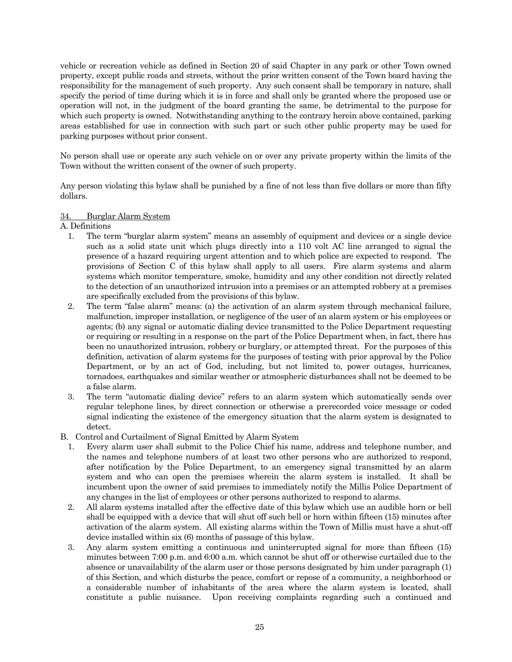vehicle or recreation vehicle as defined in Section 20 of said Chapter in any park or other Town owned property, except public roads and streets, without the prior written consent of the Town board having the responsibility for the management of such property. Any such consent shall be temporary in nature, shall specify the period of time during which it is in force and shall only be granted where the proposed use or operation will not, in the judgment of the board granting the same, be detrimental to the purpose for which such property is owned. Notwithstanding anything to the contrary herein above contained, parking areas established for use in connection with such part or such other public property may be used for parking purposes without prior consent.

No person shall use or operate any such vehicle on or over any private property within the limits of the Town without the written consent of the owner of such property.

Any person violating this bylaw shall be punished by a fine of not less than five dollars or more than fifty dollars.

#### 34. Burglar Alarm System

A. Definitions

- 1. The term "burglar alarm system" means an assembly of equipment and devices or a single device such as a solid state unit which plugs directly into a 110 volt AC line arranged to signal the presence of a hazard requiring urgent attention and to which police are expected to respond. The provisions of Section C of this bylaw shall apply to all users. Fire alarm systems and alarm systems which monitor temperature, smoke, humidity and any other condition not directly related to the detection of an unauthorized intrusion into a premises or an attempted robbery at a premises are specifically excluded from the provisions of this bylaw.
- 2. The term "false alarm" means: (a) the activation of an alarm system through mechanical failure, malfunction, improper installation, or negligence of the user of an alarm system or his employees or agents; (b) any signal or automatic dialing device transmitted to the Police Department requesting or requiring or resulting in a response on the part of the Police Department when, in fact, there has been no unauthorized intrusion, robbery or burglary, or attempted threat. For the purposes of this definition, activation of alarm systems for the purposes of testing with prior approval by the Police Department, or by an act of God, including, but not limited to, power outages, hurricanes, tornadoes, earthquakes and similar weather or atmospheric disturbances shall not be deemed to be a false alarm.
- 3. The term "automatic dialing device" refers to an alarm system which automatically sends over regular telephone lines, by direct connection or otherwise a prerecorded voice message or coded signal indicating the existence of the emergency situation that the alarm system is designated to detect.
- B. Control and Curtailment of Signal Emitted by Alarm System
	- 1. Every alarm user shall submit to the Police Chief his name, address and telephone number, and the names and telephone numbers of at least two other persons who are authorized to respond, after notification by the Police Department, to an emergency signal transmitted by an alarm system and who can open the premises wherein the alarm system is installed. It shall be incumbent upon the owner of said premises to immediately notify the Millis Police Department of any changes in the list of employees or other persons authorized to respond to alarms.
	- 2. All alarm systems installed after the effective date of this bylaw which use an audible horn or bell shall be equipped with a device that will shut off such bell or horn within fifteen (15) minutes after activation of the alarm system. All existing alarms within the Town of Millis must have a shut-off device installed within six (6) months of passage of this bylaw.
	- 3. Any alarm system emitting a continuous and uninterrupted signal for more than fifteen (15) minutes between 7:00 p.m. and 6:00 a.m. which cannot be shut off or otherwise curtailed due to the absence or unavailability of the alarm user or those persons designated by him under paragraph (1) of this Section, and which disturbs the peace, comfort or repose of a community, a neighborhood or a considerable number of inhabitants of the area where the alarm system is located, shall constitute a public nuisance. Upon receiving complaints regarding such a continued and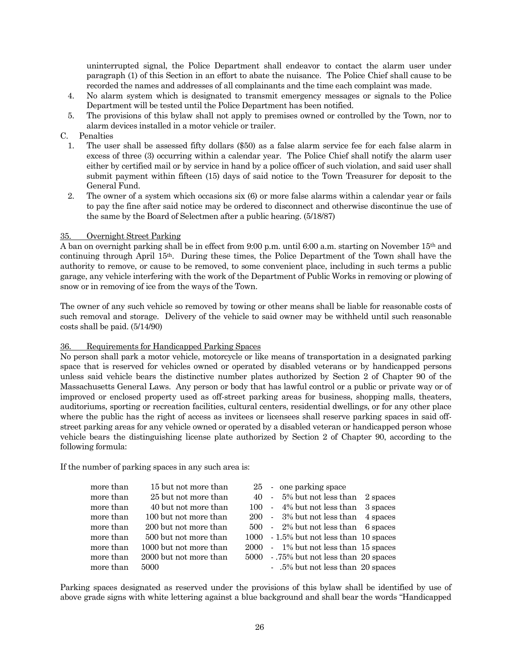uninterrupted signal, the Police Department shall endeavor to contact the alarm user under paragraph (1) of this Section in an effort to abate the nuisance. The Police Chief shall cause to be recorded the names and addresses of all complainants and the time each complaint was made.

- 4. No alarm system which is designated to transmit emergency messages or signals to the Police Department will be tested until the Police Department has been notified.
- 5. The provisions of this bylaw shall not apply to premises owned or controlled by the Town, nor to alarm devices installed in a motor vehicle or trailer.

#### C. Penalties

- 1. The user shall be assessed fifty dollars (\$50) as a false alarm service fee for each false alarm in excess of three (3) occurring within a calendar year. The Police Chief shall notify the alarm user either by certified mail or by service in hand by a police officer of such violation, and said user shall submit payment within fifteen (15) days of said notice to the Town Treasurer for deposit to the General Fund.
- 2. The owner of a system which occasions six (6) or more false alarms within a calendar year or fails to pay the fine after said notice may be ordered to disconnect and otherwise discontinue the use of the same by the Board of Selectmen after a public hearing. (5/18/87)

#### 35. Overnight Street Parking

A ban on overnight parking shall be in effect from 9:00 p.m. until 6:00 a.m. starting on November 15th and continuing through April 15th. During these times, the Police Department of the Town shall have the authority to remove, or cause to be removed, to some convenient place, including in such terms a public garage, any vehicle interfering with the work of the Department of Public Works in removing or plowing of snow or in removing of ice from the ways of the Town.

The owner of any such vehicle so removed by towing or other means shall be liable for reasonable costs of such removal and storage. Delivery of the vehicle to said owner may be withheld until such reasonable costs shall be paid. (5/14/90)

#### 36. Requirements for Handicapped Parking Spaces

No person shall park a motor vehicle, motorcycle or like means of transportation in a designated parking space that is reserved for vehicles owned or operated by disabled veterans or by handicapped persons unless said vehicle bears the distinctive number plates authorized by Section 2 of Chapter 90 of the Massachusetts General Laws. Any person or body that has lawful control or a public or private way or of improved or enclosed property used as off-street parking areas for business, shopping malls, theaters, auditoriums, sporting or recreation facilities, cultural centers, residential dwellings, or for any other place where the public has the right of access as invitees or licensees shall reserve parking spaces in said offstreet parking areas for any vehicle owned or operated by a disabled veteran or handicapped person whose vehicle bears the distinguishing license plate authorized by Section 2 of Chapter 90, according to the following formula:

If the number of parking spaces in any such area is:

| more than | 15 but not more than   |  | 25 - one parking space                  |          |
|-----------|------------------------|--|-----------------------------------------|----------|
| more than | 25 but not more than   |  | 40 - 5% but not less than               | 2 spaces |
| more than | 40 but not more than   |  | 100 - 4% but not less than              | 3 spaces |
| more than | 100 but not more than  |  | 200 - 3% but not less than              | 4 spaces |
| more than | 200 but not more than  |  | 500 - 2% but not less than 6 spaces     |          |
| more than | 500 but not more than  |  | 1000 - 1.5% but not less than 10 spaces |          |
| more than | 1000 but not more than |  | 2000 - 1% but not less than 15 spaces   |          |
| more than | 2000 but not more than |  | 5000 - .75% but not less than 20 spaces |          |
| more than | 5000                   |  | - .5% but not less than 20 spaces       |          |

Parking spaces designated as reserved under the provisions of this bylaw shall be identified by use of above grade signs with white lettering against a blue background and shall bear the words "Handicapped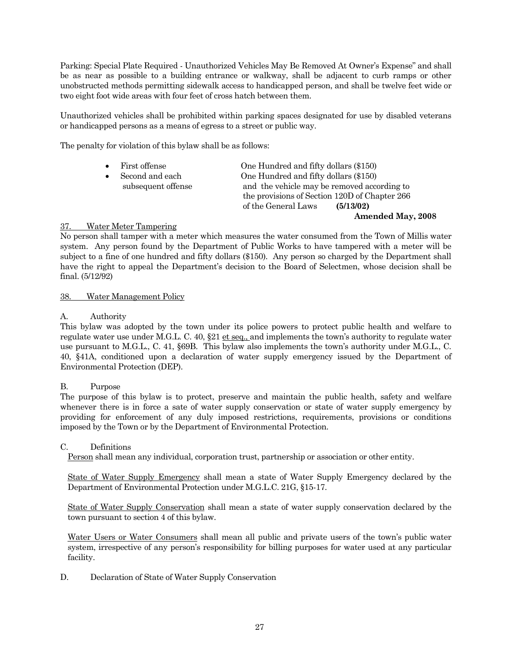Parking: Special Plate Required - Unauthorized Vehicles May Be Removed At Owner's Expense" and shall be as near as possible to a building entrance or walkway, shall be adjacent to curb ramps or other unobstructed methods permitting sidewalk access to handicapped person, and shall be twelve feet wide or two eight foot wide areas with four feet of cross hatch between them.

Unauthorized vehicles shall be prohibited within parking spaces designated for use by disabled veterans or handicapped persons as a means of egress to a street or public way.

The penalty for violation of this bylaw shall be as follows:

| First offense      | One Hundred and fifty dollars (\$150)         |
|--------------------|-----------------------------------------------|
| Second and each    | One Hundred and fifty dollars (\$150)         |
| subsequent offense | and the vehicle may be removed according to   |
|                    | the provisions of Section 120D of Chapter 266 |
|                    | of the General Laws<br>(5/13/02)              |
|                    | <b>Amended May, 2008</b>                      |

#### 37. Water Meter Tampering

No person shall tamper with a meter which measures the water consumed from the Town of Millis water system. Any person found by the Department of Public Works to have tampered with a meter will be subject to a fine of one hundred and fifty dollars (\$150). Any person so charged by the Department shall have the right to appeal the Department's decision to the Board of Selectmen, whose decision shall be final. (5/12/92)

#### 38. Water Management Policy

#### A. Authority

This bylaw was adopted by the town under its police powers to protect public health and welfare to regulate water use under M.G.L. C. 40,  $\S21$  et seq., and implements the town's authority to regulate water use pursuant to M.G.L., C. 41, §69B. This bylaw also implements the town's authority under M.G.L., C. 40, §41A, conditioned upon a declaration of water supply emergency issued by the Department of Environmental Protection (DEP).

#### B. Purpose

The purpose of this bylaw is to protect, preserve and maintain the public health, safety and welfare whenever there is in force a sate of water supply conservation or state of water supply emergency by providing for enforcement of any duly imposed restrictions, requirements, provisions or conditions imposed by the Town or by the Department of Environmental Protection.

#### C. Definitions

Person shall mean any individual, corporation trust, partnership or association or other entity.

State of Water Supply Emergency shall mean a state of Water Supply Emergency declared by the Department of Environmental Protection under M.G.L.C. 21G, §15-17.

State of Water Supply Conservation shall mean a state of water supply conservation declared by the town pursuant to section 4 of this bylaw.

Water Users or Water Consumers shall mean all public and private users of the town's public water system, irrespective of any person's responsibility for billing purposes for water used at any particular facility.

D. Declaration of State of Water Supply Conservation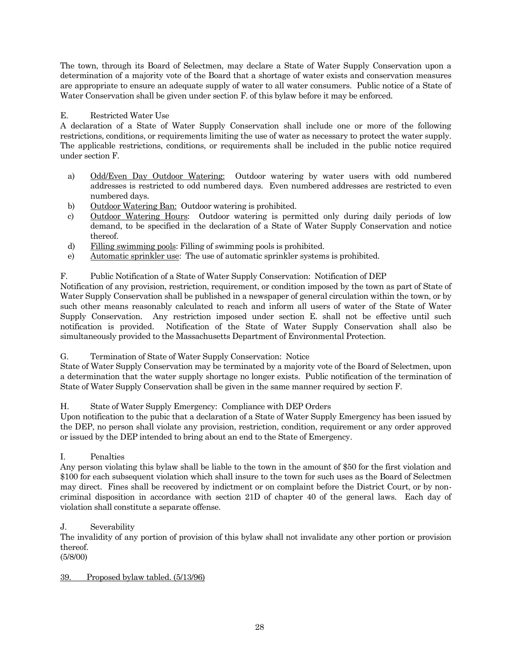The town, through its Board of Selectmen, may declare a State of Water Supply Conservation upon a determination of a majority vote of the Board that a shortage of water exists and conservation measures are appropriate to ensure an adequate supply of water to all water consumers. Public notice of a State of Water Conservation shall be given under section F. of this bylaw before it may be enforced.

# E. Restricted Water Use

A declaration of a State of Water Supply Conservation shall include one or more of the following restrictions, conditions, or requirements limiting the use of water as necessary to protect the water supply. The applicable restrictions, conditions, or requirements shall be included in the public notice required under section F.

- a) Odd/Even Day Outdoor Watering: Outdoor watering by water users with odd numbered addresses is restricted to odd numbered days. Even numbered addresses are restricted to even numbered days.
- b) Outdoor Watering Ban: Outdoor watering is prohibited.
- c) Outdoor Watering Hours: Outdoor watering is permitted only during daily periods of low demand, to be specified in the declaration of a State of Water Supply Conservation and notice thereof.
- d) Filling swimming pools: Filling of swimming pools is prohibited.
- e) Automatic sprinkler use: The use of automatic sprinkler systems is prohibited.

#### F. Public Notification of a State of Water Supply Conservation: Notification of DEP

Notification of any provision, restriction, requirement, or condition imposed by the town as part of State of Water Supply Conservation shall be published in a newspaper of general circulation within the town, or by such other means reasonably calculated to reach and inform all users of water of the State of Water Supply Conservation. Any restriction imposed under section E. shall not be effective until such notification is provided. Notification of the State of Water Supply Conservation shall also be simultaneously provided to the Massachusetts Department of Environmental Protection.

G. Termination of State of Water Supply Conservation: Notice

State of Water Supply Conservation may be terminated by a majority vote of the Board of Selectmen, upon a determination that the water supply shortage no longer exists. Public notification of the termination of State of Water Supply Conservation shall be given in the same manner required by section F.

#### H. State of Water Supply Emergency: Compliance with DEP Orders

Upon notification to the pubic that a declaration of a State of Water Supply Emergency has been issued by the DEP, no person shall violate any provision, restriction, condition, requirement or any order approved or issued by the DEP intended to bring about an end to the State of Emergency.

#### I. Penalties

Any person violating this bylaw shall be liable to the town in the amount of \$50 for the first violation and \$100 for each subsequent violation which shall insure to the town for such uses as the Board of Selectmen may direct. Fines shall be recovered by indictment or on complaint before the District Court, or by noncriminal disposition in accordance with section 21D of chapter 40 of the general laws. Each day of violation shall constitute a separate offense.

#### J. Severability

The invalidity of any portion of provision of this bylaw shall not invalidate any other portion or provision thereof.

(5/8/00)

#### 39. Proposed bylaw tabled. (5/13/96)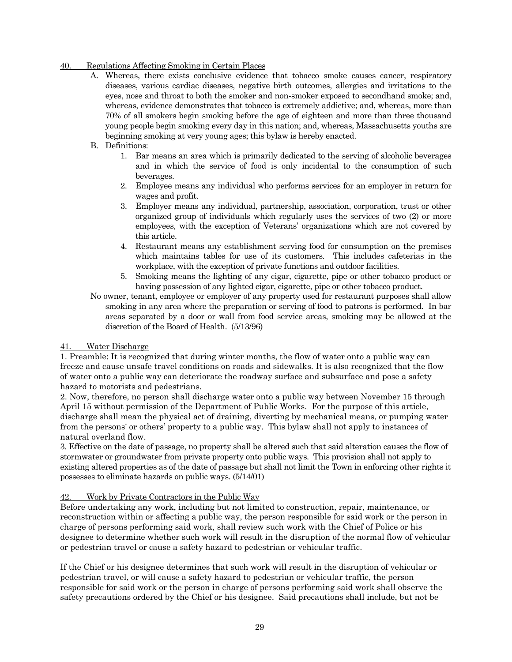#### 40. Regulations Affecting Smoking in Certain Places

A. Whereas, there exists conclusive evidence that tobacco smoke causes cancer, respiratory diseases, various cardiac diseases, negative birth outcomes, allergies and irritations to the eyes, nose and throat to both the smoker and non-smoker exposed to secondhand smoke; and, whereas, evidence demonstrates that tobacco is extremely addictive; and, whereas, more than 70% of all smokers begin smoking before the age of eighteen and more than three thousand young people begin smoking every day in this nation; and, whereas, Massachusetts youths are beginning smoking at very young ages; this bylaw is hereby enacted.

#### B. Definitions:

- 1. Bar means an area which is primarily dedicated to the serving of alcoholic beverages and in which the service of food is only incidental to the consumption of such beverages.
- 2. Employee means any individual who performs services for an employer in return for wages and profit.
- 3. Employer means any individual, partnership, association, corporation, trust or other organized group of individuals which regularly uses the services of two (2) or more employees, with the exception of Veterans' organizations which are not covered by this article.
- 4. Restaurant means any establishment serving food for consumption on the premises which maintains tables for use of its customers. This includes cafeterias in the workplace, with the exception of private functions and outdoor facilities.
- 5. Smoking means the lighting of any cigar, cigarette, pipe or other tobacco product or having possession of any lighted cigar, cigarette, pipe or other tobacco product.
- No owner, tenant, employee or employer of any property used for restaurant purposes shall allow smoking in any area where the preparation or serving of food to patrons is performed. In bar areas separated by a door or wall from food service areas, smoking may be allowed at the discretion of the Board of Health. (5/13/96)

#### 41. Water Discharge

1. Preamble: It is recognized that during winter months, the flow of water onto a public way can freeze and cause unsafe travel conditions on roads and sidewalks. It is also recognized that the flow of water onto a public way can deteriorate the roadway surface and subsurface and pose a safety hazard to motorists and pedestrians.

2. Now, therefore, no person shall discharge water onto a public way between November 15 through April 15 without permission of the Department of Public Works. For the purpose of this article, discharge shall mean the physical act of draining, diverting by mechanical means, or pumping water from the persons' or others' property to a public way. This bylaw shall not apply to instances of natural overland flow.

3. Effective on the date of passage, no property shall be altered such that said alteration causes the flow of stormwater or groundwater from private property onto public ways. This provision shall not apply to existing altered properties as of the date of passage but shall not limit the Town in enforcing other rights it possesses to eliminate hazards on public ways. (5/14/01)

#### 42. Work by Private Contractors in the Public Way

Before undertaking any work, including but not limited to construction, repair, maintenance, or reconstruction within or affecting a public way, the person responsible for said work or the person in charge of persons performing said work, shall review such work with the Chief of Police or his designee to determine whether such work will result in the disruption of the normal flow of vehicular or pedestrian travel or cause a safety hazard to pedestrian or vehicular traffic.

If the Chief or his designee determines that such work will result in the disruption of vehicular or pedestrian travel, or will cause a safety hazard to pedestrian or vehicular traffic, the person responsible for said work or the person in charge of persons performing said work shall observe the safety precautions ordered by the Chief or his designee. Said precautions shall include, but not be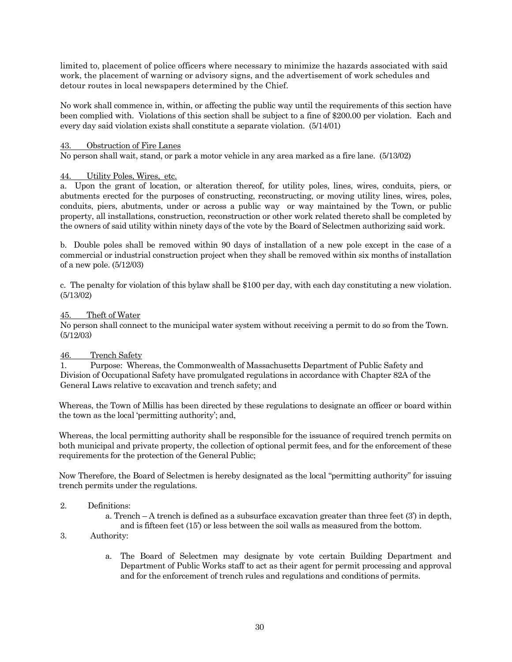limited to, placement of police officers where necessary to minimize the hazards associated with said work, the placement of warning or advisory signs, and the advertisement of work schedules and detour routes in local newspapers determined by the Chief.

No work shall commence in, within, or affecting the public way until the requirements of this section have been complied with. Violations of this section shall be subject to a fine of \$200.00 per violation. Each and every day said violation exists shall constitute a separate violation. (5/14/01)

#### 43. Obstruction of Fire Lanes

No person shall wait, stand, or park a motor vehicle in any area marked as a fire lane. (5/13/02)

#### 44. Utility Poles, Wires, etc.

a. Upon the grant of location, or alteration thereof, for utility poles, lines, wires, conduits, piers, or abutments erected for the purposes of constructing, reconstructing, or moving utility lines, wires, poles, conduits, piers, abutments, under or across a public way or way maintained by the Town, or public property, all installations, construction, reconstruction or other work related thereto shall be completed by the owners of said utility within ninety days of the vote by the Board of Selectmen authorizing said work.

b. Double poles shall be removed within 90 days of installation of a new pole except in the case of a commercial or industrial construction project when they shall be removed within six months of installation of a new pole. (5/12/03)

c. The penalty for violation of this bylaw shall be \$100 per day, with each day constituting a new violation. (5/13/02)

#### 45. Theft of Water

No person shall connect to the municipal water system without receiving a permit to do so from the Town. (5/12/03)

#### 46. Trench Safety

1. Purpose: Whereas, the Commonwealth of Massachusetts Department of Public Safety and Division of Occupational Safety have promulgated regulations in accordance with Chapter 82A of the General Laws relative to excavation and trench safety; and

Whereas, the Town of Millis has been directed by these regulations to designate an officer or board within the town as the local 'permitting authority'; and,

Whereas, the local permitting authority shall be responsible for the issuance of required trench permits on both municipal and private property, the collection of optional permit fees, and for the enforcement of these requirements for the protection of the General Public;

Now Therefore, the Board of Selectmen is hereby designated as the local "permitting authority" for issuing trench permits under the regulations.

#### 2. Definitions:

a. Trench – A trench is defined as a subsurface excavation greater than three feet (3') in depth, and is fifteen feet (15') or less between the soil walls as measured from the bottom.

#### 3. Authority:

a. The Board of Selectmen may designate by vote certain Building Department and Department of Public Works staff to act as their agent for permit processing and approval and for the enforcement of trench rules and regulations and conditions of permits.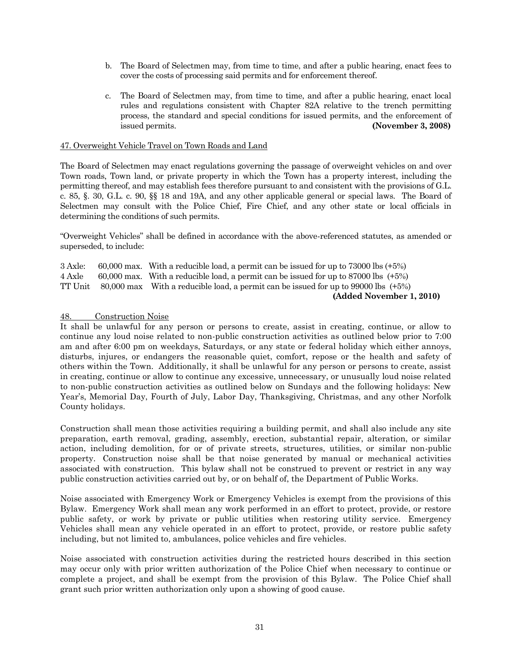- b. The Board of Selectmen may, from time to time, and after a public hearing, enact fees to cover the costs of processing said permits and for enforcement thereof.
- c. The Board of Selectmen may, from time to time, and after a public hearing, enact local rules and regulations consistent with Chapter 82A relative to the trench permitting process, the standard and special conditions for issued permits, and the enforcement of issued permits. **(November 3, 2008)**

#### 47. Overweight Vehicle Travel on Town Roads and Land

The Board of Selectmen may enact regulations governing the passage of overweight vehicles on and over Town roads, Town land, or private property in which the Town has a property interest, including the permitting thereof, and may establish fees therefore pursuant to and consistent with the provisions of G.L. c. 85, §. 30, G.L. c. 90, §§ 18 and 19A, and any other applicable general or special laws. The Board of Selectmen may consult with the Police Chief, Fire Chief, and any other state or local officials in determining the conditions of such permits.

"Overweight Vehicles" shall be defined in accordance with the above-referenced statutes, as amended or superseded, to include:

| 3 Axle: | 60,000 max. With a reducible load, a permit can be issued for up to $73000$ lbs $(+5%)$ |
|---------|-----------------------------------------------------------------------------------------|
| 4 Axle  | 60,000 max. With a reducible load, a permit can be issued for up to 87000 lbs $(+5%)$   |
| TT Unit | 80,000 max With a reducible load, a permit can be issued for up to 99000 lbs $(+5%)$    |
|         | (Added November 1, 2010)                                                                |

#### 48. Construction Noise

It shall be unlawful for any person or persons to create, assist in creating, continue, or allow to continue any loud noise related to non-public construction activities as outlined below prior to 7:00 am and after 6:00 pm on weekdays, Saturdays, or any state or federal holiday which either annoys, disturbs, injures, or endangers the reasonable quiet, comfort, repose or the health and safety of others within the Town. Additionally, it shall be unlawful for any person or persons to create, assist in creating, continue or allow to continue any excessive, unnecessary, or unusually loud noise related to non-public construction activities as outlined below on Sundays and the following holidays: New Year's, Memorial Day, Fourth of July, Labor Day, Thanksgiving, Christmas, and any other Norfolk County holidays.

Construction shall mean those activities requiring a building permit, and shall also include any site preparation, earth removal, grading, assembly, erection, substantial repair, alteration, or similar action, including demolition, for or of private streets, structures, utilities, or similar non-public property. Construction noise shall be that noise generated by manual or mechanical activities associated with construction. This bylaw shall not be construed to prevent or restrict in any way public construction activities carried out by, or on behalf of, the Department of Public Works.

Noise associated with Emergency Work or Emergency Vehicles is exempt from the provisions of this Bylaw. Emergency Work shall mean any work performed in an effort to protect, provide, or restore public safety, or work by private or public utilities when restoring utility service. Emergency Vehicles shall mean any vehicle operated in an effort to protect, provide, or restore public safety including, but not limited to, ambulances, police vehicles and fire vehicles.

Noise associated with construction activities during the restricted hours described in this section may occur only with prior written authorization of the Police Chief when necessary to continue or complete a project, and shall be exempt from the provision of this Bylaw. The Police Chief shall grant such prior written authorization only upon a showing of good cause.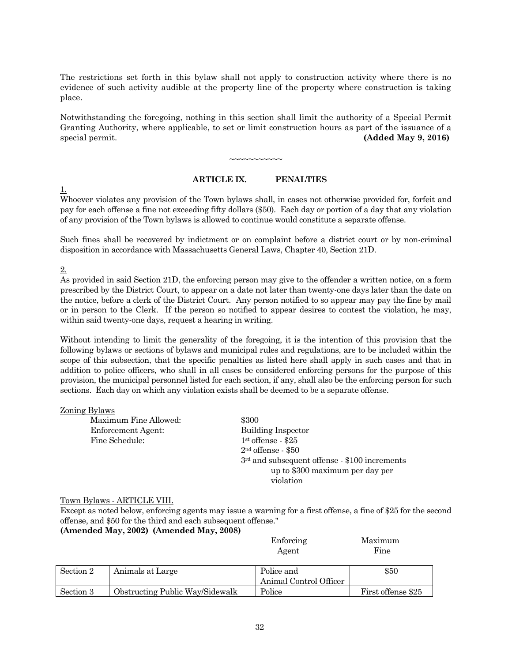The restrictions set forth in this bylaw shall not apply to construction activity where there is no evidence of such activity audible at the property line of the property where construction is taking place.

Notwithstanding the foregoing, nothing in this section shall limit the authority of a Special Permit Granting Authority, where applicable, to set or limit construction hours as part of the issuance of a special permit. **(Added May 9, 2016)**

~~~~~~~~~~~

#### **ARTICLE IX. PENALTIES**

1.

Whoever violates any provision of the Town bylaws shall, in cases not otherwise provided for, forfeit and pay for each offense a fine not exceeding fifty dollars (\$50). Each day or portion of a day that any violation of any provision of the Town bylaws is allowed to continue would constitute a separate offense.

Such fines shall be recovered by indictment or on complaint before a district court or by non-criminal disposition in accordance with Massachusetts General Laws, Chapter 40, Section 21D.

2.

As provided in said Section 21D, the enforcing person may give to the offender a written notice, on a form prescribed by the District Court, to appear on a date not later than twenty-one days later than the date on the notice, before a clerk of the District Court. Any person notified to so appear may pay the fine by mail or in person to the Clerk. If the person so notified to appear desires to contest the violation, he may, within said twenty-one days, request a hearing in writing.

Without intending to limit the generality of the foregoing, it is the intention of this provision that the following bylaws or sections of bylaws and municipal rules and regulations, are to be included within the scope of this subsection, that the specific penalties as listed here shall apply in such cases and that in addition to police officers, who shall in all cases be considered enforcing persons for the purpose of this provision, the municipal personnel listed for each section, if any, shall also be the enforcing person for such sections. Each day on which any violation exists shall be deemed to be a separate offense.

#### Zoning Bylaws

| Maximum Fine Allowed: | \$300                                           |
|-----------------------|-------------------------------------------------|
| Enforcement Agent:    | <b>Building Inspector</b>                       |
| Fine Schedule:        | $1st$ offense - \$25                            |
|                       | $2nd$ offense $-$ \$50                          |
|                       | $3rd$ and subsequent offense - \$100 increments |
|                       | up to \$300 maximum per day per                 |
|                       | violation                                       |

#### Town Bylaws - ARTICLE VIII.

Except as noted below, enforcing agents may issue a warning for a first offense, a fine of \$25 for the second offense, and \$50 for the third and each subsequent offense." **(Amended May, 2002) (Amended May, 2008)**

|  | Enforcing | Maximum |
|--|-----------|---------|
|  | Agent     | Fine    |
|  |           |         |
|  |           |         |

| Section 2 | Animals at Large                | Police and             | \$50               |
|-----------|---------------------------------|------------------------|--------------------|
|           |                                 | Animal Control Officer |                    |
| Section 3 | Obstructing Public Way/Sidewalk | Police                 | First offense \$25 |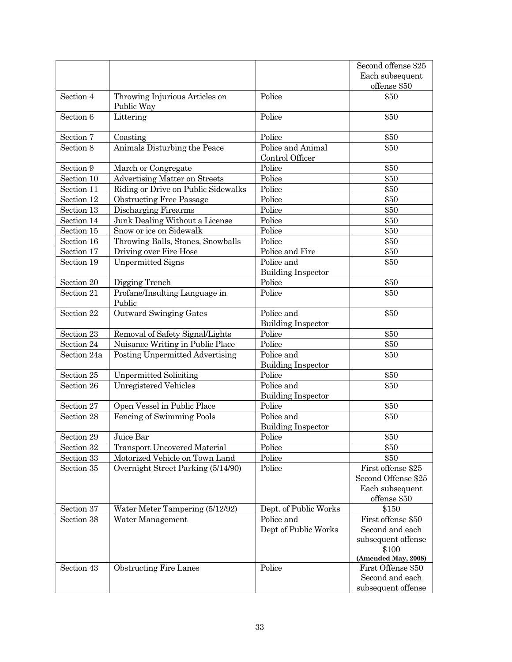|             |                                              |                                         | Second offense \$25                                                          |
|-------------|----------------------------------------------|-----------------------------------------|------------------------------------------------------------------------------|
|             |                                              |                                         | Each subsequent                                                              |
|             |                                              |                                         | offense \$50                                                                 |
| Section 4   | Throwing Injurious Articles on<br>Public Way | Police                                  | \$50                                                                         |
| Section 6   | Littering                                    | Police                                  | \$50                                                                         |
| Section 7   | Coasting                                     | Police                                  | \$50                                                                         |
| Section 8   | Animals Disturbing the Peace                 | Police and Animal<br>Control Officer    | \$50                                                                         |
| Section 9   | March or Congregate                          | Police                                  | \$50                                                                         |
| Section 10  | <b>Advertising Matter on Streets</b>         | Police                                  | \$50                                                                         |
| Section 11  | Riding or Drive on Public Sidewalks          | Police                                  | \$50                                                                         |
| Section 12  | <b>Obstructing Free Passage</b>              | Police                                  | \$50                                                                         |
| Section 13  | Discharging Firearms                         | Police                                  | \$50                                                                         |
| Section 14  | Junk Dealing Without a License               | Police                                  | \$50                                                                         |
| Section 15  | Snow or ice on Sidewalk                      | Police                                  | \$50                                                                         |
| Section 16  | Throwing Balls, Stones, Snowballs            | Police                                  | \$50                                                                         |
| Section 17  | Driving over Fire Hose                       | Police and Fire                         | \$50                                                                         |
| Section 19  | <b>Unpermitted Signs</b>                     | Police and                              | \$50                                                                         |
|             |                                              | <b>Building Inspector</b>               |                                                                              |
| Section 20  | Digging Trench                               | Police                                  | \$50                                                                         |
| Section 21  | Profane/Insulting Language in<br>Public      | Police                                  | \$50                                                                         |
| Section 22  | Outward Swinging Gates                       | Police and                              | \$50                                                                         |
|             |                                              | <b>Building Inspector</b>               |                                                                              |
| Section 23  | Removal of Safety Signal/Lights              | Police                                  | \$50                                                                         |
| Section 24  | Nuisance Writing in Public Place             | Police                                  | \$50                                                                         |
| Section 24a | Posting Unpermitted Advertising              | Police and<br><b>Building Inspector</b> | \$50                                                                         |
| Section 25  | <b>Unpermitted Soliciting</b>                | Police                                  | \$50                                                                         |
| Section 26  | <b>Unregistered Vehicles</b>                 | Police and<br><b>Building Inspector</b> | \$50                                                                         |
| Section 27  | Open Vessel in Public Place                  | Police                                  | \$50                                                                         |
| Section 28  | Fencing of Swimming Pools                    | Police and<br><b>Building Inspector</b> | \$50                                                                         |
| Section 29  | Juice Bar                                    | Police                                  | \$50                                                                         |
| Section 32  | <b>Transport Uncovered Material</b>          | Police                                  | \$50                                                                         |
| Section 33  | Motorized Vehicle on Town Land               | Police                                  | \$50                                                                         |
| Section 35  | Overnight Street Parking (5/14/90)           | Police                                  | First offense \$25<br>Second Offense \$25<br>Each subsequent<br>offense \$50 |
| Section 37  | Water Meter Tampering (5/12/92)              | Dept. of Public Works                   | \$150                                                                        |
| Section 38  | Water Management                             | Police and                              | First offense \$50                                                           |
|             |                                              | Dept of Public Works                    | Second and each                                                              |
|             |                                              |                                         | subsequent offense<br>\$100                                                  |
|             |                                              |                                         | (Amended May, 2008)                                                          |
| Section 43  | <b>Obstructing Fire Lanes</b>                | Police                                  | First Offense \$50                                                           |
|             |                                              |                                         | Second and each                                                              |
|             |                                              |                                         | subsequent offense                                                           |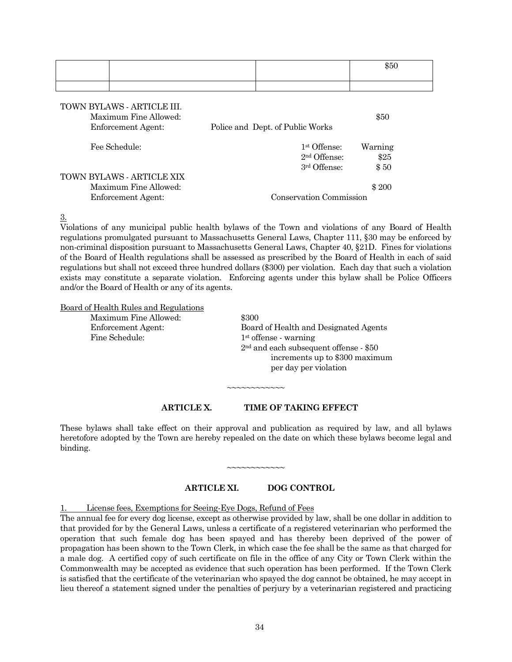|                                                                                  |                                            | \$50            |
|----------------------------------------------------------------------------------|--------------------------------------------|-----------------|
|                                                                                  |                                            |                 |
| TOWN BYLAWS - ARTICLE III.<br>Maximum Fine Allowed:<br><b>Enforcement Agent:</b> | Police and Dept. of Public Works           | \$50            |
| Fee Schedule:                                                                    | 1 <sup>st</sup> Offense:<br>$2nd$ Offense: | Warning<br>\$25 |
| TOWN BYLAWS - ARTICLE XIX                                                        | 3rd Offense:                               | \$50            |

Maximum Fine Allowed: \$ 200 Enforcement Agent: Conservation Commission

3.

Violations of any municipal public health bylaws of the Town and violations of any Board of Health regulations promulgated pursuant to Massachusetts General Laws, Chapter 111, §30 may be enforced by non-criminal disposition pursuant to Massachusetts General Laws, Chapter 40, §21D. Fines for violations of the Board of Health regulations shall be assessed as prescribed by the Board of Health in each of said regulations but shall not exceed three hundred dollars (\$300) per violation. Each day that such a violation exists may constitute a separate violation. Enforcing agents under this bylaw shall be Police Officers and/or the Board of Health or any of its agents.

Board of Health Rules and Regulations

Maximum Fine Allowed: \$300 Fine Schedule: 1<sup>st</sup> offense - warning

Enforcement Agent: Board of Health and Designated Agents 2nd and each subsequent offense - \$50 increments up to \$300 maximum per day per violation

**ARTICLE X. TIME OF TAKING EFFECT**

~~~~~~~~~~~~

These bylaws shall take effect on their approval and publication as required by law, and all bylaws heretofore adopted by the Town are hereby repealed on the date on which these bylaws become legal and binding.

~~~~~~~~~~~~

#### **ARTICLE XI. DOG CONTROL**

License fees, Exemptions for Seeing-Eye Dogs, Refund of Fees

The annual fee for every dog license, except as otherwise provided by law, shall be one dollar in addition to that provided for by the General Laws, unless a certificate of a registered veterinarian who performed the operation that such female dog has been spayed and has thereby been deprived of the power of propagation has been shown to the Town Clerk, in which case the fee shall be the same as that charged for a male dog. A certified copy of such certificate on file in the office of any City or Town Clerk within the Commonwealth may be accepted as evidence that such operation has been performed. If the Town Clerk is satisfied that the certificate of the veterinarian who spayed the dog cannot be obtained, he may accept in lieu thereof a statement signed under the penalties of perjury by a veterinarian registered and practicing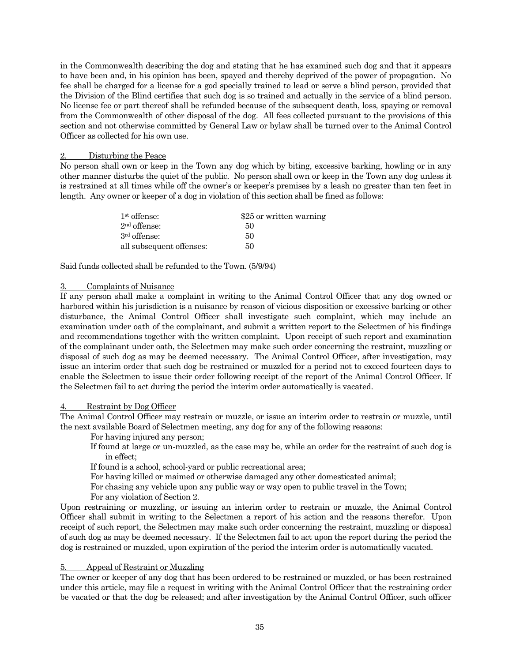in the Commonwealth describing the dog and stating that he has examined such dog and that it appears to have been and, in his opinion has been, spayed and thereby deprived of the power of propagation. No fee shall be charged for a license for a god specially trained to lead or serve a blind person, provided that the Division of the Blind certifies that such dog is so trained and actually in the service of a blind person. No license fee or part thereof shall be refunded because of the subsequent death, loss, spaying or removal from the Commonwealth of other disposal of the dog. All fees collected pursuant to the provisions of this section and not otherwise committed by General Law or bylaw shall be turned over to the Animal Control Officer as collected for his own use.

#### **Disturbing the Peace**

No person shall own or keep in the Town any dog which by biting, excessive barking, howling or in any other manner disturbs the quiet of the public. No person shall own or keep in the Town any dog unless it is restrained at all times while off the owner's or keeper's premises by a leash no greater than ten feet in length. Any owner or keeper of a dog in violation of this section shall be fined as follows:

| 1 <sup>st</sup> offense: | \$25 or written warning |
|--------------------------|-------------------------|
| 2 <sup>nd</sup> offense: | 50                      |
| 3rd offense:             | 50                      |
| all subsequent offenses: | 50                      |

Said funds collected shall be refunded to the Town. (5/9/94)

#### 3. Complaints of Nuisance

If any person shall make a complaint in writing to the Animal Control Officer that any dog owned or harbored within his jurisdiction is a nuisance by reason of vicious disposition or excessive barking or other disturbance, the Animal Control Officer shall investigate such complaint, which may include an examination under oath of the complainant, and submit a written report to the Selectmen of his findings and recommendations together with the written complaint. Upon receipt of such report and examination of the complainant under oath, the Selectmen may make such order concerning the restraint, muzzling or disposal of such dog as may be deemed necessary. The Animal Control Officer, after investigation, may issue an interim order that such dog be restrained or muzzled for a period not to exceed fourteen days to enable the Selectmen to issue their order following receipt of the report of the Animal Control Officer. If the Selectmen fail to act during the period the interim order automatically is vacated.

#### 4. Restraint by Dog Officer

The Animal Control Officer may restrain or muzzle, or issue an interim order to restrain or muzzle, until the next available Board of Selectmen meeting, any dog for any of the following reasons:

For having injured any person;

If found at large or un-muzzled, as the case may be, while an order for the restraint of such dog is in effect;

If found is a school, school-yard or public recreational area;

For having killed or maimed or otherwise damaged any other domesticated animal;

For chasing any vehicle upon any public way or way open to public travel in the Town;

For any violation of Section 2.

Upon restraining or muzzling, or issuing an interim order to restrain or muzzle, the Animal Control Officer shall submit in writing to the Selectmen a report of his action and the reasons therefor. Upon receipt of such report, the Selectmen may make such order concerning the restraint, muzzling or disposal of such dog as may be deemed necessary. If the Selectmen fail to act upon the report during the period the dog is restrained or muzzled, upon expiration of the period the interim order is automatically vacated.

#### 5. Appeal of Restraint or Muzzling

The owner or keeper of any dog that has been ordered to be restrained or muzzled, or has been restrained under this article, may file a request in writing with the Animal Control Officer that the restraining order be vacated or that the dog be released; and after investigation by the Animal Control Officer, such officer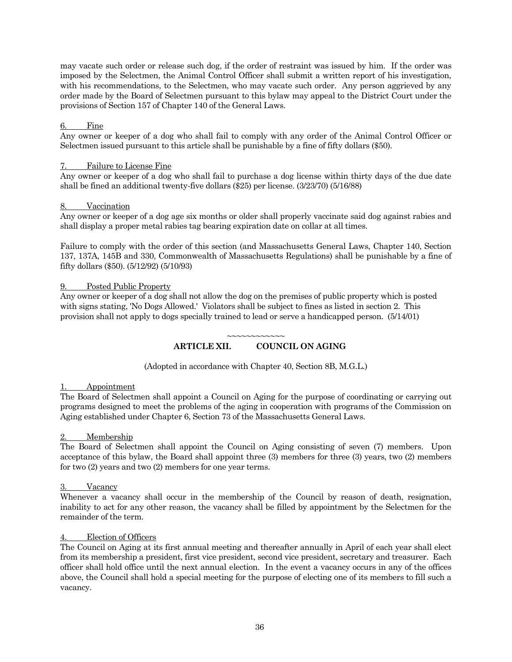may vacate such order or release such dog, if the order of restraint was issued by him. If the order was imposed by the Selectmen, the Animal Control Officer shall submit a written report of his investigation, with his recommendations, to the Selectmen, who may vacate such order. Any person aggrieved by any order made by the Board of Selectmen pursuant to this bylaw may appeal to the District Court under the provisions of Section 157 of Chapter 140 of the General Laws.

#### 6. Fine

Any owner or keeper of a dog who shall fail to comply with any order of the Animal Control Officer or Selectmen issued pursuant to this article shall be punishable by a fine of fifty dollars (\$50).

#### 7. Failure to License Fine

Any owner or keeper of a dog who shall fail to purchase a dog license within thirty days of the due date shall be fined an additional twenty-five dollars (\$25) per license. (3/23/70) (5/16/88)

#### 8. Vaccination

Any owner or keeper of a dog age six months or older shall properly vaccinate said dog against rabies and shall display a proper metal rabies tag bearing expiration date on collar at all times.

Failure to comply with the order of this section (and Massachusetts General Laws, Chapter 140, Section 137, 137A, 145B and 330, Commonwealth of Massachusetts Regulations) shall be punishable by a fine of fifty dollars (\$50). (5/12/92) (5/10/93)

#### 9. Posted Public Property

Any owner or keeper of a dog shall not allow the dog on the premises of public property which is posted with signs stating, 'No Dogs Allowed.' Violators shall be subject to fines as listed in section 2. This provision shall not apply to dogs specially trained to lead or serve a handicapped person. (5/14/01)

#### ~~~~~~~~~~~~ **ARTICLE XII. COUNCIL ON AGING**

(Adopted in accordance with Chapter 40, Section 8B, M.G.L.)

#### 1. Appointment

The Board of Selectmen shall appoint a Council on Aging for the purpose of coordinating or carrying out programs designed to meet the problems of the aging in cooperation with programs of the Commission on Aging established under Chapter 6, Section 73 of the Massachusetts General Laws.

#### **Membership**

The Board of Selectmen shall appoint the Council on Aging consisting of seven (7) members. Upon acceptance of this bylaw, the Board shall appoint three (3) members for three (3) years, two (2) members for two (2) years and two (2) members for one year terms.

#### **Vacancy**

Whenever a vacancy shall occur in the membership of the Council by reason of death, resignation, inability to act for any other reason, the vacancy shall be filled by appointment by the Selectmen for the remainder of the term.

#### Election of Officers

The Council on Aging at its first annual meeting and thereafter annually in April of each year shall elect from its membership a president, first vice president, second vice president, secretary and treasurer. Each officer shall hold office until the next annual election. In the event a vacancy occurs in any of the offices above, the Council shall hold a special meeting for the purpose of electing one of its members to fill such a vacancy.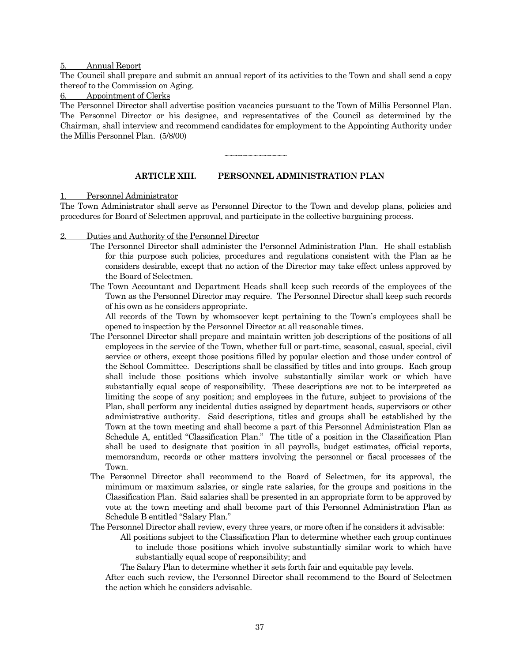#### 5. Annual Report

The Council shall prepare and submit an annual report of its activities to the Town and shall send a copy thereof to the Commission on Aging.

6. Appointment of Clerks

The Personnel Director shall advertise position vacancies pursuant to the Town of Millis Personnel Plan. The Personnel Director or his designee, and representatives of the Council as determined by the Chairman, shall interview and recommend candidates for employment to the Appointing Authority under the Millis Personnel Plan. (5/8/00)

~~~~~~~~~~~~~

#### **ARTICLE XIII. PERSONNEL ADMINISTRATION PLAN**

1. Personnel Administrator

The Town Administrator shall serve as Personnel Director to the Town and develop plans, policies and procedures for Board of Selectmen approval, and participate in the collective bargaining process.

- 2. Duties and Authority of the Personnel Director
	- The Personnel Director shall administer the Personnel Administration Plan. He shall establish for this purpose such policies, procedures and regulations consistent with the Plan as he considers desirable, except that no action of the Director may take effect unless approved by the Board of Selectmen.
	- The Town Accountant and Department Heads shall keep such records of the employees of the Town as the Personnel Director may require. The Personnel Director shall keep such records of his own as he considers appropriate.

All records of the Town by whomsoever kept pertaining to the Town's employees shall be opened to inspection by the Personnel Director at all reasonable times.

- The Personnel Director shall prepare and maintain written job descriptions of the positions of all employees in the service of the Town, whether full or part-time, seasonal, casual, special, civil service or others, except those positions filled by popular election and those under control of the School Committee. Descriptions shall be classified by titles and into groups. Each group shall include those positions which involve substantially similar work or which have substantially equal scope of responsibility. These descriptions are not to be interpreted as limiting the scope of any position; and employees in the future, subject to provisions of the Plan, shall perform any incidental duties assigned by department heads, supervisors or other administrative authority. Said descriptions, titles and groups shall be established by the Town at the town meeting and shall become a part of this Personnel Administration Plan as Schedule A, entitled "Classification Plan." The title of a position in the Classification Plan shall be used to designate that position in all payrolls, budget estimates, official reports, memorandum, records or other matters involving the personnel or fiscal processes of the Town.
- The Personnel Director shall recommend to the Board of Selectmen, for its approval, the minimum or maximum salaries, or single rate salaries, for the groups and positions in the Classification Plan. Said salaries shall be presented in an appropriate form to be approved by vote at the town meeting and shall become part of this Personnel Administration Plan as Schedule B entitled "Salary Plan."
- The Personnel Director shall review, every three years, or more often if he considers it advisable:
	- All positions subject to the Classification Plan to determine whether each group continues to include those positions which involve substantially similar work to which have substantially equal scope of responsibility; and
	- The Salary Plan to determine whether it sets forth fair and equitable pay levels.

After each such review, the Personnel Director shall recommend to the Board of Selectmen the action which he considers advisable.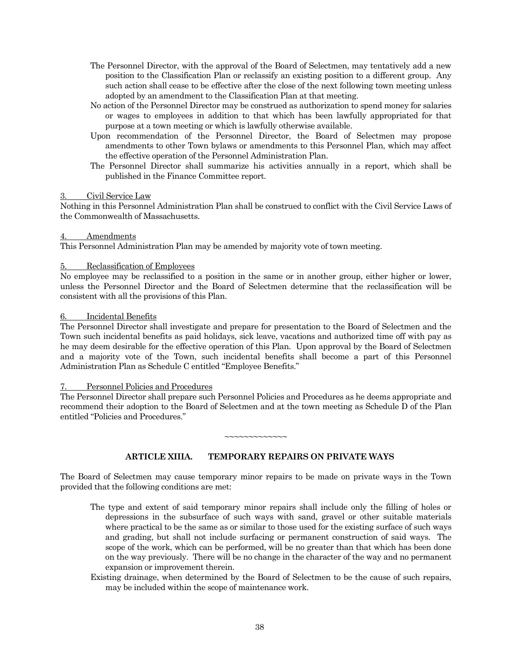- The Personnel Director, with the approval of the Board of Selectmen, may tentatively add a new position to the Classification Plan or reclassify an existing position to a different group. Any such action shall cease to be effective after the close of the next following town meeting unless adopted by an amendment to the Classification Plan at that meeting.
- No action of the Personnel Director may be construed as authorization to spend money for salaries or wages to employees in addition to that which has been lawfully appropriated for that purpose at a town meeting or which is lawfully otherwise available.
- Upon recommendation of the Personnel Director, the Board of Selectmen may propose amendments to other Town bylaws or amendments to this Personnel Plan, which may affect the effective operation of the Personnel Administration Plan.
- The Personnel Director shall summarize his activities annually in a report, which shall be published in the Finance Committee report.

#### Civil Service Law

Nothing in this Personnel Administration Plan shall be construed to conflict with the Civil Service Laws of the Commonwealth of Massachusetts.

#### Amendments

This Personnel Administration Plan may be amended by majority vote of town meeting.

#### 5. Reclassification of Employees

No employee may be reclassified to a position in the same or in another group, either higher or lower, unless the Personnel Director and the Board of Selectmen determine that the reclassification will be consistent with all the provisions of this Plan.

#### 6. Incidental Benefits

The Personnel Director shall investigate and prepare for presentation to the Board of Selectmen and the Town such incidental benefits as paid holidays, sick leave, vacations and authorized time off with pay as he may deem desirable for the effective operation of this Plan. Upon approval by the Board of Selectmen and a majority vote of the Town, such incidental benefits shall become a part of this Personnel Administration Plan as Schedule C entitled "Employee Benefits."

#### Personnel Policies and Procedures

The Personnel Director shall prepare such Personnel Policies and Procedures as he deems appropriate and recommend their adoption to the Board of Selectmen and at the town meeting as Schedule D of the Plan entitled "Policies and Procedures."

~~~~~~~~~~~~~

#### **ARTICLE XIIIA. TEMPORARY REPAIRS ON PRIVATE WAYS**

The Board of Selectmen may cause temporary minor repairs to be made on private ways in the Town provided that the following conditions are met:

- The type and extent of said temporary minor repairs shall include only the filling of holes or depressions in the subsurface of such ways with sand, gravel or other suitable materials where practical to be the same as or similar to those used for the existing surface of such ways and grading, but shall not include surfacing or permanent construction of said ways. The scope of the work, which can be performed, will be no greater than that which has been done on the way previously. There will be no change in the character of the way and no permanent expansion or improvement therein.
- Existing drainage, when determined by the Board of Selectmen to be the cause of such repairs, may be included within the scope of maintenance work.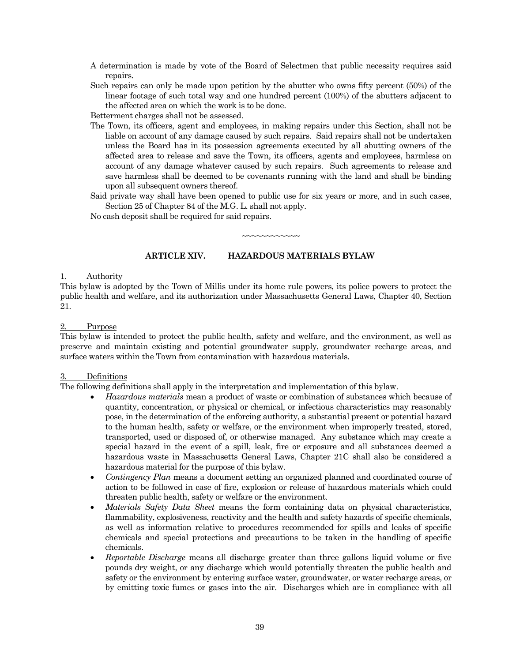- A determination is made by vote of the Board of Selectmen that public necessity requires said repairs.
- Such repairs can only be made upon petition by the abutter who owns fifty percent (50%) of the linear footage of such total way and one hundred percent (100%) of the abutters adjacent to the affected area on which the work is to be done.

Betterment charges shall not be assessed.

- The Town, its officers, agent and employees, in making repairs under this Section, shall not be liable on account of any damage caused by such repairs. Said repairs shall not be undertaken unless the Board has in its possession agreements executed by all abutting owners of the affected area to release and save the Town, its officers, agents and employees, harmless on account of any damage whatever caused by such repairs. Such agreements to release and save harmless shall be deemed to be covenants running with the land and shall be binding upon all subsequent owners thereof.
- Said private way shall have been opened to public use for six years or more, and in such cases, Section 25 of Chapter 84 of the M.G. L. shall not apply.

~~~~~~~~~~~~

No cash deposit shall be required for said repairs.

#### **ARTICLE XIV. HAZARDOUS MATERIALS BYLAW**

#### **Authority**

This bylaw is adopted by the Town of Millis under its home rule powers, its police powers to protect the public health and welfare, and its authorization under Massachusetts General Laws, Chapter 40, Section 21.

#### 2. Purpose

This bylaw is intended to protect the public health, safety and welfare, and the environment, as well as preserve and maintain existing and potential groundwater supply, groundwater recharge areas, and surface waters within the Town from contamination with hazardous materials.

#### 3. Definitions

The following definitions shall apply in the interpretation and implementation of this bylaw.

- *Hazardous materials* mean a product of waste or combination of substances which because of quantity, concentration, or physical or chemical, or infectious characteristics may reasonably pose, in the determination of the enforcing authority, a substantial present or potential hazard to the human health, safety or welfare, or the environment when improperly treated, stored, transported, used or disposed of, or otherwise managed. Any substance which may create a special hazard in the event of a spill, leak, fire or exposure and all substances deemed a hazardous waste in Massachusetts General Laws, Chapter 21C shall also be considered a hazardous material for the purpose of this bylaw.
- *Contingency Plan* means a document setting an organized planned and coordinated course of action to be followed in case of fire, explosion or release of hazardous materials which could threaten public health, safety or welfare or the environment.
- *Materials Safety Data Sheet* means the form containing data on physical characteristics, flammability, explosiveness, reactivity and the health and safety hazards of specific chemicals, as well as information relative to procedures recommended for spills and leaks of specific chemicals and special protections and precautions to be taken in the handling of specific chemicals.
- *Reportable Discharge* means all discharge greater than three gallons liquid volume or five pounds dry weight, or any discharge which would potentially threaten the public health and safety or the environment by entering surface water, groundwater, or water recharge areas, or by emitting toxic fumes or gases into the air. Discharges which are in compliance with all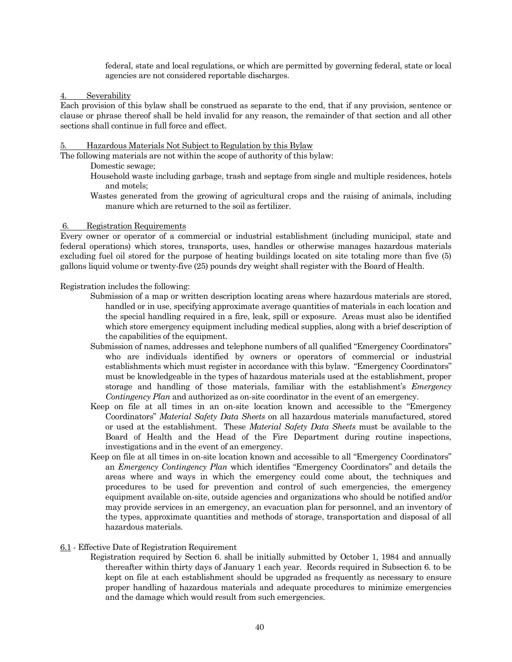federal, state and local regulations, or which are permitted by governing federal, state or local agencies are not considered reportable discharges.

Severability

Each provision of this bylaw shall be construed as separate to the end, that if any provision, sentence or clause or phrase thereof shall be held invalid for any reason, the remainder of that section and all other sections shall continue in full force and effect.

#### 5. Hazardous Materials Not Subject to Regulation by this Bylaw

The following materials are not within the scope of authority of this bylaw:

Domestic sewage;

- Household waste including garbage, trash and septage from single and multiple residences, hotels and motels;
- Wastes generated from the growing of agricultural crops and the raising of animals, including manure which are returned to the soil as fertilizer.

#### 6. Registration Requirements

Every owner or operator of a commercial or industrial establishment (including municipal, state and federal operations) which stores, transports, uses, handles or otherwise manages hazardous materials excluding fuel oil stored for the purpose of heating buildings located on site totaling more than five (5) gallons liquid volume or twenty-five (25) pounds dry weight shall register with the Board of Health.

Registration includes the following:

- Submission of a map or written description locating areas where hazardous materials are stored, handled or in use, specifying approximate average quantities of materials in each location and the special handling required in a fire, leak, spill or exposure. Areas must also be identified which store emergency equipment including medical supplies, along with a brief description of the capabilities of the equipment.
- Submission of names, addresses and telephone numbers of all qualified "Emergency Coordinators" who are individuals identified by owners or operators of commercial or industrial establishments which must register in accordance with this bylaw. "Emergency Coordinators" must be knowledgeable in the types of hazardous materials used at the establishment, proper storage and handling of those materials, familiar with the establishment's *Emergency Contingency Plan* and authorized as on-site coordinator in the event of an emergency.
- Keep on file at all times in an on-site location known and accessible to the "Emergency Coordinators" *Material Safety Data Sheets* on all hazardous materials manufactured, stored or used at the establishment. These *Material Safety Data Sheets* must be available to the Board of Health and the Head of the Fire Department during routine inspections, investigations and in the event of an emergency.
- Keep on file at all times in on-site location known and accessible to all "Emergency Coordinators" an *Emergency Contingency Plan* which identifies "Emergency Coordinators" and details the areas where and ways in which the emergency could come about, the techniques and procedures to be used for prevention and control of such emergencies, the emergency equipment available on-site, outside agencies and organizations who should be notified and/or may provide services in an emergency, an evacuation plan for personnel, and an inventory of the types, approximate quantities and methods of storage, transportation and disposal of all hazardous materials.

#### 6.1 - Effective Date of Registration Requirement

Registration required by Section 6. shall be initially submitted by October 1, 1984 and annually thereafter within thirty days of January 1 each year. Records required in Subsection 6. to be kept on file at each establishment should be upgraded as frequently as necessary to ensure proper handling of hazardous materials and adequate procedures to minimize emergencies and the damage which would result from such emergencies.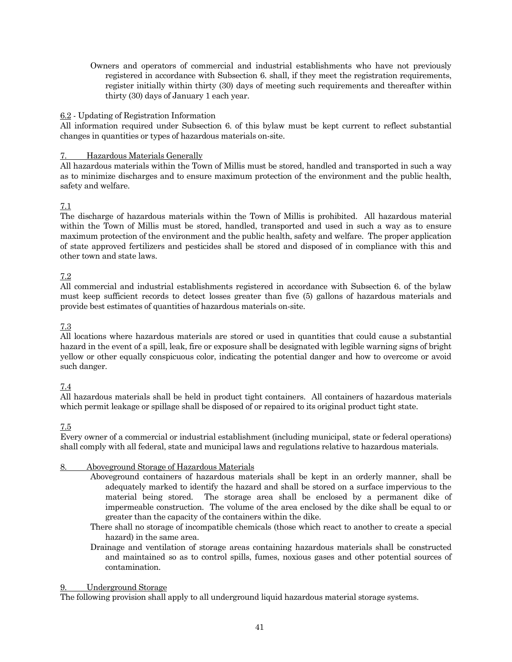Owners and operators of commercial and industrial establishments who have not previously registered in accordance with Subsection 6. shall, if they meet the registration requirements, register initially within thirty (30) days of meeting such requirements and thereafter within thirty (30) days of January 1 each year.

#### 6.2 - Updating of Registration Information

All information required under Subsection 6. of this bylaw must be kept current to reflect substantial changes in quantities or types of hazardous materials on-site.

#### 7. Hazardous Materials Generally

All hazardous materials within the Town of Millis must be stored, handled and transported in such a way as to minimize discharges and to ensure maximum protection of the environment and the public health, safety and welfare.

#### 7.1

The discharge of hazardous materials within the Town of Millis is prohibited. All hazardous material within the Town of Millis must be stored, handled, transported and used in such a way as to ensure maximum protection of the environment and the public health, safety and welfare. The proper application of state approved fertilizers and pesticides shall be stored and disposed of in compliance with this and other town and state laws.

# 7.2

All commercial and industrial establishments registered in accordance with Subsection 6. of the bylaw must keep sufficient records to detect losses greater than five (5) gallons of hazardous materials and provide best estimates of quantities of hazardous materials on-site.

#### 7.3

All locations where hazardous materials are stored or used in quantities that could cause a substantial hazard in the event of a spill, leak, fire or exposure shall be designated with legible warning signs of bright yellow or other equally conspicuous color, indicating the potential danger and how to overcome or avoid such danger.

#### 7.4

All hazardous materials shall be held in product tight containers. All containers of hazardous materials which permit leakage or spillage shall be disposed of or repaired to its original product tight state.

#### 7.5

Every owner of a commercial or industrial establishment (including municipal, state or federal operations) shall comply with all federal, state and municipal laws and regulations relative to hazardous materials.

#### 8. Aboveground Storage of Hazardous Materials

- Aboveground containers of hazardous materials shall be kept in an orderly manner, shall be adequately marked to identify the hazard and shall be stored on a surface impervious to the material being stored. The storage area shall be enclosed by a permanent dike of impermeable construction. The volume of the area enclosed by the dike shall be equal to or greater than the capacity of the containers within the dike.
- There shall no storage of incompatible chemicals (those which react to another to create a special hazard) in the same area.
- Drainage and ventilation of storage areas containing hazardous materials shall be constructed and maintained so as to control spills, fumes, noxious gases and other potential sources of contamination.

#### 9. Underground Storage

The following provision shall apply to all underground liquid hazardous material storage systems.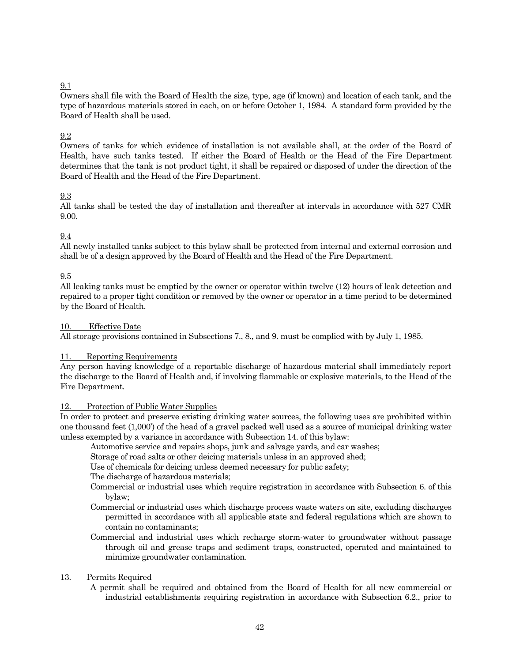#### 9.1

Owners shall file with the Board of Health the size, type, age (if known) and location of each tank, and the type of hazardous materials stored in each, on or before October 1, 1984. A standard form provided by the Board of Health shall be used.

#### 9.2

Owners of tanks for which evidence of installation is not available shall, at the order of the Board of Health, have such tanks tested. If either the Board of Health or the Head of the Fire Department determines that the tank is not product tight, it shall be repaired or disposed of under the direction of the Board of Health and the Head of the Fire Department.

#### 9.3

All tanks shall be tested the day of installation and thereafter at intervals in accordance with 527 CMR 9.00.

#### 9.4

All newly installed tanks subject to this bylaw shall be protected from internal and external corrosion and shall be of a design approved by the Board of Health and the Head of the Fire Department.

#### 9.5

All leaking tanks must be emptied by the owner or operator within twelve (12) hours of leak detection and repaired to a proper tight condition or removed by the owner or operator in a time period to be determined by the Board of Health.

#### 10. Effective Date

All storage provisions contained in Subsections 7., 8., and 9. must be complied with by July 1, 1985.

#### 11. Reporting Requirements

Any person having knowledge of a reportable discharge of hazardous material shall immediately report the discharge to the Board of Health and, if involving flammable or explosive materials, to the Head of the Fire Department.

#### 12. Protection of Public Water Supplies

In order to protect and preserve existing drinking water sources, the following uses are prohibited within one thousand feet (1,000') of the head of a gravel packed well used as a source of municipal drinking water unless exempted by a variance in accordance with Subsection 14. of this bylaw:

Automotive service and repairs shops, junk and salvage yards, and car washes;

Storage of road salts or other deicing materials unless in an approved shed;

Use of chemicals for deicing unless deemed necessary for public safety;

The discharge of hazardous materials;

- Commercial or industrial uses which require registration in accordance with Subsection 6. of this bylaw;
- Commercial or industrial uses which discharge process waste waters on site, excluding discharges permitted in accordance with all applicable state and federal regulations which are shown to contain no contaminants;
- Commercial and industrial uses which recharge storm-water to groundwater without passage through oil and grease traps and sediment traps, constructed, operated and maintained to minimize groundwater contamination.

#### 13. Permits Required

A permit shall be required and obtained from the Board of Health for all new commercial or industrial establishments requiring registration in accordance with Subsection 6.2., prior to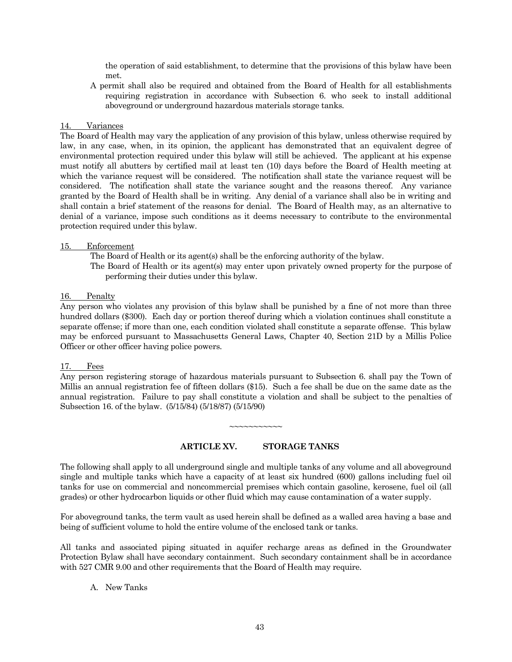the operation of said establishment, to determine that the provisions of this bylaw have been met.

A permit shall also be required and obtained from the Board of Health for all establishments requiring registration in accordance with Subsection 6. who seek to install additional aboveground or underground hazardous materials storage tanks.

#### 14. Variances

The Board of Health may vary the application of any provision of this bylaw, unless otherwise required by law, in any case, when, in its opinion, the applicant has demonstrated that an equivalent degree of environmental protection required under this bylaw will still be achieved. The applicant at his expense must notify all abutters by certified mail at least ten (10) days before the Board of Health meeting at which the variance request will be considered. The notification shall state the variance request will be considered. The notification shall state the variance sought and the reasons thereof. Any variance granted by the Board of Health shall be in writing. Any denial of a variance shall also be in writing and shall contain a brief statement of the reasons for denial. The Board of Health may, as an alternative to denial of a variance, impose such conditions as it deems necessary to contribute to the environmental protection required under this bylaw.

#### 15. Enforcement

The Board of Health or its agent(s) shall be the enforcing authority of the bylaw.

The Board of Health or its agent(s) may enter upon privately owned property for the purpose of performing their duties under this bylaw.

#### 16. Penalty

Any person who violates any provision of this bylaw shall be punished by a fine of not more than three hundred dollars (\$300). Each day or portion thereof during which a violation continues shall constitute a separate offense; if more than one, each condition violated shall constitute a separate offense. This bylaw may be enforced pursuant to Massachusetts General Laws, Chapter 40, Section 21D by a Millis Police Officer or other officer having police powers.

#### 17. Fees

Any person registering storage of hazardous materials pursuant to Subsection 6. shall pay the Town of Millis an annual registration fee of fifteen dollars (\$15). Such a fee shall be due on the same date as the annual registration. Failure to pay shall constitute a violation and shall be subject to the penalties of Subsection 16. of the bylaw. (5/15/84) (5/18/87) (5/15/90)

#### **ARTICLE XV. STORAGE TANKS**

 $\sim$  $\sim$  $\sim$  $\sim$  $\sim$  $\sim$  $\sim$  $\sim$  $\sim$ 

The following shall apply to all underground single and multiple tanks of any volume and all aboveground single and multiple tanks which have a capacity of at least six hundred (600) gallons including fuel oil tanks for use on commercial and noncommercial premises which contain gasoline, kerosene, fuel oil (all grades) or other hydrocarbon liquids or other fluid which may cause contamination of a water supply.

For aboveground tanks, the term vault as used herein shall be defined as a walled area having a base and being of sufficient volume to hold the entire volume of the enclosed tank or tanks.

All tanks and associated piping situated in aquifer recharge areas as defined in the Groundwater Protection Bylaw shall have secondary containment. Such secondary containment shall be in accordance with 527 CMR 9.00 and other requirements that the Board of Health may require.

A. New Tanks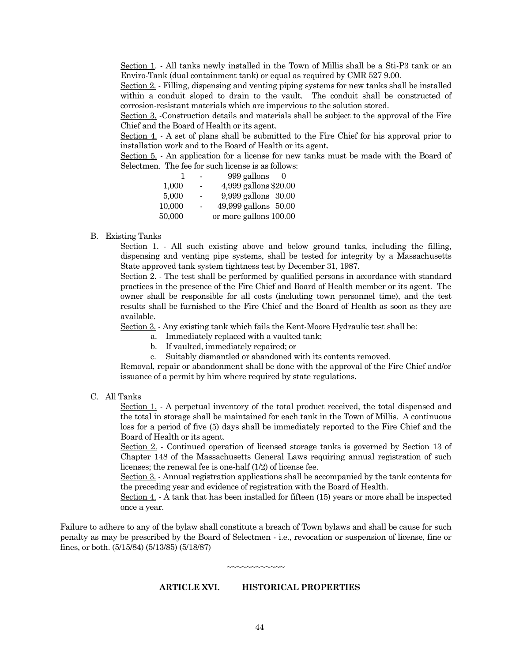Section 1. - All tanks newly installed in the Town of Millis shall be a Sti-P3 tank or an Enviro-Tank (dual containment tank) or equal as required by CMR 527 9.00.

Section 2. - Filling, dispensing and venting piping systems for new tanks shall be installed within a conduit sloped to drain to the vault. The conduit shall be constructed of corrosion-resistant materials which are impervious to the solution stored.

Section 3. -Construction details and materials shall be subject to the approval of the Fire Chief and the Board of Health or its agent.

Section 4. - A set of plans shall be submitted to the Fire Chief for his approval prior to installation work and to the Board of Health or its agent.

Section 5. - An application for a license for new tanks must be made with the Board of Selectmen. The fee for such license is as follows:

|        |                          | 999 gallons<br>$\bigcirc$ |
|--------|--------------------------|---------------------------|
| 1,000  | $\blacksquare$           | 4,999 gallons \$20.00     |
| 5,000  | $\overline{\phantom{0}}$ | 9,999 gallons 30.00       |
| 10,000 | $\sim$                   | 49,999 gallons 50.00      |
| 50,000 |                          | or more gallons 100.00    |

B. Existing Tanks

Section 1. - All such existing above and below ground tanks, including the filling, dispensing and venting pipe systems, shall be tested for integrity by a Massachusetts State approved tank system tightness test by December 31, 1987.

Section 2. - The test shall be performed by qualified persons in accordance with standard practices in the presence of the Fire Chief and Board of Health member or its agent. The owner shall be responsible for all costs (including town personnel time), and the test results shall be furnished to the Fire Chief and the Board of Health as soon as they are available.

Section 3. - Any existing tank which fails the Kent-Moore Hydraulic test shall be:

- a. Immediately replaced with a vaulted tank;
- b. If vaulted, immediately repaired; or
- c. Suitably dismantled or abandoned with its contents removed.

Removal, repair or abandonment shall be done with the approval of the Fire Chief and/or issuance of a permit by him where required by state regulations.

C. All Tanks

Section 1. - A perpetual inventory of the total product received, the total dispensed and the total in storage shall be maintained for each tank in the Town of Millis. A continuous loss for a period of five (5) days shall be immediately reported to the Fire Chief and the Board of Health or its agent.

Section 2. - Continued operation of licensed storage tanks is governed by Section 13 of Chapter 148 of the Massachusetts General Laws requiring annual registration of such licenses; the renewal fee is one-half (1/2) of license fee.

Section 3. - Annual registration applications shall be accompanied by the tank contents for the preceding year and evidence of registration with the Board of Health.

Section 4. - A tank that has been installed for fifteen (15) years or more shall be inspected once a year.

Failure to adhere to any of the bylaw shall constitute a breach of Town bylaws and shall be cause for such penalty as may be prescribed by the Board of Selectmen - i.e., revocation or suspension of license, fine or fines, or both. (5/15/84) (5/13/85) (5/18/87)

~~~~~~~~~~

#### **ARTICLE XVI. HISTORICAL PROPERTIES**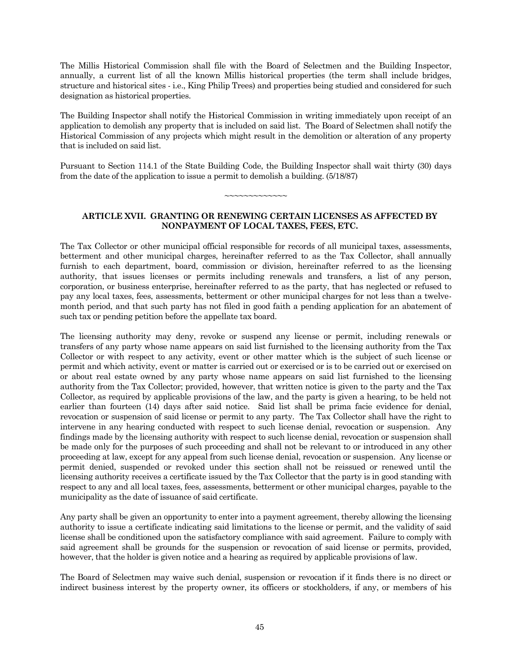The Millis Historical Commission shall file with the Board of Selectmen and the Building Inspector, annually, a current list of all the known Millis historical properties (the term shall include bridges, structure and historical sites - i.e., King Philip Trees) and properties being studied and considered for such designation as historical properties.

The Building Inspector shall notify the Historical Commission in writing immediately upon receipt of an application to demolish any property that is included on said list. The Board of Selectmen shall notify the Historical Commission of any projects which might result in the demolition or alteration of any property that is included on said list.

Pursuant to Section 114.1 of the State Building Code, the Building Inspector shall wait thirty (30) days from the date of the application to issue a permit to demolish a building. (5/18/87)

~~~~~~~~~~~~~

### **ARTICLE XVII. GRANTING OR RENEWING CERTAIN LICENSES AS AFFECTED BY NONPAYMENT OF LOCAL TAXES, FEES, ETC.**

The Tax Collector or other municipal official responsible for records of all municipal taxes, assessments, betterment and other municipal charges, hereinafter referred to as the Tax Collector, shall annually furnish to each department, board, commission or division, hereinafter referred to as the licensing authority, that issues licenses or permits including renewals and transfers, a list of any person, corporation, or business enterprise, hereinafter referred to as the party, that has neglected or refused to pay any local taxes, fees, assessments, betterment or other municipal charges for not less than a twelvemonth period, and that such party has not filed in good faith a pending application for an abatement of such tax or pending petition before the appellate tax board.

The licensing authority may deny, revoke or suspend any license or permit, including renewals or transfers of any party whose name appears on said list furnished to the licensing authority from the Tax Collector or with respect to any activity, event or other matter which is the subject of such license or permit and which activity, event or matter is carried out or exercised or is to be carried out or exercised on or about real estate owned by any party whose name appears on said list furnished to the licensing authority from the Tax Collector; provided, however, that written notice is given to the party and the Tax Collector, as required by applicable provisions of the law, and the party is given a hearing, to be held not earlier than fourteen (14) days after said notice. Said list shall be prima facie evidence for denial, revocation or suspension of said license or permit to any party. The Tax Collector shall have the right to intervene in any hearing conducted with respect to such license denial, revocation or suspension. Any findings made by the licensing authority with respect to such license denial, revocation or suspension shall be made only for the purposes of such proceeding and shall not be relevant to or introduced in any other proceeding at law, except for any appeal from such license denial, revocation or suspension. Any license or permit denied, suspended or revoked under this section shall not be reissued or renewed until the licensing authority receives a certificate issued by the Tax Collector that the party is in good standing with respect to any and all local taxes, fees, assessments, betterment or other municipal charges, payable to the municipality as the date of issuance of said certificate.

Any party shall be given an opportunity to enter into a payment agreement, thereby allowing the licensing authority to issue a certificate indicating said limitations to the license or permit, and the validity of said license shall be conditioned upon the satisfactory compliance with said agreement. Failure to comply with said agreement shall be grounds for the suspension or revocation of said license or permits, provided, however, that the holder is given notice and a hearing as required by applicable provisions of law.

The Board of Selectmen may waive such denial, suspension or revocation if it finds there is no direct or indirect business interest by the property owner, its officers or stockholders, if any, or members of his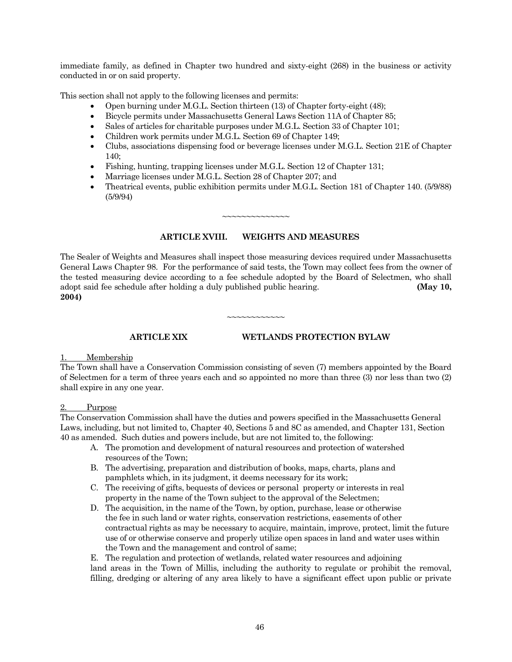immediate family, as defined in Chapter two hundred and sixty-eight (268) in the business or activity conducted in or on said property.

This section shall not apply to the following licenses and permits:

- Open burning under M.G.L. Section thirteen (13) of Chapter forty-eight (48);
- Bicycle permits under Massachusetts General Laws Section 11A of Chapter 85;
- Sales of articles for charitable purposes under M.G.L. Section 33 of Chapter 101;
- Children work permits under M.G.L. Section 69 of Chapter 149;
- Clubs, associations dispensing food or beverage licenses under M.G.L. Section 21E of Chapter  $140:$
- Fishing, hunting, trapping licenses under M.G.L. Section 12 of Chapter 131;
- Marriage licenses under M.G.L. Section 28 of Chapter 207; and
- Theatrical events, public exhibition permits under M.G.L. Section 181 of Chapter 140. (5/9/88) (5/9/94)

#### **ARTICLE XVIII. WEIGHTS AND MEASURES**

~~~~~~~~~~~~~~

The Sealer of Weights and Measures shall inspect those measuring devices required under Massachusetts General Laws Chapter 98. For the performance of said tests, the Town may collect fees from the owner of the tested measuring device according to a fee schedule adopted by the Board of Selectmen, who shall adopt said fee schedule after holding a duly published public hearing. **(May 10, 2004)**

~~~~~~~~~~

#### **ARTICLE XIX WETLANDS PROTECTION BYLAW**

#### Membership

The Town shall have a Conservation Commission consisting of seven (7) members appointed by the Board of Selectmen for a term of three years each and so appointed no more than three (3) nor less than two (2) shall expire in any one year.

#### 2. Purpose

The Conservation Commission shall have the duties and powers specified in the Massachusetts General Laws, including, but not limited to, Chapter 40, Sections 5 and 8C as amended, and Chapter 131, Section 40 as amended. Such duties and powers include, but are not limited to, the following:

- A. The promotion and development of natural resources and protection of watershed resources of the Town;
- B. The advertising, preparation and distribution of books, maps, charts, plans and pamphlets which, in its judgment, it deems necessary for its work;
- C. The receiving of gifts, bequests of devices or personal property or interests in real property in the name of the Town subject to the approval of the Selectmen;
- D. The acquisition, in the name of the Town, by option, purchase, lease or otherwise the fee in such land or water rights, conservation restrictions, easements of other contractual rights as may be necessary to acquire, maintain, improve, protect, limit the future use of or otherwise conserve and properly utilize open spaces in land and water uses within the Town and the management and control of same;

E. The regulation and protection of wetlands, related water resources and adjoining land areas in the Town of Millis, including the authority to regulate or prohibit the removal, filling, dredging or altering of any area likely to have a significant effect upon public or private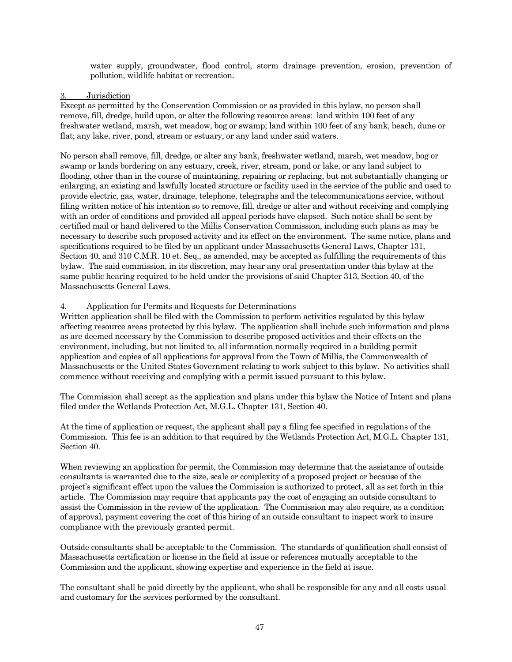water supply, groundwater, flood control, storm drainage prevention, erosion, prevention of pollution, wildlife habitat or recreation.

#### 3. Jurisdiction

Except as permitted by the Conservation Commission or as provided in this bylaw, no person shall remove, fill, dredge, build upon, or alter the following resource areas: land within 100 feet of any freshwater wetland, marsh, wet meadow, bog or swamp; land within 100 feet of any bank, beach, dune or flat; any lake, river, pond, stream or estuary, or any land under said waters.

No person shall remove, fill, dredge, or alter any bank, freshwater wetland, marsh, wet meadow, bog or swamp or lands bordering on any estuary, creek, river, stream, pond or lake, or any land subject to flooding, other than in the course of maintaining, repairing or replacing, but not substantially changing or enlarging, an existing and lawfully located structure or facility used in the service of the public and used to provide electric, gas, water, drainage, telephone, telegraphs and the telecommunications service, without filing written notice of his intention so to remove, fill, dredge or alter and without receiving and complying with an order of conditions and provided all appeal periods have elapsed. Such notice shall be sent by certified mail or hand delivered to the Millis Conservation Commission, including such plans as may be necessary to describe such proposed activity and its effect on the environment. The same notice, plans and specifications required to be filed by an applicant under Massachusetts General Laws, Chapter 131, Section 40, and 310 C.M.R. 10 et. Seq., as amended, may be accepted as fulfilling the requirements of this bylaw. The said commission, in its discretion, may hear any oral presentation under this bylaw at the same public hearing required to be held under the provisions of said Chapter 313, Section 40, of the Massachusetts General Laws.

#### 4. Application for Permits and Requests for Determinations

Written application shall be filed with the Commission to perform activities regulated by this bylaw affecting resource areas protected by this bylaw. The application shall include such information and plans as are deemed necessary by the Commission to describe proposed activities and their effects on the environment, including, but not limited to, all information normally required in a building permit application and copies of all applications for approval from the Town of Millis, the Commonwealth of Massachusetts or the United States Government relating to work subject to this bylaw. No activities shall commence without receiving and complying with a permit issued pursuant to this bylaw.

The Commission shall accept as the application and plans under this bylaw the Notice of Intent and plans filed under the Wetlands Protection Act, M.G.L. Chapter 131, Section 40.

At the time of application or request, the applicant shall pay a filing fee specified in regulations of the Commission. This fee is an addition to that required by the Wetlands Protection Act, M.G.L. Chapter 131, Section 40.

When reviewing an application for permit, the Commission may determine that the assistance of outside consultants is warranted due to the size, scale or complexity of a proposed project or because of the project's significant effect upon the values the Commission is authorized to protect, all as set forth in this article. The Commission may require that applicants pay the cost of engaging an outside consultant to assist the Commission in the review of the application. The Commission may also require, as a condition of approval, payment covering the cost of this hiring of an outside consultant to inspect work to insure compliance with the previously granted permit.

Outside consultants shall be acceptable to the Commission. The standards of qualification shall consist of Massachusetts certification or license in the field at issue or references mutually acceptable to the Commission and the applicant, showing expertise and experience in the field at issue.

The consultant shall be paid directly by the applicant, who shall be responsible for any and all costs usual and customary for the services performed by the consultant.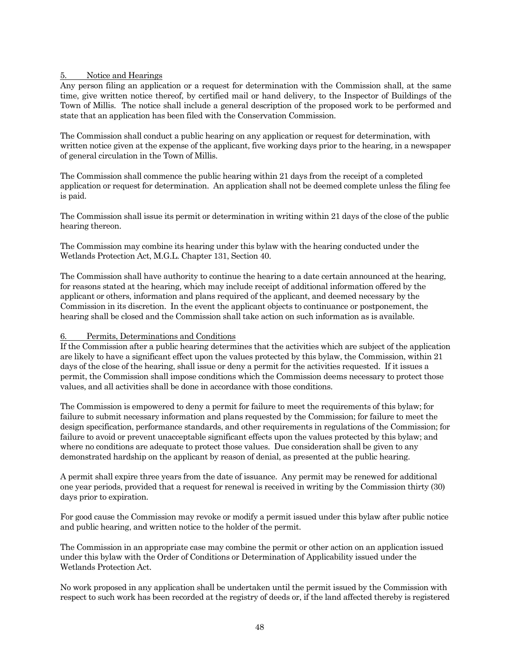#### 5. Notice and Hearings

Any person filing an application or a request for determination with the Commission shall, at the same time, give written notice thereof, by certified mail or hand delivery, to the Inspector of Buildings of the Town of Millis. The notice shall include a general description of the proposed work to be performed and state that an application has been filed with the Conservation Commission.

The Commission shall conduct a public hearing on any application or request for determination, with written notice given at the expense of the applicant, five working days prior to the hearing, in a newspaper of general circulation in the Town of Millis.

The Commission shall commence the public hearing within 21 days from the receipt of a completed application or request for determination. An application shall not be deemed complete unless the filing fee is paid.

The Commission shall issue its permit or determination in writing within 21 days of the close of the public hearing thereon.

The Commission may combine its hearing under this bylaw with the hearing conducted under the Wetlands Protection Act, M.G.L. Chapter 131, Section 40.

The Commission shall have authority to continue the hearing to a date certain announced at the hearing, for reasons stated at the hearing, which may include receipt of additional information offered by the applicant or others, information and plans required of the applicant, and deemed necessary by the Commission in its discretion. In the event the applicant objects to continuance or postponement, the hearing shall be closed and the Commission shall take action on such information as is available.

#### 6. Permits, Determinations and Conditions

If the Commission after a public hearing determines that the activities which are subject of the application are likely to have a significant effect upon the values protected by this bylaw, the Commission, within 21 days of the close of the hearing, shall issue or deny a permit for the activities requested. If it issues a permit, the Commission shall impose conditions which the Commission deems necessary to protect those values, and all activities shall be done in accordance with those conditions.

The Commission is empowered to deny a permit for failure to meet the requirements of this bylaw; for failure to submit necessary information and plans requested by the Commission; for failure to meet the design specification, performance standards, and other requirements in regulations of the Commission; for failure to avoid or prevent unacceptable significant effects upon the values protected by this bylaw; and where no conditions are adequate to protect those values. Due consideration shall be given to any demonstrated hardship on the applicant by reason of denial, as presented at the public hearing.

A permit shall expire three years from the date of issuance. Any permit may be renewed for additional one year periods, provided that a request for renewal is received in writing by the Commission thirty (30) days prior to expiration.

For good cause the Commission may revoke or modify a permit issued under this bylaw after public notice and public hearing, and written notice to the holder of the permit.

The Commission in an appropriate case may combine the permit or other action on an application issued under this bylaw with the Order of Conditions or Determination of Applicability issued under the Wetlands Protection Act.

No work proposed in any application shall be undertaken until the permit issued by the Commission with respect to such work has been recorded at the registry of deeds or, if the land affected thereby is registered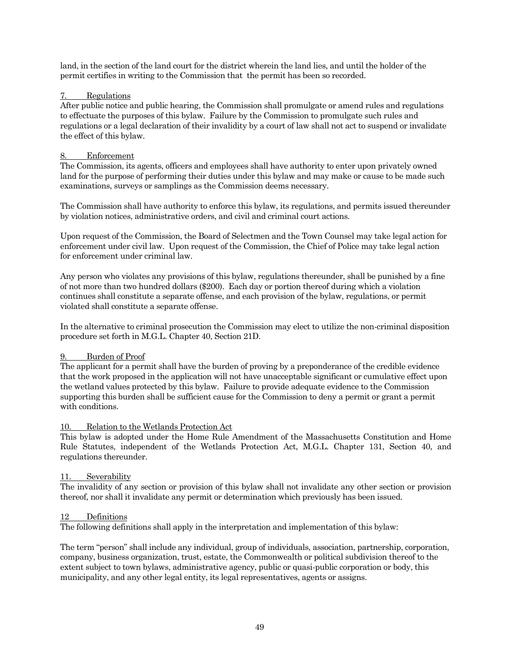land, in the section of the land court for the district wherein the land lies, and until the holder of the permit certifies in writing to the Commission that the permit has been so recorded.

#### 7. Regulations

After public notice and public hearing, the Commission shall promulgate or amend rules and regulations to effectuate the purposes of this bylaw. Failure by the Commission to promulgate such rules and regulations or a legal declaration of their invalidity by a court of law shall not act to suspend or invalidate the effect of this bylaw.

#### 8. Enforcement

The Commission, its agents, officers and employees shall have authority to enter upon privately owned land for the purpose of performing their duties under this bylaw and may make or cause to be made such examinations, surveys or samplings as the Commission deems necessary.

The Commission shall have authority to enforce this bylaw, its regulations, and permits issued thereunder by violation notices, administrative orders, and civil and criminal court actions.

Upon request of the Commission, the Board of Selectmen and the Town Counsel may take legal action for enforcement under civil law. Upon request of the Commission, the Chief of Police may take legal action for enforcement under criminal law.

Any person who violates any provisions of this bylaw, regulations thereunder, shall be punished by a fine of not more than two hundred dollars (\$200). Each day or portion thereof during which a violation continues shall constitute a separate offense, and each provision of the bylaw, regulations, or permit violated shall constitute a separate offense.

In the alternative to criminal prosecution the Commission may elect to utilize the non-criminal disposition procedure set forth in M.G.L. Chapter 40, Section 21D.

#### Burden of Proof

The applicant for a permit shall have the burden of proving by a preponderance of the credible evidence that the work proposed in the application will not have unacceptable significant or cumulative effect upon the wetland values protected by this bylaw. Failure to provide adequate evidence to the Commission supporting this burden shall be sufficient cause for the Commission to deny a permit or grant a permit with conditions.

#### 10. Relation to the Wetlands Protection Act

This bylaw is adopted under the Home Rule Amendment of the Massachusetts Constitution and Home Rule Statutes, independent of the Wetlands Protection Act, M.G.L. Chapter 131, Section 40, and regulations thereunder.

#### 11. Severability

The invalidity of any section or provision of this bylaw shall not invalidate any other section or provision thereof, nor shall it invalidate any permit or determination which previously has been issued.

#### 12 Definitions

The following definitions shall apply in the interpretation and implementation of this bylaw:

The term "person" shall include any individual, group of individuals, association, partnership, corporation, company, business organization, trust, estate, the Commonwealth or political subdivision thereof to the extent subject to town bylaws, administrative agency, public or quasi-public corporation or body, this municipality, and any other legal entity, its legal representatives, agents or assigns.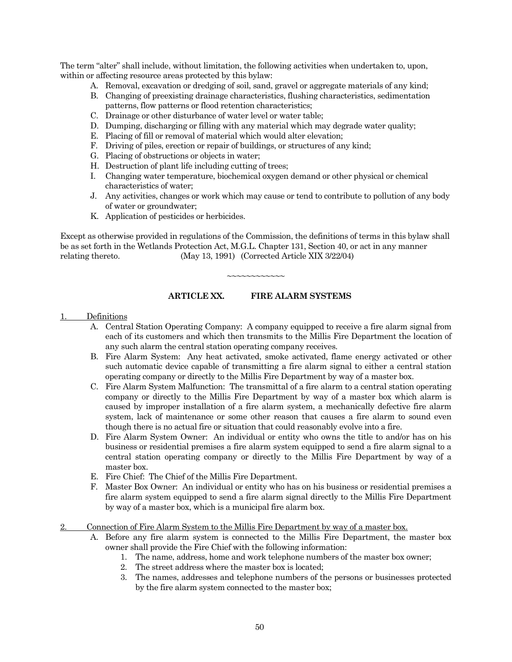The term "alter" shall include, without limitation, the following activities when undertaken to, upon, within or affecting resource areas protected by this bylaw:

- A. Removal, excavation or dredging of soil, sand, gravel or aggregate materials of any kind;
- B. Changing of preexisting drainage characteristics, flushing characteristics, sedimentation patterns, flow patterns or flood retention characteristics;
- C. Drainage or other disturbance of water level or water table;
- D. Dumping, discharging or filling with any material which may degrade water quality;
- E. Placing of fill or removal of material which would alter elevation;
- F. Driving of piles, erection or repair of buildings, or structures of any kind;
- G. Placing of obstructions or objects in water;
- H. Destruction of plant life including cutting of trees;
- I. Changing water temperature, biochemical oxygen demand or other physical or chemical characteristics of water;
- J. Any activities, changes or work which may cause or tend to contribute to pollution of any body of water or groundwater;
- K. Application of pesticides or herbicides.

Except as otherwise provided in regulations of the Commission, the definitions of terms in this bylaw shall be as set forth in the Wetlands Protection Act, M.G.L. Chapter 131, Section 40, or act in any manner relating thereto. (May 13, 1991) (Corrected Article XIX 3/22/04)

~~~~~~~~~~~~

# **ARTICLE XX. FIRE ALARM SYSTEMS**

- 1. Definitions
	- A. Central Station Operating Company: A company equipped to receive a fire alarm signal from each of its customers and which then transmits to the Millis Fire Department the location of any such alarm the central station operating company receives.
	- B. Fire Alarm System: Any heat activated, smoke activated, flame energy activated or other such automatic device capable of transmitting a fire alarm signal to either a central station operating company or directly to the Millis Fire Department by way of a master box.
	- C. Fire Alarm System Malfunction: The transmittal of a fire alarm to a central station operating company or directly to the Millis Fire Department by way of a master box which alarm is caused by improper installation of a fire alarm system, a mechanically defective fire alarm system, lack of maintenance or some other reason that causes a fire alarm to sound even though there is no actual fire or situation that could reasonably evolve into a fire.
	- D. Fire Alarm System Owner: An individual or entity who owns the title to and/or has on his business or residential premises a fire alarm system equipped to send a fire alarm signal to a central station operating company or directly to the Millis Fire Department by way of a master box.
	- E. Fire Chief: The Chief of the Millis Fire Department.
	- F. Master Box Owner: An individual or entity who has on his business or residential premises a fire alarm system equipped to send a fire alarm signal directly to the Millis Fire Department by way of a master box, which is a municipal fire alarm box.
- 2. Connection of Fire Alarm System to the Millis Fire Department by way of a master box.
	- A. Before any fire alarm system is connected to the Millis Fire Department, the master box owner shall provide the Fire Chief with the following information:
		- 1. The name, address, home and work telephone numbers of the master box owner;
		- 2. The street address where the master box is located;
		- 3. The names, addresses and telephone numbers of the persons or businesses protected by the fire alarm system connected to the master box;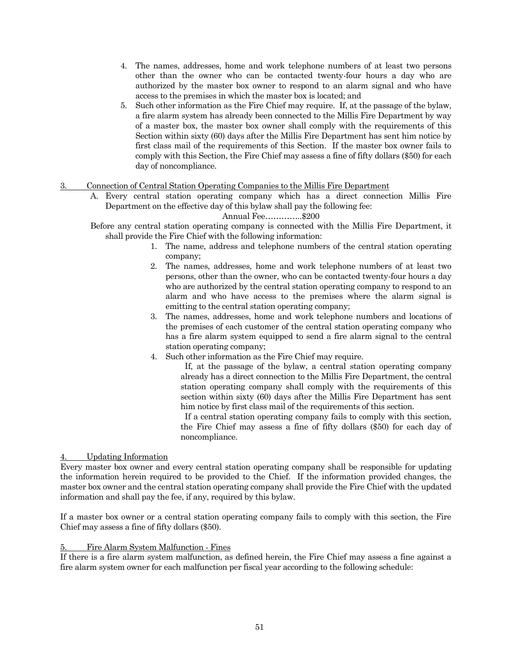- 4. The names, addresses, home and work telephone numbers of at least two persons other than the owner who can be contacted twenty-four hours a day who are authorized by the master box owner to respond to an alarm signal and who have access to the premises in which the master box is located; and
- 5. Such other information as the Fire Chief may require. If, at the passage of the bylaw, a fire alarm system has already been connected to the Millis Fire Department by way of a master box, the master box owner shall comply with the requirements of this Section within sixty (60) days after the Millis Fire Department has sent him notice by first class mail of the requirements of this Section. If the master box owner fails to comply with this Section, the Fire Chief may assess a fine of fifty dollars (\$50) for each day of noncompliance.

#### 3. Connection of Central Station Operating Companies to the Millis Fire Department

A. Every central station operating company which has a direct connection Millis Fire Department on the effective day of this bylaw shall pay the following fee:

Annual Fee…………..\$200

Before any central station operating company is connected with the Millis Fire Department, it shall provide the Fire Chief with the following information:

- 1. The name, address and telephone numbers of the central station operating company;
- 2. The names, addresses, home and work telephone numbers of at least two persons, other than the owner, who can be contacted twenty-four hours a day who are authorized by the central station operating company to respond to an alarm and who have access to the premises where the alarm signal is emitting to the central station operating company;
- 3. The names, addresses, home and work telephone numbers and locations of the premises of each customer of the central station operating company who has a fire alarm system equipped to send a fire alarm signal to the central station operating company;
- 4. Such other information as the Fire Chief may require.

 If, at the passage of the bylaw, a central station operating company already has a direct connection to the Millis Fire Department, the central station operating company shall comply with the requirements of this section within sixty (60) days after the Millis Fire Department has sent him notice by first class mail of the requirements of this section.

 If a central station operating company fails to comply with this section, the Fire Chief may assess a fine of fifty dollars (\$50) for each day of noncompliance.

#### 4. Updating Information

Every master box owner and every central station operating company shall be responsible for updating the information herein required to be provided to the Chief. If the information provided changes, the master box owner and the central station operating company shall provide the Fire Chief with the updated information and shall pay the fee, if any, required by this bylaw.

If a master box owner or a central station operating company fails to comply with this section, the Fire Chief may assess a fine of fifty dollars (\$50).

#### 5. Fire Alarm System Malfunction - Fines

If there is a fire alarm system malfunction, as defined herein, the Fire Chief may assess a fine against a fire alarm system owner for each malfunction per fiscal year according to the following schedule: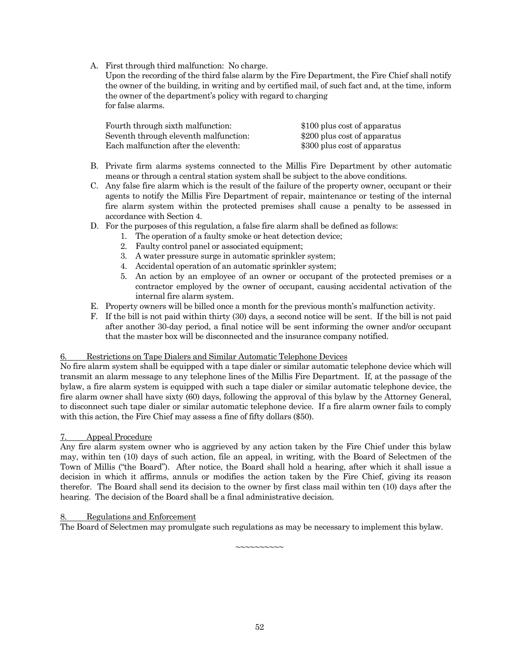A. First through third malfunction: No charge.

Upon the recording of the third false alarm by the Fire Department, the Fire Chief shall notify the owner of the building, in writing and by certified mail, of such fact and, at the time, inform the owner of the department's policy with regard to charging for false alarms.

| Fourth through sixth malfunction:     | \$100 plus cost of apparatus |
|---------------------------------------|------------------------------|
| Seventh through eleventh malfunction: | \$200 plus cost of apparatus |
| Each malfunction after the eleventh:  | \$300 plus cost of apparatus |

- B. Private firm alarms systems connected to the Millis Fire Department by other automatic means or through a central station system shall be subject to the above conditions.
- C. Any false fire alarm which is the result of the failure of the property owner, occupant or their agents to notify the Millis Fire Department of repair, maintenance or testing of the internal fire alarm system within the protected premises shall cause a penalty to be assessed in accordance with Section 4.
- D. For the purposes of this regulation, a false fire alarm shall be defined as follows:
	- 1. The operation of a faulty smoke or heat detection device;
	- 2. Faulty control panel or associated equipment;
	- 3. A water pressure surge in automatic sprinkler system;
	- 4. Accidental operation of an automatic sprinkler system;
	- 5. An action by an employee of an owner or occupant of the protected premises or a contractor employed by the owner of occupant, causing accidental activation of the internal fire alarm system.
- E. Property owners will be billed once a month for the previous month's malfunction activity.
- F. If the bill is not paid within thirty (30) days, a second notice will be sent. If the bill is not paid after another 30-day period, a final notice will be sent informing the owner and/or occupant that the master box will be disconnected and the insurance company notified.

#### 6. Restrictions on Tape Dialers and Similar Automatic Telephone Devices

No fire alarm system shall be equipped with a tape dialer or similar automatic telephone device which will transmit an alarm message to any telephone lines of the Millis Fire Department. If, at the passage of the bylaw, a fire alarm system is equipped with such a tape dialer or similar automatic telephone device, the fire alarm owner shall have sixty (60) days, following the approval of this bylaw by the Attorney General, to disconnect such tape dialer or similar automatic telephone device. If a fire alarm owner fails to comply with this action, the Fire Chief may assess a fine of fifty dollars (\$50).

#### 7. Appeal Procedure

Any fire alarm system owner who is aggrieved by any action taken by the Fire Chief under this bylaw may, within ten (10) days of such action, file an appeal, in writing, with the Board of Selectmen of the Town of Millis ("the Board"). After notice, the Board shall hold a hearing, after which it shall issue a decision in which it affirms, annuls or modifies the action taken by the Fire Chief, giving its reason therefor. The Board shall send its decision to the owner by first class mail within ten (10) days after the hearing. The decision of the Board shall be a final administrative decision.

#### **Regulations and Enforcement**

The Board of Selectmen may promulgate such regulations as may be necessary to implement this bylaw.

~~~~~~~~~~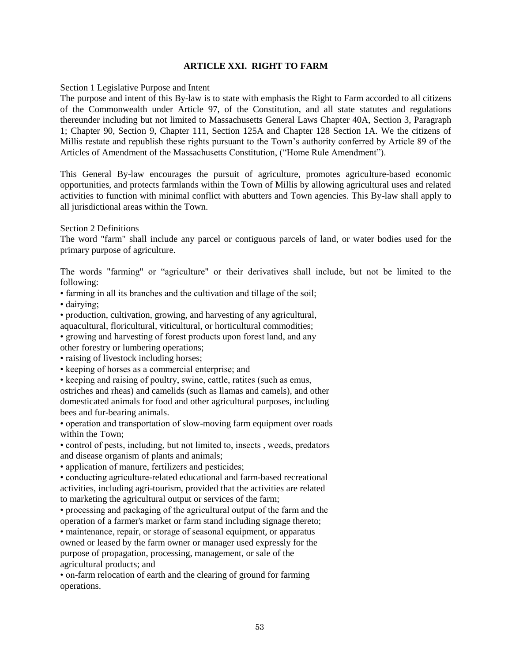### **ARTICLE XXI. RIGHT TO FARM**

#### Section 1 Legislative Purpose and Intent

The purpose and intent of this By-law is to state with emphasis the Right to Farm accorded to all citizens of the Commonwealth under Article 97, of the Constitution, and all state statutes and regulations thereunder including but not limited to Massachusetts General Laws Chapter 40A, Section 3, Paragraph 1; Chapter 90, Section 9, Chapter 111, Section 125A and Chapter 128 Section 1A. We the citizens of Millis restate and republish these rights pursuant to the Town's authority conferred by Article 89 of the Articles of Amendment of the Massachusetts Constitution, ("Home Rule Amendment").

This General By-law encourages the pursuit of agriculture, promotes agriculture-based economic opportunities, and protects farmlands within the Town of Millis by allowing agricultural uses and related activities to function with minimal conflict with abutters and Town agencies. This By-law shall apply to all jurisdictional areas within the Town.

Section 2 Definitions

The word "farm" shall include any parcel or contiguous parcels of land, or water bodies used for the primary purpose of agriculture.

The words "farming" or "agriculture" or their derivatives shall include, but not be limited to the following:

• farming in all its branches and the cultivation and tillage of the soil;

• dairying;

• production, cultivation, growing, and harvesting of any agricultural, aquacultural, floricultural, viticultural, or horticultural commodities;

• growing and harvesting of forest products upon forest land, and any other forestry or lumbering operations;

• raising of livestock including horses;

• keeping of horses as a commercial enterprise; and

• keeping and raising of poultry, swine, cattle, ratites (such as emus,

ostriches and rheas) and camelids (such as llamas and camels), and other domesticated animals for food and other agricultural purposes, including bees and fur-bearing animals.

• operation and transportation of slow-moving farm equipment over roads within the Town;

• control of pests, including, but not limited to, insects , weeds, predators and disease organism of plants and animals;

• application of manure, fertilizers and pesticides;

• conducting agriculture-related educational and farm-based recreational activities, including agri-tourism, provided that the activities are related to marketing the agricultural output or services of the farm;

• processing and packaging of the agricultural output of the farm and the operation of a farmer's market or farm stand including signage thereto;

• maintenance, repair, or storage of seasonal equipment, or apparatus owned or leased by the farm owner or manager used expressly for the purpose of propagation, processing, management, or sale of the agricultural products; and

• on-farm relocation of earth and the clearing of ground for farming operations.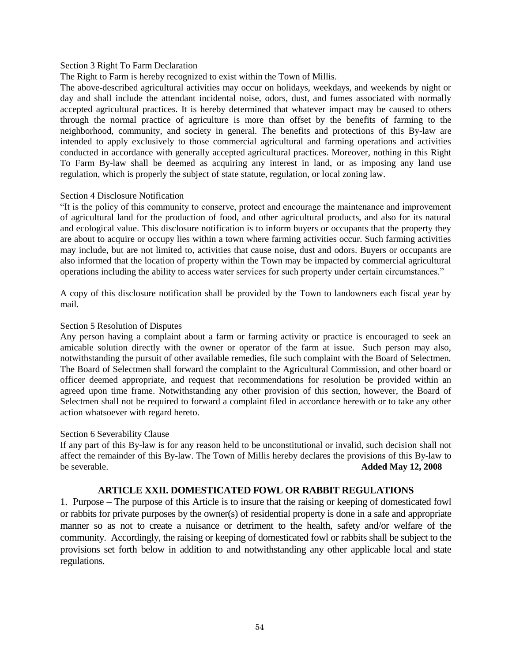#### Section 3 Right To Farm Declaration

The Right to Farm is hereby recognized to exist within the Town of Millis.

The above-described agricultural activities may occur on holidays, weekdays, and weekends by night or day and shall include the attendant incidental noise, odors, dust, and fumes associated with normally accepted agricultural practices. It is hereby determined that whatever impact may be caused to others through the normal practice of agriculture is more than offset by the benefits of farming to the neighborhood, community, and society in general. The benefits and protections of this By-law are intended to apply exclusively to those commercial agricultural and farming operations and activities conducted in accordance with generally accepted agricultural practices. Moreover, nothing in this Right To Farm By-law shall be deemed as acquiring any interest in land, or as imposing any land use regulation, which is properly the subject of state statute, regulation, or local zoning law.

#### Section 4 Disclosure Notification

"It is the policy of this community to conserve, protect and encourage the maintenance and improvement of agricultural land for the production of food, and other agricultural products, and also for its natural and ecological value. This disclosure notification is to inform buyers or occupants that the property they are about to acquire or occupy lies within a town where farming activities occur. Such farming activities may include, but are not limited to, activities that cause noise, dust and odors. Buyers or occupants are also informed that the location of property within the Town may be impacted by commercial agricultural operations including the ability to access water services for such property under certain circumstances."

A copy of this disclosure notification shall be provided by the Town to landowners each fiscal year by mail.

#### Section 5 Resolution of Disputes

Any person having a complaint about a farm or farming activity or practice is encouraged to seek an amicable solution directly with the owner or operator of the farm at issue. Such person may also, notwithstanding the pursuit of other available remedies, file such complaint with the Board of Selectmen. The Board of Selectmen shall forward the complaint to the Agricultural Commission, and other board or officer deemed appropriate, and request that recommendations for resolution be provided within an agreed upon time frame. Notwithstanding any other provision of this section, however, the Board of Selectmen shall not be required to forward a complaint filed in accordance herewith or to take any other action whatsoever with regard hereto.

#### Section 6 Severability Clause

If any part of this By-law is for any reason held to be unconstitutional or invalid, such decision shall not affect the remainder of this By-law. The Town of Millis hereby declares the provisions of this By-law to be severable. **Added May 12, 2008**

#### **ARTICLE XXII. DOMESTICATED FOWL OR RABBIT REGULATIONS**

1. Purpose – The purpose of this Article is to insure that the raising or keeping of domesticated fowl or rabbits for private purposes by the owner(s) of residential property is done in a safe and appropriate manner so as not to create a nuisance or detriment to the health, safety and/or welfare of the community. Accordingly, the raising or keeping of domesticated fowl or rabbits shall be subject to the provisions set forth below in addition to and notwithstanding any other applicable local and state regulations.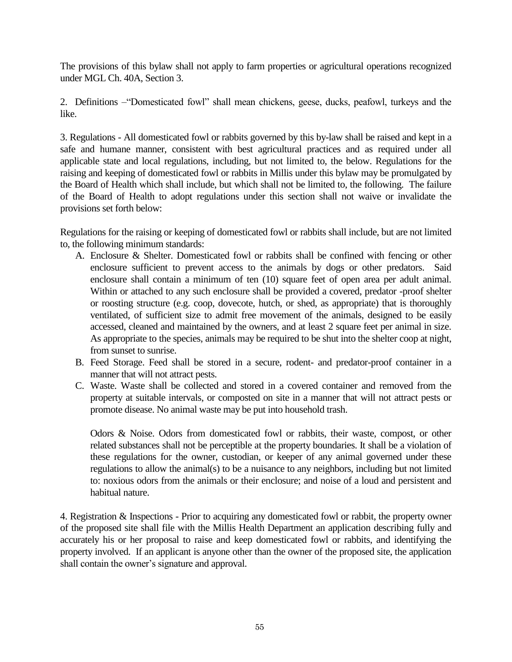The provisions of this bylaw shall not apply to farm properties or agricultural operations recognized under MGL Ch. 40A, Section 3.

2. Definitions –"Domesticated fowl" shall mean chickens, geese, ducks, peafowl, turkeys and the like.

3. Regulations - All domesticated fowl or rabbits governed by this by-law shall be raised and kept in a safe and humane manner, consistent with best agricultural practices and as required under all applicable state and local regulations, including, but not limited to, the below. Regulations for the raising and keeping of domesticated fowl or rabbits in Millis under this bylaw may be promulgated by the Board of Health which shall include, but which shall not be limited to, the following. The failure of the Board of Health to adopt regulations under this section shall not waive or invalidate the provisions set forth below:

Regulations for the raising or keeping of domesticated fowl or rabbits shall include, but are not limited to, the following minimum standards:

- A. Enclosure & Shelter. Domesticated fowl or rabbits shall be confined with fencing or other enclosure sufficient to prevent access to the animals by dogs or other predators. Said enclosure shall contain a minimum of ten (10) square feet of open area per adult animal. Within or attached to any such enclosure shall be provided a covered, predator -proof shelter or roosting structure (e.g. coop, dovecote, hutch, or shed, as appropriate) that is thoroughly ventilated, of sufficient size to admit free movement of the animals, designed to be easily accessed, cleaned and maintained by the owners, and at least 2 square feet per animal in size. As appropriate to the species, animals may be required to be shut into the shelter coop at night, from sunset to sunrise.
- B. Feed Storage. Feed shall be stored in a secure, rodent- and predator-proof container in a manner that will not attract pests.
- C. Waste. Waste shall be collected and stored in a covered container and removed from the property at suitable intervals, or composted on site in a manner that will not attract pests or promote disease. No animal waste may be put into household trash.

Odors & Noise. Odors from domesticated fowl or rabbits, their waste, compost, or other related substances shall not be perceptible at the property boundaries. It shall be a violation of these regulations for the owner, custodian, or keeper of any animal governed under these regulations to allow the animal(s) to be a nuisance to any neighbors, including but not limited to: noxious odors from the animals or their enclosure; and noise of a loud and persistent and habitual nature.

4. Registration & Inspections - Prior to acquiring any domesticated fowl or rabbit, the property owner of the proposed site shall file with the Millis Health Department an application describing fully and accurately his or her proposal to raise and keep domesticated fowl or rabbits, and identifying the property involved. If an applicant is anyone other than the owner of the proposed site, the application shall contain the owner's signature and approval.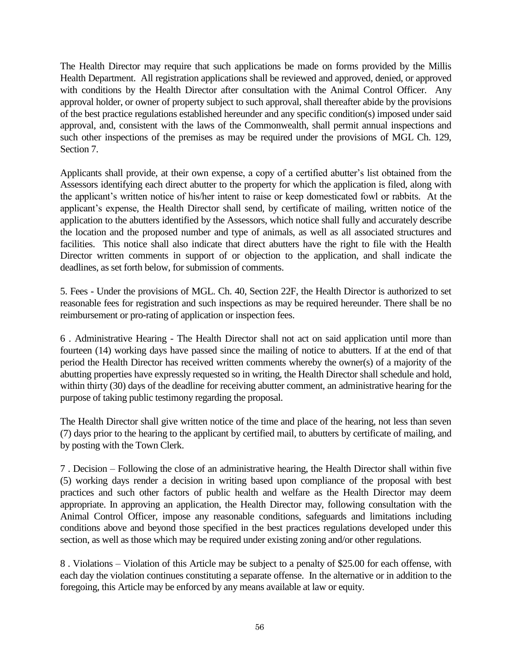The Health Director may require that such applications be made on forms provided by the Millis Health Department. All registration applications shall be reviewed and approved, denied, or approved with conditions by the Health Director after consultation with the Animal Control Officer. Any approval holder, or owner of property subject to such approval, shall thereafter abide by the provisions of the best practice regulations established hereunder and any specific condition(s) imposed under said approval, and, consistent with the laws of the Commonwealth, shall permit annual inspections and such other inspections of the premises as may be required under the provisions of MGL Ch. 129, Section 7.

Applicants shall provide, at their own expense, a copy of a certified abutter's list obtained from the Assessors identifying each direct abutter to the property for which the application is filed, along with the applicant's written notice of his/her intent to raise or keep domesticated fowl or rabbits. At the applicant's expense, the Health Director shall send, by certificate of mailing, written notice of the application to the abutters identified by the Assessors, which notice shall fully and accurately describe the location and the proposed number and type of animals, as well as all associated structures and facilities. This notice shall also indicate that direct abutters have the right to file with the Health Director written comments in support of or objection to the application, and shall indicate the deadlines, as set forth below, for submission of comments.

5. Fees - Under the provisions of MGL. Ch. 40, Section 22F, the Health Director is authorized to set reasonable fees for registration and such inspections as may be required hereunder. There shall be no reimbursement or pro-rating of application or inspection fees.

6 . Administrative Hearing - The Health Director shall not act on said application until more than fourteen (14) working days have passed since the mailing of notice to abutters. If at the end of that period the Health Director has received written comments whereby the owner(s) of a majority of the abutting properties have expressly requested so in writing, the Health Director shall schedule and hold, within thirty (30) days of the deadline for receiving abutter comment, an administrative hearing for the purpose of taking public testimony regarding the proposal.

The Health Director shall give written notice of the time and place of the hearing, not less than seven (7) days prior to the hearing to the applicant by certified mail, to abutters by certificate of mailing, and by posting with the Town Clerk.

7 . Decision – Following the close of an administrative hearing, the Health Director shall within five (5) working days render a decision in writing based upon compliance of the proposal with best practices and such other factors of public health and welfare as the Health Director may deem appropriate. In approving an application, the Health Director may, following consultation with the Animal Control Officer, impose any reasonable conditions, safeguards and limitations including conditions above and beyond those specified in the best practices regulations developed under this section, as well as those which may be required under existing zoning and/or other regulations.

8 . Violations – Violation of this Article may be subject to a penalty of \$25.00 for each offense, with each day the violation continues constituting a separate offense. In the alternative or in addition to the foregoing, this Article may be enforced by any means available at law or equity.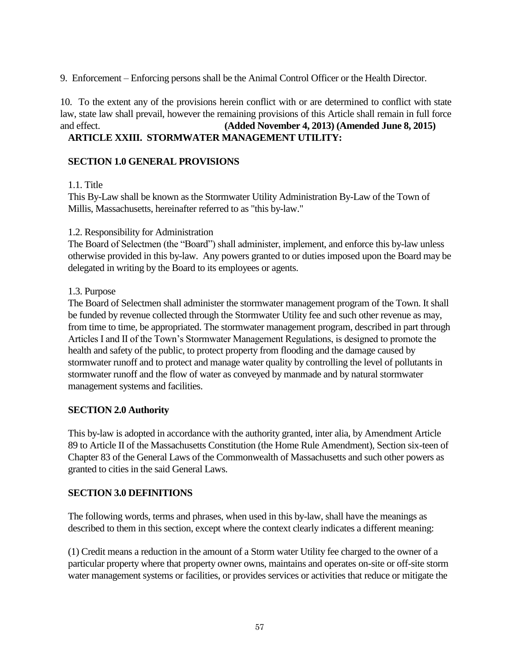9. Enforcement – Enforcing persons shall be the Animal Control Officer or the Health Director.

10. To the extent any of the provisions herein conflict with or are determined to conflict with state law, state law shall prevail, however the remaining provisions of this Article shall remain in full force and effect. **(Added November 4, 2013) (Amended June 8, 2015)**

# **ARTICLE XXIII. STORMWATER MANAGEMENT UTILITY:**

# **SECTION 1.0 GENERAL PROVISIONS**

1.1. Title

This By-Law shall be known as the Stormwater Utility Administration By-Law of the Town of Millis, Massachusetts, hereinafter referred to as "this by-law."

# 1.2. Responsibility for Administration

The Board of Selectmen (the "Board") shall administer, implement, and enforce this by-law unless otherwise provided in this by-law. Any powers granted to or duties imposed upon the Board may be delegated in writing by the Board to its employees or agents.

# 1.3. Purpose

The Board of Selectmen shall administer the stormwater management program of the Town. It shall be funded by revenue collected through the Stormwater Utility fee and such other revenue as may, from time to time, be appropriated. The stormwater management program, described in part through Articles I and II of the Town's Stormwater Management Regulations, is designed to promote the health and safety of the public, to protect property from flooding and the damage caused by stormwater runoff and to protect and manage water quality by controlling the level of pollutants in stormwater runoff and the flow of water as conveyed by manmade and by natural stormwater management systems and facilities.

# **SECTION 2.0 Authority**

This by-law is adopted in accordance with the authority granted, inter alia, by Amendment Article 89 to Article II of the Massachusetts Constitution (the Home Rule Amendment), Section six-teen of Chapter 83 of the General Laws of the Commonwealth of Massachusetts and such other powers as granted to cities in the said General Laws.

# **SECTION 3.0 DEFINITIONS**

The following words, terms and phrases, when used in this by-law, shall have the meanings as described to them in this section, except where the context clearly indicates a different meaning:

(1) Credit means a reduction in the amount of a Storm water Utility fee charged to the owner of a particular property where that property owner owns, maintains and operates on-site or off-site storm water management systems or facilities, or provides services or activities that reduce or mitigate the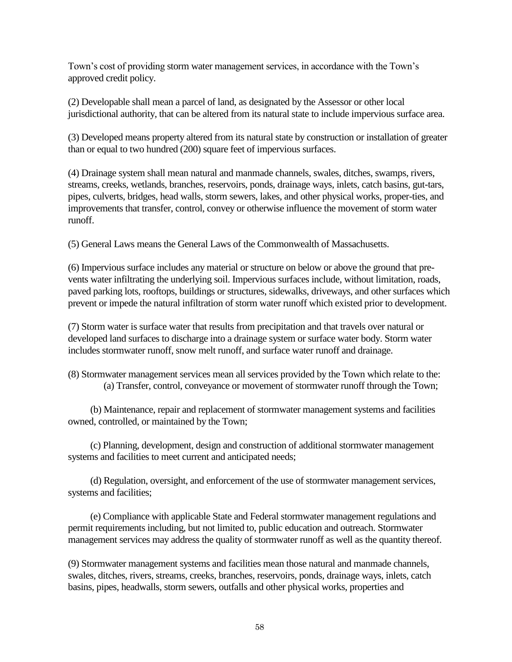Town's cost of providing storm water management services, in accordance with the Town's approved credit policy.

(2) Developable shall mean a parcel of land, as designated by the Assessor or other local jurisdictional authority, that can be altered from its natural state to include impervious surface area.

(3) Developed means property altered from its natural state by construction or installation of greater than or equal to two hundred (200) square feet of impervious surfaces.

(4) Drainage system shall mean natural and manmade channels, swales, ditches, swamps, rivers, streams, creeks, wetlands, branches, reservoirs, ponds, drainage ways, inlets, catch basins, gut-tars, pipes, culverts, bridges, head walls, storm sewers, lakes, and other physical works, proper-ties, and improvements that transfer, control, convey or otherwise influence the movement of storm water runoff.

(5) General Laws means the General Laws of the Commonwealth of Massachusetts.

(6) Impervious surface includes any material or structure on below or above the ground that prevents water infiltrating the underlying soil. Impervious surfaces include, without limitation, roads, paved parking lots, rooftops, buildings or structures, sidewalks, driveways, and other surfaces which prevent or impede the natural infiltration of storm water runoff which existed prior to development.

(7) Storm water is surface water that results from precipitation and that travels over natural or developed land surfaces to discharge into a drainage system or surface water body. Storm water includes stormwater runoff, snow melt runoff, and surface water runoff and drainage.

(8) Stormwater management services mean all services provided by the Town which relate to the: (a) Transfer, control, conveyance or movement of stormwater runoff through the Town;

(b) Maintenance, repair and replacement of stormwater management systems and facilities owned, controlled, or maintained by the Town;

(c) Planning, development, design and construction of additional stormwater management systems and facilities to meet current and anticipated needs;

(d) Regulation, oversight, and enforcement of the use of stormwater management services, systems and facilities;

(e) Compliance with applicable State and Federal stormwater management regulations and permit requirements including, but not limited to, public education and outreach. Stormwater management services may address the quality of stormwater runoff as well as the quantity thereof.

(9) Stormwater management systems and facilities mean those natural and manmade channels, swales, ditches, rivers, streams, creeks, branches, reservoirs, ponds, drainage ways, inlets, catch basins, pipes, headwalls, storm sewers, outfalls and other physical works, properties and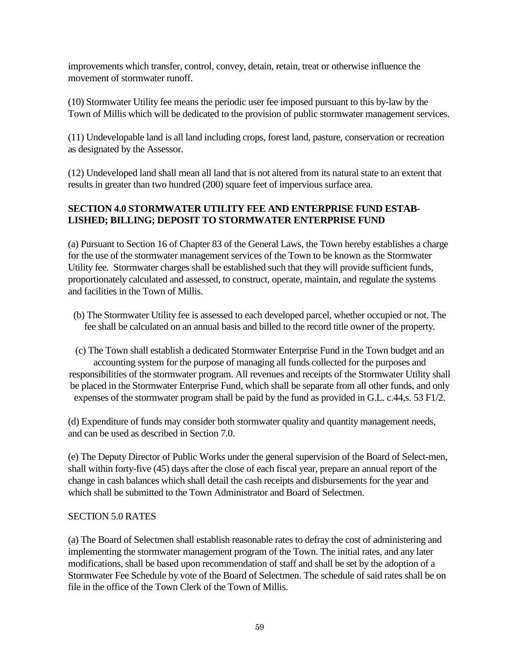improvements which transfer, control, convey, detain, retain, treat or otherwise influence the movement of stormwater runoff.

(10) Stormwater Utility fee means the periodic user fee imposed pursuant to this by-law by the Town of Millis which will be dedicated to the provision of public stormwater management services.

(11) Undevelopable land is all land including crops, forest land, pasture, conservation or recreation as designated by the Assessor.

(12) Undeveloped land shall mean all land that is not altered from its natural state to an extent that results in greater than two hundred (200) square feet of impervious surface area.

# **SECTION 4.0 STORMWATER UTILITY FEE AND ENTERPRISE FUND ESTAB-LISHED; BILLING; DEPOSIT TO STORMWATER ENTERPRISE FUND**

(a) Pursuant to Section 16 of Chapter 83 of the General Laws, the Town hereby establishes a charge for the use of the stormwater management services of the Town to be known as the Stormwater Utility fee. Stormwater charges shall be established such that they will provide sufficient funds, proportionately calculated and assessed, to construct, operate, maintain, and regulate the systems and facilities in the Town of Millis.

(b) The Stormwater Utility fee is assessed to each developed parcel, whether occupied or not. The fee shall be calculated on an annual basis and billed to the record title owner of the property.

(c) The Town shall establish a dedicated Stormwater Enterprise Fund in the Town budget and an accounting system for the purpose of managing all funds collected for the purposes and responsibilities of the stormwater program. All revenues and receipts of the Stormwater Utility shall be placed in the Stormwater Enterprise Fund, which shall be separate from all other funds, and only expenses of the stormwater program shall be paid by the fund as provided in G.L. c.44,s. 53 F1/2.

(d) Expenditure of funds may consider both stormwater quality and quantity management needs, and can be used as described in Section 7.0.

(e) The Deputy Director of Public Works under the general supervision of the Board of Select-men, shall within forty-five (45) days after the close of each fiscal year, prepare an annual report of the change in cash balances which shall detail the cash receipts and disbursements for the year and which shall be submitted to the Town Administrator and Board of Selectmen.

# SECTION 5.0 RATES

(a) The Board of Selectmen shall establish reasonable rates to defray the cost of administering and implementing the stormwater management program of the Town. The initial rates, and any later modifications, shall be based upon recommendation of staff and shall be set by the adoption of a Stormwater Fee Schedule by vote of the Board of Selectmen. The schedule of said rates shall be on file in the office of the Town Clerk of the Town of Millis.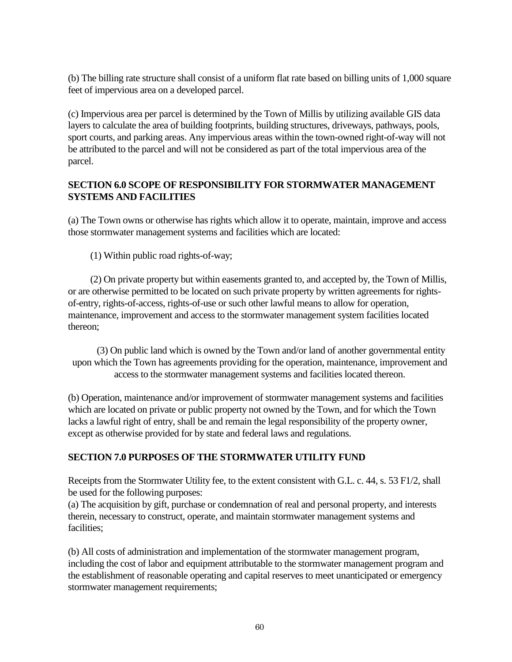(b) The billing rate structure shall consist of a uniform flat rate based on billing units of 1,000 square feet of impervious area on a developed parcel.

(c) Impervious area per parcel is determined by the Town of Millis by utilizing available GIS data layers to calculate the area of building footprints, building structures, driveways, pathways, pools, sport courts, and parking areas. Any impervious areas within the town-owned right-of-way will not be attributed to the parcel and will not be considered as part of the total impervious area of the parcel.

# **SECTION 6.0 SCOPE OF RESPONSIBILITY FOR STORMWATER MANAGEMENT SYSTEMS AND FACILITIES**

(a) The Town owns or otherwise has rights which allow it to operate, maintain, improve and access those stormwater management systems and facilities which are located:

(1) Within public road rights-of-way;

(2) On private property but within easements granted to, and accepted by, the Town of Millis, or are otherwise permitted to be located on such private property by written agreements for rightsof-entry, rights-of-access, rights-of-use or such other lawful means to allow for operation, maintenance, improvement and access to the stormwater management system facilities located thereon;

(3) On public land which is owned by the Town and/or land of another governmental entity upon which the Town has agreements providing for the operation, maintenance, improvement and access to the stormwater management systems and facilities located thereon.

(b) Operation, maintenance and/or improvement of stormwater management systems and facilities which are located on private or public property not owned by the Town, and for which the Town lacks a lawful right of entry, shall be and remain the legal responsibility of the property owner, except as otherwise provided for by state and federal laws and regulations.

# **SECTION 7.0 PURPOSES OF THE STORMWATER UTILITY FUND**

Receipts from the Stormwater Utility fee, to the extent consistent with G.L. c. 44, s. 53 F1/2, shall be used for the following purposes:

(a) The acquisition by gift, purchase or condemnation of real and personal property, and interests therein, necessary to construct, operate, and maintain stormwater management systems and facilities;

(b) All costs of administration and implementation of the stormwater management program, including the cost of labor and equipment attributable to the stormwater management program and the establishment of reasonable operating and capital reserves to meet unanticipated or emergency stormwater management requirements;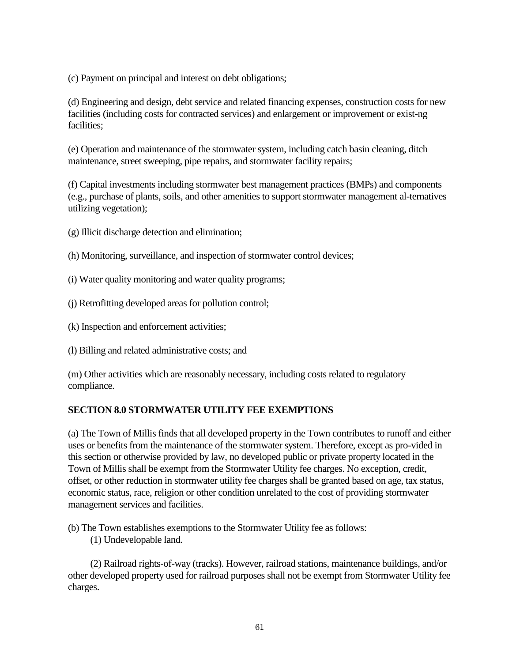(c) Payment on principal and interest on debt obligations;

(d) Engineering and design, debt service and related financing expenses, construction costs for new facilities (including costs for contracted services) and enlargement or improvement or exist-ng facilities;

(e) Operation and maintenance of the stormwater system, including catch basin cleaning, ditch maintenance, street sweeping, pipe repairs, and stormwater facility repairs;

(f) Capital investments including stormwater best management practices (BMPs) and components (e.g., purchase of plants, soils, and other amenities to support stormwater management al-ternatives utilizing vegetation);

(g) Illicit discharge detection and elimination;

- (h) Monitoring, surveillance, and inspection of stormwater control devices;
- (i) Water quality monitoring and water quality programs;
- (j) Retrofitting developed areas for pollution control;
- (k) Inspection and enforcement activities;

(l) Billing and related administrative costs; and

(m) Other activities which are reasonably necessary, including costs related to regulatory compliance.

# **SECTION 8.0 STORMWATER UTILITY FEE EXEMPTIONS**

(a) The Town of Millis finds that all developed property in the Town contributes to runoff and either uses or benefits from the maintenance of the stormwater system. Therefore, except as pro-vided in this section or otherwise provided by law, no developed public or private property located in the Town of Millis shall be exempt from the Stormwater Utility fee charges. No exception, credit, offset, or other reduction in stormwater utility fee charges shall be granted based on age, tax status, economic status, race, religion or other condition unrelated to the cost of providing stormwater management services and facilities.

(b) The Town establishes exemptions to the Stormwater Utility fee as follows:

(1) Undevelopable land.

(2) Railroad rights-of-way (tracks). However, railroad stations, maintenance buildings, and/or other developed property used for railroad purposes shall not be exempt from Stormwater Utility fee charges.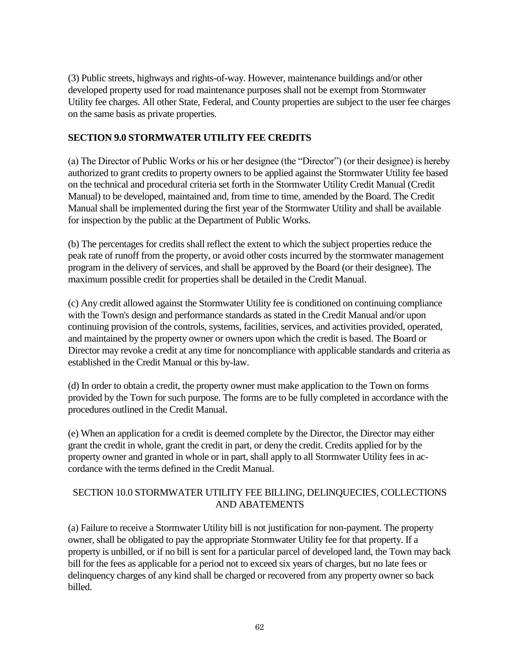(3) Public streets, highways and rights-of-way. However, maintenance buildings and/or other developed property used for road maintenance purposes shall not be exempt from Stormwater Utility fee charges. All other State, Federal, and County properties are subject to the user fee charges on the same basis as private properties.

# **SECTION 9.0 STORMWATER UTILITY FEE CREDITS**

(a) The Director of Public Works or his or her designee (the "Director") (or their designee) is hereby authorized to grant credits to property owners to be applied against the Stormwater Utility fee based on the technical and procedural criteria set forth in the Stormwater Utility Credit Manual (Credit Manual) to be developed, maintained and, from time to time, amended by the Board. The Credit Manual shall be implemented during the first year of the Stormwater Utility and shall be available for inspection by the public at the Department of Public Works.

(b) The percentages for credits shall reflect the extent to which the subject properties reduce the peak rate of runoff from the property, or avoid other costs incurred by the stormwater management program in the delivery of services, and shall be approved by the Board (or their designee). The maximum possible credit for properties shall be detailed in the Credit Manual.

(c) Any credit allowed against the Stormwater Utility fee is conditioned on continuing compliance with the Town's design and performance standards as stated in the Credit Manual and/or upon continuing provision of the controls, systems, facilities, services, and activities provided, operated, and maintained by the property owner or owners upon which the credit is based. The Board or Director may revoke a credit at any time for noncompliance with applicable standards and criteria as established in the Credit Manual or this by-law.

(d) In order to obtain a credit, the property owner must make application to the Town on forms provided by the Town for such purpose. The forms are to be fully completed in accordance with the procedures outlined in the Credit Manual.

(e) When an application for a credit is deemed complete by the Director, the Director may either grant the credit in whole, grant the credit in part, or deny the credit. Credits applied for by the property owner and granted in whole or in part, shall apply to all Stormwater Utility fees in accordance with the terms defined in the Credit Manual.

# SECTION 10.0 STORMWATER UTILITY FEE BILLING, DELINQUECIES, COLLECTIONS AND ABATEMENTS

(a) Failure to receive a Stormwater Utility bill is not justification for non-payment. The property owner, shall be obligated to pay the appropriate Stormwater Utility fee for that property. If a property is unbilled, or if no bill is sent for a particular parcel of developed land, the Town may back bill for the fees as applicable for a period not to exceed six years of charges, but no late fees or delinquency charges of any kind shall be charged or recovered from any property owner so back billed.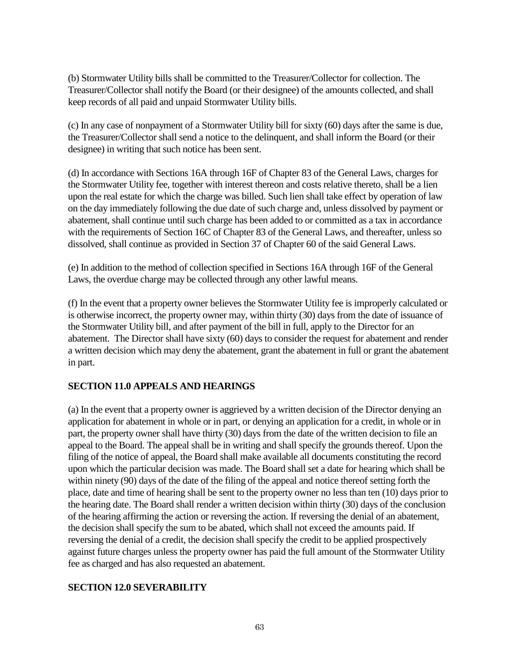(b) Stormwater Utility bills shall be committed to the Treasurer/Collector for collection. The Treasurer/Collector shall notify the Board (or their designee) of the amounts collected, and shall keep records of all paid and unpaid Stormwater Utility bills.

(c) In any case of nonpayment of a Stormwater Utility bill for sixty (60) days after the same is due, the Treasurer/Collector shall send a notice to the delinquent, and shall inform the Board (or their designee) in writing that such notice has been sent.

(d) In accordance with Sections 16A through 16F of Chapter 83 of the General Laws, charges for the Stormwater Utility fee, together with interest thereon and costs relative thereto, shall be a lien upon the real estate for which the charge was billed. Such lien shall take effect by operation of law on the day immediately following the due date of such charge and, unless dissolved by payment or abatement, shall continue until such charge has been added to or committed as a tax in accordance with the requirements of Section 16C of Chapter 83 of the General Laws, and thereafter, unless so dissolved, shall continue as provided in Section 37 of Chapter 60 of the said General Laws.

(e) In addition to the method of collection specified in Sections 16A through 16F of the General Laws, the overdue charge may be collected through any other lawful means.

(f) In the event that a property owner believes the Stormwater Utility fee is improperly calculated or is otherwise incorrect, the property owner may, within thirty (30) days from the date of issuance of the Stormwater Utility bill, and after payment of the bill in full, apply to the Director for an abatement. The Director shall have sixty (60) days to consider the request for abatement and render a written decision which may deny the abatement, grant the abatement in full or grant the abatement in part.

# **SECTION 11.0 APPEALS AND HEARINGS**

(a) In the event that a property owner is aggrieved by a written decision of the Director denying an application for abatement in whole or in part, or denying an application for a credit, in whole or in part, the property owner shall have thirty (30) days from the date of the written decision to file an appeal to the Board. The appeal shall be in writing and shall specify the grounds thereof. Upon the filing of the notice of appeal, the Board shall make available all documents constituting the record upon which the particular decision was made. The Board shall set a date for hearing which shall be within ninety (90) days of the date of the filing of the appeal and notice thereof setting forth the place, date and time of hearing shall be sent to the property owner no less than ten (10) days prior to the hearing date. The Board shall render a written decision within thirty (30) days of the conclusion of the hearing affirming the action or reversing the action. If reversing the denial of an abatement, the decision shall specify the sum to be abated, which shall not exceed the amounts paid. If reversing the denial of a credit, the decision shall specify the credit to be applied prospectively against future charges unless the property owner has paid the full amount of the Stormwater Utility fee as charged and has also requested an abatement.

# **SECTION 12.0 SEVERABILITY**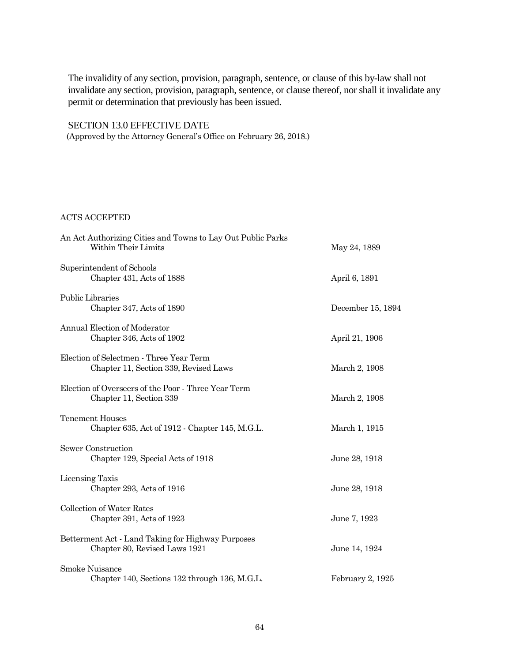The invalidity of any section, provision, paragraph, sentence, or clause of this by-law shall not invalidate any section, provision, paragraph, sentence, or clause thereof, nor shall it invalidate any permit or determination that previously has been issued.

# SECTION 13.0 EFFECTIVE DATE

(Approved by the Attorney General's Office on February 26, 2018.)

### ACTS ACCEPTED

| An Act Authorizing Cities and Towns to Lay Out Public Parks<br>Within Their Limits | May 24, 1889      |
|------------------------------------------------------------------------------------|-------------------|
| Superintendent of Schools<br>Chapter 431, Acts of 1888                             | April 6, 1891     |
| Public Libraries<br>Chapter 347, Acts of 1890                                      | December 15, 1894 |
| Annual Election of Moderator<br>Chapter 346, Acts of 1902                          | April 21, 1906    |
| Election of Selectmen - Three Year Term<br>Chapter 11, Section 339, Revised Laws   | March 2, 1908     |
| Election of Overseers of the Poor - Three Year Term<br>Chapter 11, Section 339     | March 2, 1908     |
| <b>Tenement Houses</b><br>Chapter 635, Act of 1912 - Chapter 145, M.G.L.           | March 1, 1915     |
| Sewer Construction<br>Chapter 129, Special Acts of 1918                            | June 28, 1918     |
| Licensing Taxis<br>Chapter 293, Acts of 1916                                       | June 28, 1918     |
| <b>Collection of Water Rates</b><br>Chapter 391, Acts of 1923                      | June 7, 1923      |
| Betterment Act - Land Taking for Highway Purposes<br>Chapter 80, Revised Laws 1921 | June 14, 1924     |
| Smoke Nuisance<br>Chapter 140, Sections 132 through 136, M.G.L.                    | February 2, 1925  |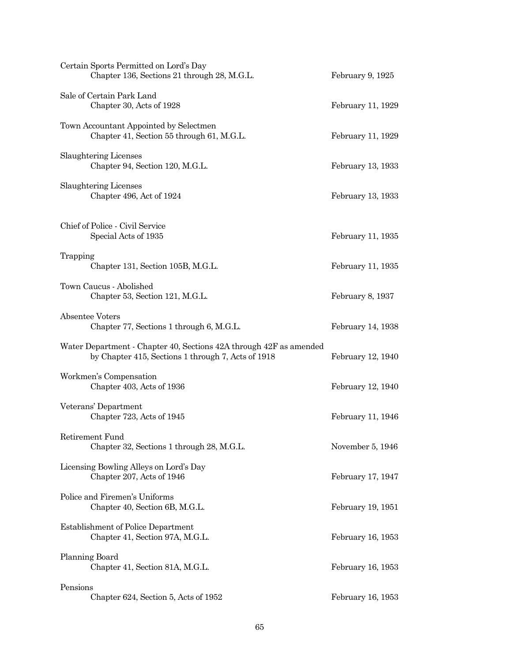| Certain Sports Permitted on Lord's Day<br>Chapter 136, Sections 21 through 28, M.G.L.                                    | February 9, 1925  |
|--------------------------------------------------------------------------------------------------------------------------|-------------------|
| Sale of Certain Park Land<br>Chapter 30, Acts of 1928                                                                    | February 11, 1929 |
| Town Accountant Appointed by Selectmen<br>Chapter 41, Section 55 through 61, M.G.L.                                      | February 11, 1929 |
| Slaughtering Licenses<br>Chapter 94, Section 120, M.G.L.                                                                 | February 13, 1933 |
| Slaughtering Licenses<br>Chapter 496, Act of 1924                                                                        | February 13, 1933 |
| Chief of Police - Civil Service<br>Special Acts of 1935                                                                  | February 11, 1935 |
| Trapping<br>Chapter 131, Section 105B, M.G.L.                                                                            | February 11, 1935 |
| Town Caucus - Abolished<br>Chapter 53, Section 121, M.G.L.                                                               | February 8, 1937  |
| <b>Absentee Voters</b><br>Chapter 77, Sections 1 through 6, M.G.L.                                                       | February 14, 1938 |
| Water Department - Chapter 40, Sections 42A through 42F as amended<br>by Chapter 415, Sections 1 through 7, Acts of 1918 | February 12, 1940 |
| Workmen's Compensation<br>Chapter 403, Acts of 1936                                                                      | February 12, 1940 |
| Veterans' Department<br>Chapter 723, Acts of 1945                                                                        | February 11, 1946 |
| Retirement Fund<br>Chapter 32, Sections 1 through 28, M.G.L.                                                             | November 5, 1946  |
| Licensing Bowling Alleys on Lord's Day<br>Chapter 207, Acts of 1946                                                      | February 17, 1947 |
| Police and Firemen's Uniforms<br>Chapter 40, Section 6B, M.G.L.                                                          | February 19, 1951 |
| Establishment of Police Department<br>Chapter 41, Section 97A, M.G.L.                                                    | February 16, 1953 |
| Planning Board<br>Chapter 41, Section 81A, M.G.L.                                                                        | February 16, 1953 |
| Pensions<br>Chapter 624, Section 5, Acts of 1952                                                                         | February 16, 1953 |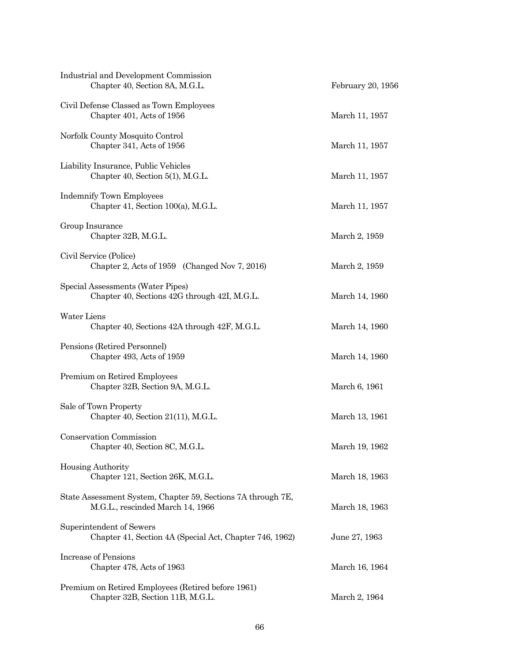| Industrial and Development Commission<br>Chapter 40, Section 8A, M.G.L.                          | February 20, 1956 |
|--------------------------------------------------------------------------------------------------|-------------------|
| Civil Defense Classed as Town Employees<br>Chapter 401, Acts of 1956                             | March 11, 1957    |
| Norfolk County Mosquito Control<br>Chapter 341, Acts of 1956                                     | March 11, 1957    |
| Liability Insurance, Public Vehicles<br>Chapter 40, Section 5(1), M.G.L.                         | March 11, 1957    |
| <b>Indemnify Town Employees</b><br>Chapter 41, Section 100(a), M.G.L.                            | March 11, 1957    |
| Group Insurance<br>Chapter 32B, M.G.L.                                                           | March 2, 1959     |
| Civil Service (Police)<br>Chapter 2, Acts of 1959 (Changed Nov 7, 2016)                          | March 2, 1959     |
| Special Assessments (Water Pipes)<br>Chapter 40, Sections 42G through 42I, M.G.L.                | March 14, 1960    |
| <b>Water Liens</b><br>Chapter 40, Sections 42A through 42F, M.G.L.                               | March 14, 1960    |
| Pensions (Retired Personnel)<br>Chapter 493, Acts of 1959                                        | March 14, 1960    |
| Premium on Retired Employees<br>Chapter 32B, Section 9A, M.G.L.                                  | March 6, 1961     |
| Sale of Town Property<br>Chapter 40, Section 21(11), M.G.L.                                      | March 13, 1961    |
| Conservation Commission<br>Chapter 40, Section 8C, M.G.L.                                        | March 19, 1962    |
| Housing Authority<br>Chapter 121, Section 26K, M.G.L.                                            | March 18, 1963    |
| State Assessment System, Chapter 59, Sections 7A through 7E,<br>M.G.L., rescinded March 14, 1966 | March 18, 1963    |
| Superintendent of Sewers<br>Chapter 41, Section 4A (Special Act, Chapter 746, 1962)              | June 27, 1963     |
| Increase of Pensions<br>Chapter 478, Acts of 1963                                                | March 16, 1964    |
| Premium on Retired Employees (Retired before 1961)<br>Chapter 32B, Section 11B, M.G.L.           | March 2, 1964     |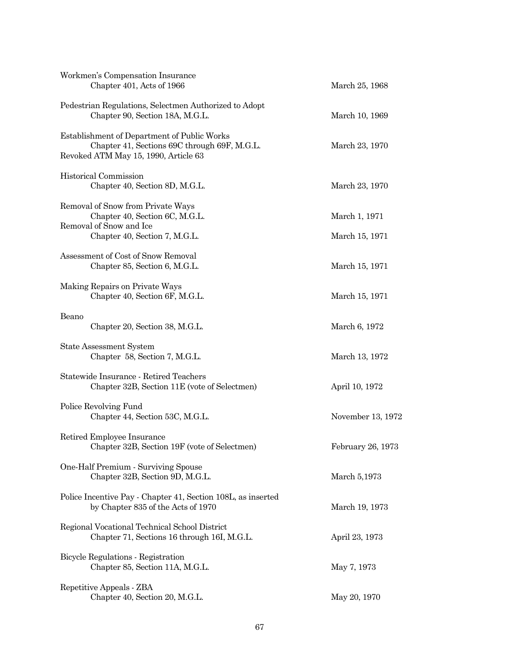| Workmen's Compensation Insurance<br>Chapter 401, Acts of 1966                                                                       | March 25, 1968    |
|-------------------------------------------------------------------------------------------------------------------------------------|-------------------|
| Pedestrian Regulations, Selectmen Authorized to Adopt<br>Chapter 90, Section 18A, M.G.L.                                            | March 10, 1969    |
| Establishment of Department of Public Works<br>Chapter 41, Sections 69C through 69F, M.G.L.<br>Revoked ATM May 15, 1990, Article 63 | March 23, 1970    |
| Historical Commission<br>Chapter 40, Section 8D, M.G.L.                                                                             | March 23, 1970    |
| Removal of Snow from Private Ways<br>Chapter 40, Section 6C, M.G.L.<br>Removal of Snow and Ice                                      | March 1, 1971     |
| Chapter 40, Section 7, M.G.L.                                                                                                       | March 15, 1971    |
| Assessment of Cost of Snow Removal<br>Chapter 85, Section 6, M.G.L.                                                                 | March 15, 1971    |
| Making Repairs on Private Ways<br>Chapter 40, Section 6F, M.G.L.                                                                    | March 15, 1971    |
| Beano<br>Chapter 20, Section 38, M.G.L.                                                                                             | March 6, 1972     |
| <b>State Assessment System</b><br>Chapter 58, Section 7, M.G.L.                                                                     | March 13, 1972    |
| Statewide Insurance - Retired Teachers<br>Chapter 32B, Section 11E (vote of Selectmen)                                              | April 10, 1972    |
| Police Revolving Fund<br>Chapter 44, Section 53C, M.G.L.                                                                            | November 13, 1972 |
| Retired Employee Insurance<br>Chapter 32B, Section 19F (vote of Selectmen)                                                          | February 26, 1973 |
| One-Half Premium - Surviving Spouse<br>Chapter 32B, Section 9D, M.G.L.                                                              | March 5,1973      |
| Police Incentive Pay - Chapter 41, Section 108L, as inserted<br>by Chapter 835 of the Acts of 1970                                  | March 19, 1973    |
| Regional Vocational Technical School District<br>Chapter 71, Sections 16 through 16I, M.G.L.                                        | April 23, 1973    |
| Bicycle Regulations - Registration<br>Chapter 85, Section 11A, M.G.L.                                                               | May 7, 1973       |
| Repetitive Appeals - ZBA<br>Chapter 40, Section 20, M.G.L.                                                                          | May 20, 1970      |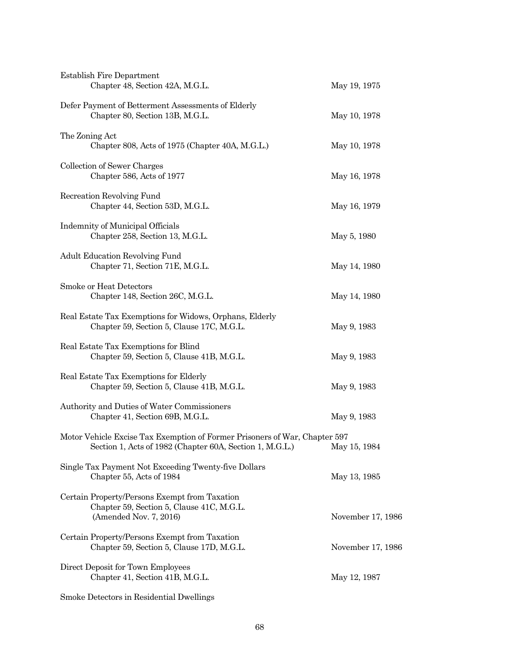| <b>Establish Fire Department</b><br>Chapter 48, Section 42A, M.G.L.                                                                                 | May 19, 1975      |
|-----------------------------------------------------------------------------------------------------------------------------------------------------|-------------------|
| Defer Payment of Betterment Assessments of Elderly<br>Chapter 80, Section 13B, M.G.L.                                                               | May 10, 1978      |
| The Zoning Act<br>Chapter 808, Acts of 1975 (Chapter 40A, M.G.L.)                                                                                   | May 10, 1978      |
| Collection of Sewer Charges<br>Chapter 586, Acts of 1977                                                                                            | May 16, 1978      |
| Recreation Revolving Fund<br>Chapter 44, Section 53D, M.G.L.                                                                                        | May 16, 1979      |
| Indemnity of Municipal Officials<br>Chapter 258, Section 13, M.G.L.                                                                                 | May 5, 1980       |
| <b>Adult Education Revolving Fund</b><br>Chapter 71, Section 71E, M.G.L.                                                                            | May 14, 1980      |
| Smoke or Heat Detectors<br>Chapter 148, Section 26C, M.G.L.                                                                                         | May 14, 1980      |
| Real Estate Tax Exemptions for Widows, Orphans, Elderly<br>Chapter 59, Section 5, Clause 17C, M.G.L.                                                | May 9, 1983       |
| Real Estate Tax Exemptions for Blind<br>Chapter 59, Section 5, Clause 41B, M.G.L.                                                                   | May 9, 1983       |
| Real Estate Tax Exemptions for Elderly<br>Chapter 59, Section 5, Clause 41B, M.G.L.                                                                 | May 9, 1983       |
| Authority and Duties of Water Commissioners<br>Chapter 41, Section 69B, M.G.L.                                                                      | May 9, 1983       |
| Motor Vehicle Excise Tax Exemption of Former Prisoners of War, Chapter 597<br>Section 1, Acts of 1982 (Chapter 60A, Section 1, M.G.L.) May 15, 1984 |                   |
| Single Tax Payment Not Exceeding Twenty-five Dollars<br>Chapter 55, Acts of 1984                                                                    | May 13, 1985      |
| Certain Property/Persons Exempt from Taxation<br>Chapter 59, Section 5, Clause 41C, M.G.L.<br>(Amended Nov. 7, 2016)                                | November 17, 1986 |
| Certain Property/Persons Exempt from Taxation<br>Chapter 59, Section 5, Clause 17D, M.G.L.                                                          | November 17, 1986 |
| Direct Deposit for Town Employees<br>Chapter 41, Section 41B, M.G.L.                                                                                | May 12, 1987      |
|                                                                                                                                                     |                   |

Smoke Detectors in Residential Dwellings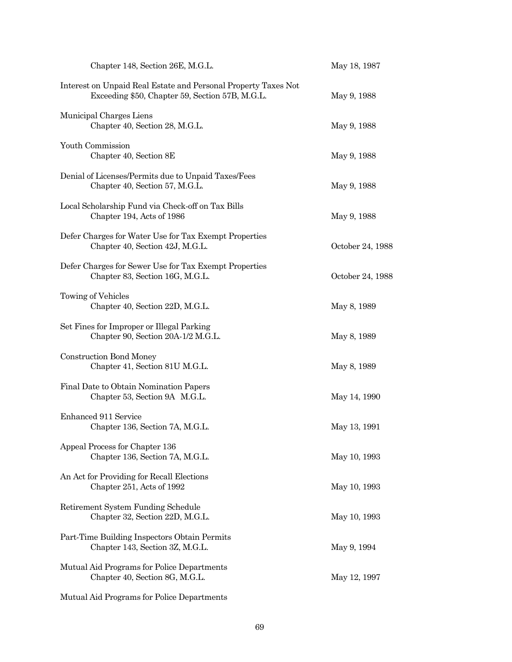| Chapter 148, Section 26E, M.G.L.                                                                                  | May 18, 1987     |
|-------------------------------------------------------------------------------------------------------------------|------------------|
| Interest on Unpaid Real Estate and Personal Property Taxes Not<br>Exceeding \$50, Chapter 59, Section 57B, M.G.L. | May 9, 1988      |
| Municipal Charges Liens<br>Chapter 40, Section 28, M.G.L.                                                         | May 9, 1988      |
| Youth Commission<br>Chapter 40, Section 8E                                                                        | May 9, 1988      |
| Denial of Licenses/Permits due to Unpaid Taxes/Fees<br>Chapter 40, Section 57, M.G.L.                             | May 9, 1988      |
| Local Scholarship Fund via Check-off on Tax Bills<br>Chapter 194, Acts of 1986                                    | May 9, 1988      |
| Defer Charges for Water Use for Tax Exempt Properties<br>Chapter 40, Section 42J, M.G.L.                          | October 24, 1988 |
| Defer Charges for Sewer Use for Tax Exempt Properties<br>Chapter 83, Section 16G, M.G.L.                          | October 24, 1988 |
| Towing of Vehicles<br>Chapter 40, Section 22D, M.G.L.                                                             | May 8, 1989      |
| Set Fines for Improper or Illegal Parking<br>Chapter 90, Section 20A-1/2 M.G.L.                                   | May 8, 1989      |
| <b>Construction Bond Money</b><br>Chapter 41, Section 81U M.G.L.                                                  | May 8, 1989      |
| Final Date to Obtain Nomination Papers<br>Chapter 53, Section 9A M.G.L.                                           | May 14, 1990     |
| Enhanced 911 Service<br>Chapter 136, Section 7A, M.G.L.                                                           | May 13, 1991     |
| Appeal Process for Chapter 136<br>Chapter 136, Section 7A, M.G.L.                                                 | May 10, 1993     |
| An Act for Providing for Recall Elections<br>Chapter 251, Acts of 1992                                            | May 10, 1993     |
| Retirement System Funding Schedule<br>Chapter 32, Section 22D, M.G.L.                                             | May 10, 1993     |
| Part-Time Building Inspectors Obtain Permits<br>Chapter 143, Section 3Z, M.G.L.                                   | May 9, 1994      |
| Mutual Aid Programs for Police Departments<br>Chapter 40, Section 8G, M.G.L.                                      | May 12, 1997     |
|                                                                                                                   |                  |

Mutual Aid Programs for Police Departments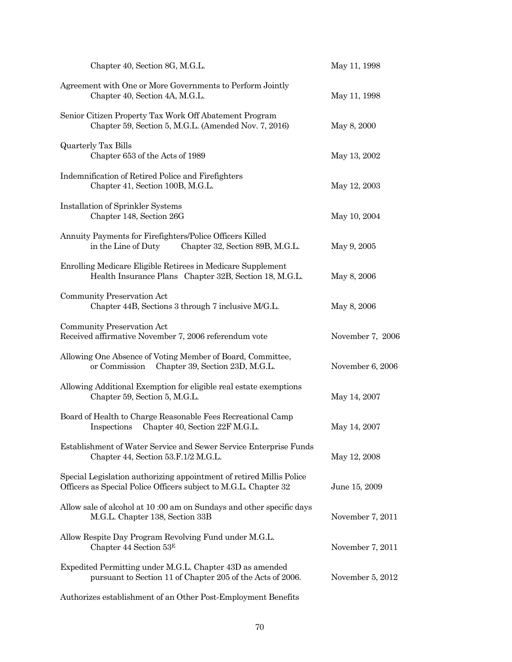| Chapter 40, Section 8G, M.G.L.                                                                                                           | May 11, 1998     |
|------------------------------------------------------------------------------------------------------------------------------------------|------------------|
| Agreement with One or More Governments to Perform Jointly<br>Chapter 40, Section 4A, M.G.L.                                              | May 11, 1998     |
| Senior Citizen Property Tax Work Off Abatement Program<br>Chapter 59, Section 5, M.G.L. (Amended Nov. 7, 2016)                           | May 8, 2000      |
| <b>Quarterly Tax Bills</b><br>Chapter 653 of the Acts of 1989                                                                            | May 13, 2002     |
| Indemnification of Retired Police and Firefighters<br>Chapter 41, Section 100B, M.G.L.                                                   | May 12, 2003     |
| Installation of Sprinkler Systems<br>Chapter 148, Section 26G                                                                            | May 10, 2004     |
| Annuity Payments for Firefighters/Police Officers Killed<br>in the Line of Duty<br>Chapter 32, Section 89B, M.G.L.                       | May 9, 2005      |
| Enrolling Medicare Eligible Retirees in Medicare Supplement<br>Health Insurance Plans Chapter 32B, Section 18, M.G.L.                    | May 8, 2006      |
| Community Preservation Act<br>Chapter 44B, Sections 3 through 7 inclusive M/G.L.                                                         | May 8, 2006      |
| Community Preservation Act<br>Received affirmative November 7, 2006 referendum vote                                                      | November 7, 2006 |
| Allowing One Absence of Voting Member of Board, Committee,<br>or Commission<br>Chapter 39, Section 23D, M.G.L.                           | November 6, 2006 |
| Allowing Additional Exemption for eligible real estate exemptions<br>Chapter 59, Section 5, M.G.L.                                       | May 14, 2007     |
| Board of Health to Charge Reasonable Fees Recreational Camp<br>Chapter 40, Section 22F M.G.L.<br>Inspections                             | May 14, 2007     |
| Establishment of Water Service and Sewer Service Enterprise Funds<br>Chapter 44, Section 53.F.1/2 M.G.L.                                 | May 12, 2008     |
| Special Legislation authorizing appointment of retired Millis Police<br>Officers as Special Police Officers subject to M.G.L. Chapter 32 | June 15, 2009    |
| Allow sale of alcohol at 10:00 am on Sundays and other specific days<br>M.G.L. Chapter 138, Section 33B                                  | November 7, 2011 |
| Allow Respite Day Program Revolving Fund under M.G.L.<br>Chapter 44 Section $53E$                                                        | November 7, 2011 |
| Expedited Permitting under M.G.L. Chapter 43D as amended<br>pursuant to Section 11 of Chapter 205 of the Acts of 2006.                   | November 5, 2012 |
| Authorizes establishment of an Other Post-Employment Benefits                                                                            |                  |